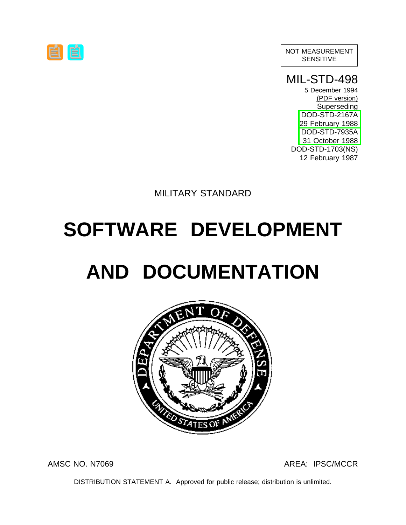NOT MEASUREMENT SENSITIVE

MIL-STD-498

5 December 1994 (PDF version) Superseding DOD-STD-2167A [29 February 1988](#page-66-0) [DOD-STD-7935A](#page-65-0) 31 October 1988 DOD-STD-1703(NS) 12 February 1987

MILITARY STANDARD

# <span id="page-0-7"></span><span id="page-0-6"></span><span id="page-0-0"></span>**SOFTWARE DEVELOPMENT**

# <span id="page-0-5"></span><span id="page-0-4"></span><span id="page-0-2"></span><span id="page-0-1"></span>**AND DOCUMENTATION**



#### <span id="page-0-3"></span>AMSC NO. N7069 AMSC 1980 AREA: IPSC/MCCR

DISTRIBUTION STATEMENT A. Approved for public release; distribution is unlimited.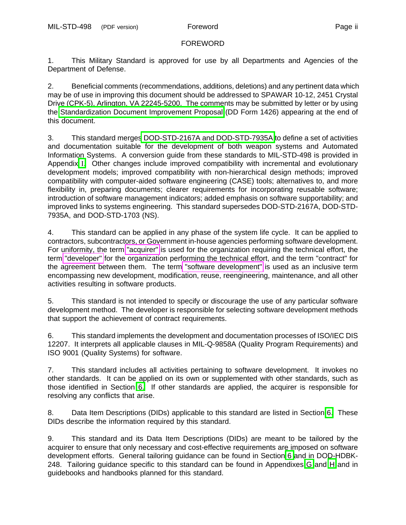#### FOREWORD

<span id="page-1-2"></span><span id="page-1-1"></span>1. This Military Standard is approved for use by all Departments and Agencies of the Department of Defense.

2. Beneficial comments (recommendations, additions, deletions) and any pertinent data which may be of use in improving this document should be addressed to SPAWAR 10-12, 2451 Crystal Drive (CPK-5), Arlington, VA 22245-5200. The comments may be submitted by letter or by using the [Standardization Document Improvement Proposal](#page-75-0) (DD Form 1426) appearing at the end of this document.

<span id="page-1-5"></span>3. This standard merge[s DOD-STD-2167A and DOD-STD-7935A](#page-67-0) to define a set of activities and documentation suitable for the development of both weapon systems and Automated Information Systems. A conversion guide from these standards to MIL-STD-498 is provided in Appendix [I](#page-64-0). Other changes include improved compatibility with incremental and evolutionary development models; improved compatibility with non-hierarchical design methods; improved compatibility with computer-aided software engineering (CASE) tools; alternatives to, and more flexibility in, preparing documents; clearer requirements for incorporating reusable software; introduction of software management indicators; added emphasis on software supportability; and improved links to systems engineering. This standard supersedes DOD-STD-2167A, DOD-STD-7935A, and DOD-STD-1703 (NS).

<span id="page-1-4"></span>4. This standard can be applied in any phase of the system life cycle. It can be applied to contractors, subcontractors, or Government in-house agencies performing software development. For uniformity, the term ["acquirer"](#page-11-0) is used for the organization requiring the technical effort, the term ["developer"](#page-12-0) for the organization performing the technical effort, and the term "contract" for the agreement between them. The term ["software development"](#page-13-0) is used as an inclusive term encompassing new development, modification, reuse, reengineering, maintenance, and all other activities resulting in software products.

<span id="page-1-3"></span>5. This standard is not intended to specify or discourage the use of any particular software development method. The developer is responsible for selecting software development methods that support the achievement of contract requirements.

<span id="page-1-0"></span>6. This standard implements the development and documentation processes of ISO/IEC DIS 12207. It interprets all applicable clauses in MIL-Q-9858A (Quality Program Requirements) and ISO 9001 (Quality Systems) for software.

<span id="page-1-6"></span>7. This standard includes all activities pertaining to software development. It invokes no other standards. It can be applied on its own or supplemented with other standards, such as those identified in Section [6.](#page-36-0) If other standards are applied, the acquirer is responsible for resolving any conflicts that arise.

8. Data Item Descriptions (DIDs) applicable to this standard are listed in Section [6.](#page-35-0) These DIDs describe the information required by this standard.

9. This standard and its Data Item Descriptions (DIDs) are meant to be tailored by the acquirer to ensure that only necessary and cost-effective requirements are imposed on software development efforts. General tailoring guidance can be found in Section [6](#page-36-1) and in DOD-HDBK-248. Tailoring guidance specific to this standard can be found in Appendixes [G](#page-54-0) and [H](#page-63-0) and in guidebooks and handbooks planned for this standard.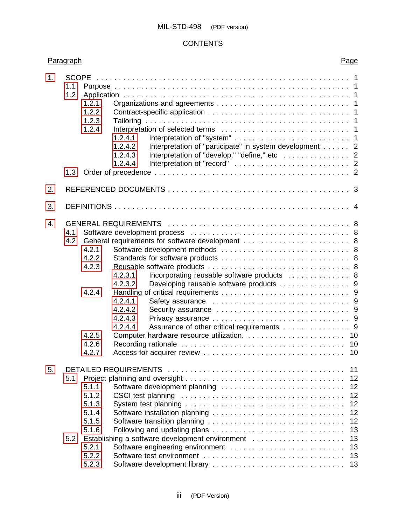<span id="page-2-12"></span><span id="page-2-11"></span><span id="page-2-10"></span><span id="page-2-9"></span><span id="page-2-8"></span><span id="page-2-7"></span><span id="page-2-6"></span><span id="page-2-5"></span><span id="page-2-4"></span><span id="page-2-3"></span><span id="page-2-2"></span><span id="page-2-1"></span><span id="page-2-0"></span>

| 1.               | 1.1<br>1.2<br>1.3 | 1.2.1<br>1.2.2<br>1.2.3<br>1.2.4                                              | 1.2.4.1<br>Interpretation of "participate" in system development 2<br>1.2.4.2<br>Interpretation of "develop," "define," etc 2<br>1.2.4.3<br>1.2.4.4                                                                                                                          |  |
|------------------|-------------------|-------------------------------------------------------------------------------|------------------------------------------------------------------------------------------------------------------------------------------------------------------------------------------------------------------------------------------------------------------------------|--|
| 2.               |                   |                                                                               |                                                                                                                                                                                                                                                                              |  |
| 3.               |                   |                                                                               |                                                                                                                                                                                                                                                                              |  |
| $\overline{4}$ . | 4.1<br>4.2        | 4.2.1<br>4.2.2<br>4.2.3<br>4.2.4<br>4.2.5<br>4.2.6<br>4.2.7                   | General requirements for software development  8<br>Incorporating reusable software products  8<br>4.2.3.1<br>Developing reusable software products 9<br>4.2.3.2<br>4.2.4.1<br>4.2.4.2<br>4.2.4.3<br>Assurance of other critical requirements 9<br>4.2.4.4<br>10<br>10<br>10 |  |
| 5.               | 5.1<br>5.2        | 5.1.1<br>5.1.2<br>5.1.3<br>5.1.4<br>5.1.5<br>5.1.6<br>5.2.1<br>5.2.2<br>5.2.3 | <b>DETAILED REQUIREMENTS</b><br>11<br>12<br>12<br>Software development planning<br>12<br>12<br>12<br>12<br>13<br>Establishing a software development environment<br>13<br>Software engineering environment<br>13<br>13<br>13                                                 |  |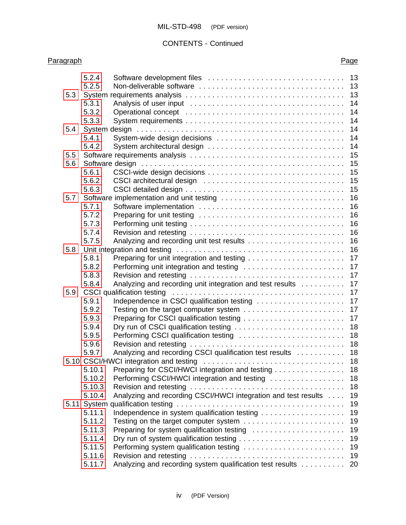<span id="page-3-17"></span><span id="page-3-16"></span><span id="page-3-15"></span><span id="page-3-14"></span><span id="page-3-13"></span><span id="page-3-12"></span><span id="page-3-11"></span><span id="page-3-10"></span><span id="page-3-9"></span><span id="page-3-8"></span><span id="page-3-7"></span><span id="page-3-6"></span><span id="page-3-5"></span><span id="page-3-4"></span><span id="page-3-3"></span><span id="page-3-2"></span><span id="page-3-1"></span><span id="page-3-0"></span>

|     | 5.2.4  |                                                                | 13 |
|-----|--------|----------------------------------------------------------------|----|
|     | 5.2.5  |                                                                | 13 |
| 5.3 |        |                                                                | 13 |
|     | 5.3.1  |                                                                | 14 |
|     | 5.3.2  |                                                                | 14 |
|     | 5.3.3  |                                                                | 14 |
| 5.4 |        |                                                                | 14 |
|     | 5.4.1  | System-wide design decisions                                   | 14 |
|     | 5.4.2  |                                                                | 14 |
| 5.5 |        |                                                                | 15 |
| 5.6 |        |                                                                | 15 |
|     | 5.6.1  |                                                                | 15 |
|     | 5.6.2  |                                                                | 15 |
|     | 5.6.3  |                                                                | 15 |
| 5.7 |        | Software implementation and unit testing                       | 16 |
|     | 5.7.1  |                                                                | 16 |
|     | 5.7.2  |                                                                | 16 |
|     | 5.7.3  |                                                                | 16 |
|     | 5.7.4  |                                                                | 16 |
|     | 5.7.5  |                                                                | 16 |
| 5.8 |        |                                                                | 16 |
|     | 5.8.1  |                                                                | 17 |
|     | 5.8.2  | Performing unit integration and testing                        | 17 |
|     | 5.8.3  |                                                                | 17 |
|     | 5.8.4  | Analyzing and recording unit integration and test results      | 17 |
| 5.9 |        | CSCI qualification testing                                     | 17 |
|     | 5.9.1  | Independence in CSCI qualification testing                     | 17 |
|     | 5.9.2  |                                                                | 17 |
|     | 5.9.3  |                                                                | 17 |
|     | 5.9.4  |                                                                | 18 |
|     | 5.9.5  | Performing CSCI qualification testing                          | 18 |
|     | 5.9.6  |                                                                | 18 |
|     | 5.9.7  | Analyzing and recording CSCI qualification test results        | 18 |
|     |        |                                                                | 18 |
|     | 5.10.1 | Preparing for CSCI/HWCI integration and testing 18             |    |
|     | 5.10.2 | Performing CSCI/HWCI integration and testing                   | 18 |
|     | 5.10.3 |                                                                | 18 |
|     | 5.10.4 | Analyzing and recording CSCI/HWCI integration and test results | 19 |
|     |        |                                                                | 19 |
|     | 5.11.1 |                                                                | 19 |
|     | 5.11.2 |                                                                | 19 |
|     | 5.11.3 | Preparing for system qualification testing                     | 19 |
|     | 5.11.4 |                                                                | 19 |
|     | 5.11.5 | Performing system qualification testing                        | 19 |
|     | 5.11.6 |                                                                | 19 |
|     | 5.11.7 | Analyzing and recording system qualification test results      | 20 |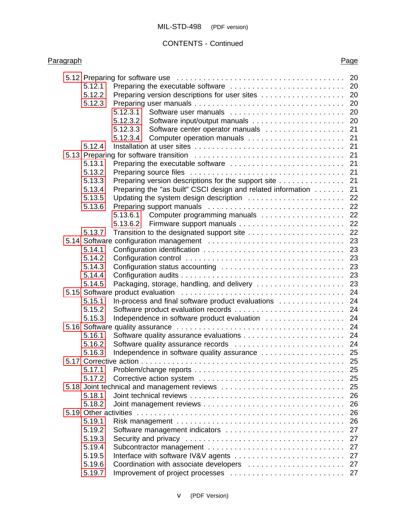<span id="page-4-26"></span><span id="page-4-25"></span><span id="page-4-24"></span><span id="page-4-23"></span><span id="page-4-22"></span><span id="page-4-21"></span><span id="page-4-20"></span><span id="page-4-19"></span><span id="page-4-18"></span><span id="page-4-17"></span><span id="page-4-16"></span><span id="page-4-15"></span><span id="page-4-14"></span><span id="page-4-13"></span><span id="page-4-12"></span><span id="page-4-11"></span><span id="page-4-10"></span><span id="page-4-9"></span><span id="page-4-8"></span><span id="page-4-7"></span><span id="page-4-6"></span><span id="page-4-5"></span><span id="page-4-4"></span><span id="page-4-3"></span><span id="page-4-2"></span><span id="page-4-1"></span><span id="page-4-0"></span>

|        | 5.12 Preparing for software use contained and solution contained a series of the series of the series of the s | 20 |
|--------|----------------------------------------------------------------------------------------------------------------|----|
| 5.12.1 |                                                                                                                |    |
| 5.12.2 | Preparing version descriptions for user sites  20                                                              |    |
| 5.12.3 |                                                                                                                | 20 |
|        | 5.12.3.1<br>Software user manuals                                                                              | 20 |
|        | 5.12.3.2                                                                                                       | 20 |
|        | Software center operator manuals<br>5.12.3.3                                                                   | 21 |
|        | 5.12.3.4                                                                                                       |    |
| 5.12.4 |                                                                                                                |    |
|        |                                                                                                                |    |
| 5.13.1 |                                                                                                                | 21 |
| 5.13.2 |                                                                                                                | 21 |
| 5.13.3 | Preparing version descriptions for the support site                                                            | 21 |
| 5.13.4 | Preparing the "as built" CSCI design and related information                                                   | 21 |
| 5.13.5 | Updating the system design description  22                                                                     |    |
| 5.13.6 |                                                                                                                |    |
|        | Computer programming manuals<br>5.13.6.1                                                                       | 22 |
|        | 5.13.6.2                                                                                                       | 22 |
| 5.13.7 |                                                                                                                | 22 |
|        |                                                                                                                | 23 |
| 5.14.1 |                                                                                                                |    |
| 5.14.2 |                                                                                                                |    |
| 5.14.3 |                                                                                                                | 23 |
| 5.14.4 |                                                                                                                | 23 |
| 5.14.5 | Packaging, storage, handling, and delivery                                                                     | 23 |
|        |                                                                                                                | 24 |
| 5.15.1 | In-process and final software product evaluations                                                              | 24 |
| 5.15.2 |                                                                                                                |    |
| 5.15.3 | Independence in software product evaluation                                                                    | 24 |
|        |                                                                                                                | 24 |
| 5.16.1 |                                                                                                                | 24 |
| 5.16.2 |                                                                                                                |    |
| 5.16.3 | Independence in software quality assurance  25                                                                 |    |
|        |                                                                                                                |    |
| 5.17.1 |                                                                                                                |    |
| 5.17.2 |                                                                                                                | 25 |
|        | 5.18 Joint technical and management reviews                                                                    | 25 |
| 5.18.1 |                                                                                                                | 26 |
| 5.18.2 |                                                                                                                | 26 |
|        |                                                                                                                | 26 |
| 5.19.1 |                                                                                                                | 26 |
| 5.19.2 | Software management indicators                                                                                 | 27 |
| 5.19.3 |                                                                                                                | 27 |
| 5.19.4 |                                                                                                                | 27 |
| 5.19.5 | Interface with software IV&V agents                                                                            | 27 |
| 5.19.6 | Coordination with associate developers                                                                         | 27 |
| 5.19.7 |                                                                                                                | 27 |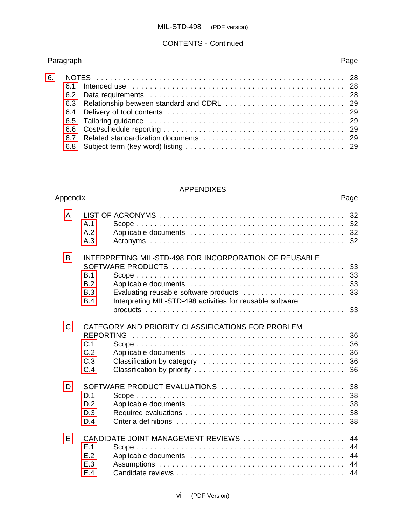<span id="page-5-1"></span>

### APPENDIXES

<span id="page-5-10"></span><span id="page-5-9"></span><span id="page-5-8"></span><span id="page-5-7"></span><span id="page-5-6"></span><span id="page-5-5"></span><span id="page-5-4"></span><span id="page-5-3"></span><span id="page-5-2"></span><span id="page-5-0"></span>

| Appendix     |                                                                                                                                                                                          |                            |  |  |  |
|--------------|------------------------------------------------------------------------------------------------------------------------------------------------------------------------------------------|----------------------------|--|--|--|
| A            | A.1<br>A.2<br>A.3                                                                                                                                                                        | 32<br>32<br>32<br>32       |  |  |  |
| B            | INTERPRETING MIL-STD-498 FOR INCORPORATION OF REUSABLE<br>B.1<br>B.2<br>Evaluating reusable software products<br>B.3<br>Interpreting MIL-STD-498 activities for reusable software<br>B.4 | 33<br>33<br>33<br>33       |  |  |  |
|              |                                                                                                                                                                                          |                            |  |  |  |
| $\mathsf{C}$ | CATEGORY AND PRIORITY CLASSIFICATIONS FOR PROBLEM<br><b>REPORTING</b><br>C.1<br>C.2<br>C.3<br>C.4                                                                                        | 36<br>36<br>36<br>36<br>36 |  |  |  |
| D            | SOFTWARE PRODUCT EVALUATIONS<br>D.1<br>D.2<br>D.3<br>D.4                                                                                                                                 | 38<br>38<br>38<br>38<br>38 |  |  |  |
| E            | CANDIDATE JOINT MANAGEMENT REVIEWS<br>E.1<br>E.2<br>E.3<br>E.4                                                                                                                           | 44<br>44<br>44<br>44<br>44 |  |  |  |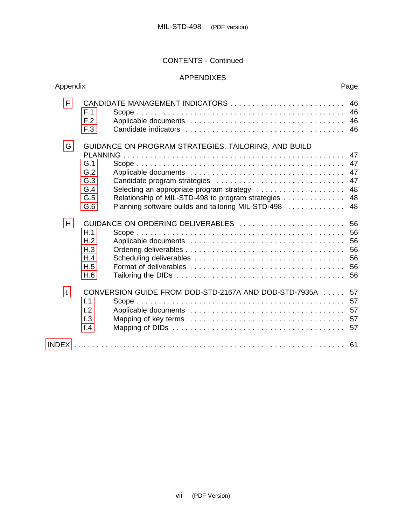<span id="page-6-4"></span><span id="page-6-3"></span><span id="page-6-2"></span><span id="page-6-1"></span><span id="page-6-0"></span>

| F | F.1<br>F.2<br>F.3                                    |                                                           | 46<br>46 |  |  |
|---|------------------------------------------------------|-----------------------------------------------------------|----------|--|--|
| G | GUIDANCE ON PROGRAM STRATEGIES, TAILORING, AND BUILD |                                                           |          |  |  |
|   | G.1                                                  |                                                           | 47<br>47 |  |  |
|   | G.2                                                  |                                                           | 47       |  |  |
|   | G.3                                                  | Candidate program strategies                              | 47       |  |  |
|   | G.4                                                  | Selecting an appropriate program strategy                 | 48       |  |  |
|   | G.5                                                  | Relationship of MIL-STD-498 to program strategies         | 48       |  |  |
|   | G.6                                                  | Planning software builds and tailoring MIL-STD-498        | 48       |  |  |
| H | H.1<br>H <sub>.2</sub><br>H.3<br>H.4<br>H.5<br>H.6   |                                                           |          |  |  |
| I | I.1<br>I.2<br>I.3<br>I.4                             | CONVERSION GUIDE FROM DOD-STD-2167A AND DOD-STD-7935A  57 |          |  |  |
|   |                                                      |                                                           |          |  |  |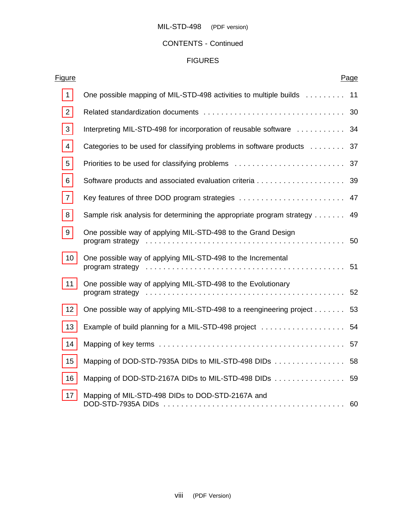<span id="page-7-5"></span><span id="page-7-4"></span><span id="page-7-3"></span><span id="page-7-2"></span><span id="page-7-1"></span><span id="page-7-0"></span>

| <u>Figure</u>  |                                                                          | Page |
|----------------|--------------------------------------------------------------------------|------|
| $\mathbf{1}$   | One possible mapping of MIL-STD-498 activities to multiple builds  11    |      |
| $\overline{2}$ |                                                                          |      |
| 3              | Interpreting MIL-STD-498 for incorporation of reusable software  34      |      |
| 4              | Categories to be used for classifying problems in software products  37  |      |
| 5              |                                                                          |      |
| 6              |                                                                          |      |
| $\overline{7}$ | Key features of three DOD program strategies  47                         |      |
| 8              | Sample risk analysis for determining the appropriate program strategy 49 |      |
| 9              | One possible way of applying MIL-STD-498 to the Grand Design             |      |
| 10             | One possible way of applying MIL-STD-498 to the Incremental              |      |
| 11             | One possible way of applying MIL-STD-498 to the Evolutionary             |      |
| 12             | One possible way of applying MIL-STD-498 to a reengineering project 53   |      |
| 13             | Example of build planning for a MIL-STD-498 project  54                  |      |
| 14             |                                                                          |      |
| 15             | Mapping of DOD-STD-7935A DIDs to MIL-STD-498 DIDs 58                     |      |
| 16             | Mapping of DOD-STD-2167A DIDs to MIL-STD-498 DIDs 59                     |      |
| 17             | Mapping of MIL-STD-498 DIDs to DOD-STD-2167A and                         |      |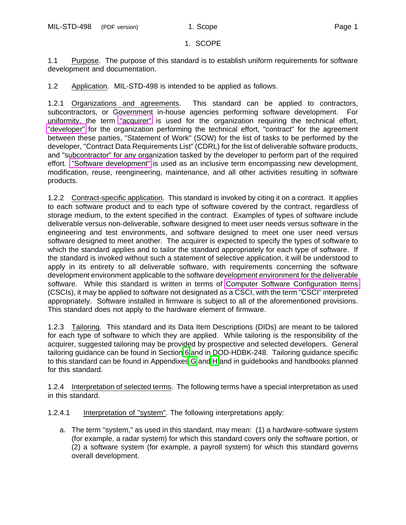#### 1. SCOPE

<span id="page-8-13"></span><span id="page-8-10"></span><span id="page-8-5"></span><span id="page-8-4"></span><span id="page-8-0"></span>1.1 Purpose. The purpose of this standard is to establish uniform requirements for software development and documentation.

1.2 Application. MIL-STD-498 is intended to be applied as follows.

<span id="page-8-8"></span><span id="page-8-6"></span><span id="page-8-3"></span>1.2.1 Organizations and agreements. This standard can be applied to contractors, subcontractors, or Government in-house agencies performing software development. For uniformity, the term ["acquirer"](#page-11-0) is used for the organization requiring the technical effort, ["developer"](#page-12-0) for the organization performing the technical effort, "contract" for the agreement between these parties, "Statement of Work" (SOW) for the list of tasks to be performed by the developer, "Contract Data Requirements List" (CDRL) for the list of deliverable software products, and "subcontractor" for any organization tasked by the developer to perform part of the required effort. ["Software development"](#page-13-0) is used as an inclusive term encompassing new development, modification, reuse, reengineering, maintenance, and all other activities resulting in software products.

<span id="page-8-12"></span><span id="page-8-11"></span>1.2.2 Contract-specific application. This standard is invoked by citing it on a contract. It applies to each software product and to each type of software covered by the contract, regardless of storage medium, to the extent specified in the contract. Examples of types of software include deliverable versus non-deliverable, software designed to meet user needs versus software in the engineering and test environments, and software designed to meet one user need versus software designed to meet another. The acquirer is expected to specify the types of software to which the standard applies and to tailor the standard appropriately for each type of software. If the standard is invoked without such a statement of selective application, it will be understood to apply in its entirety to all deliverable software, with requirements concerning the software development environment applicable to the software development environment for the deliverable software. While this standard is written in terms of [Computer Software Configuration Items](#page-12-1) (CSCIs), it may be applied to software not designated as a CSCI, with the term "CSCI" interpreted appropriately. Software installed in firmware is subject to all of the aforementioned provisions. This standard does not apply to the hardware element of firmware.

<span id="page-8-9"></span><span id="page-8-2"></span><span id="page-8-1"></span>1.2.3 Tailoring. This standard and its Data Item Descriptions (DIDs) are meant to be tailored for each type of software to which they are applied. While tailoring is the responsibility of the acquirer, suggested tailoring may be provided by prospective and selected developers. General tailoring guidance can be found in Section [6](#page-36-7) and in DOD-HDBK-248. Tailoring guidance specific to this standard can be found in Appendixe[s G](#page-54-5) and [H](#page-63-7) and in guidebooks and handbooks planned for this standard.

<span id="page-8-7"></span>1.2.4 Interpretation of selected terms. The following terms have a special interpretation as used in this standard.

- 1.2.4.1 Interpretation of "system". The following interpretations apply:
	- a. The term "system," as used in this standard, may mean: (1) a hardware-software system (for example, a radar system) for which this standard covers only the software portion, or (2) a software system (for example, a payroll system) for which this standard governs overall development.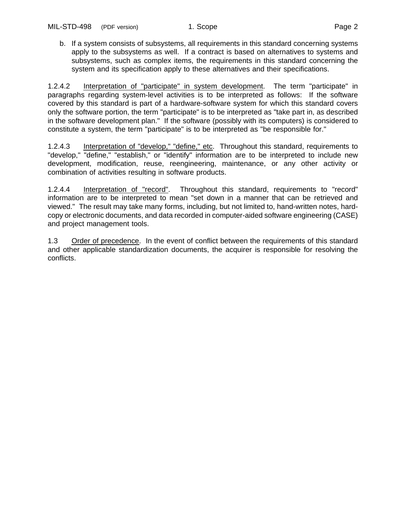<span id="page-9-5"></span><span id="page-9-4"></span><span id="page-9-1"></span>b. If a system consists of subsystems, all requirements in this standard concerning systems apply to the subsystems as well. If a contract is based on alternatives to systems and subsystems, such as complex items, the requirements in this standard concerning the system and its specification apply to these alternatives and their specifications.

<span id="page-9-2"></span>1.2.4.2 Interpretation of "participate" in system development. The term "participate" in paragraphs regarding system-level activities is to be interpreted as follows: If the software covered by this standard is part of a hardware-software system for which this standard covers only the software portion, the term "participate" is to be interpreted as "take part in, as described in the software development plan." If the software (possibly with its computers) is considered to constitute a system, the term "participate" is to be interpreted as "be responsible for."

<span id="page-9-3"></span>1.2.4.3 Interpretation of "develop," "define," etc. Throughout this standard, requirements to "develop," "define," "establish," or "identify" information are to be interpreted to include new development, modification, reuse, reengineering, maintenance, or any other activity or combination of activities resulting in software products.

<span id="page-9-0"></span>1.2.4.4 Interpretation of "record". Throughout this standard, requirements to "record" information are to be interpreted to mean "set down in a manner that can be retrieved and viewed." The result may take many forms, including, but not limited to, hand-written notes, hardcopy or electronic documents, and data recorded in computer-aided software engineering (CASE) and project management tools.

1.3 Order of precedence. In the event of conflict between the requirements of this standard and other applicable standardization documents, the acquirer is responsible for resolving the conflicts.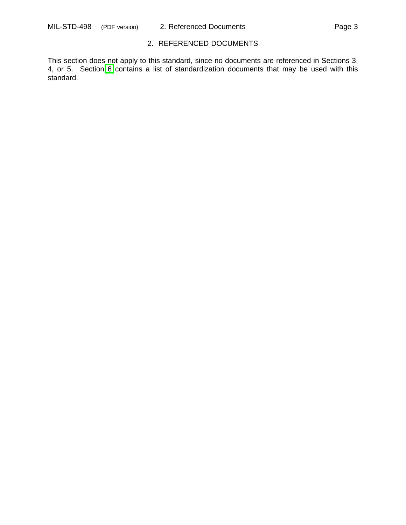### 2. REFERENCED DOCUMENTS

<span id="page-10-0"></span>This section does not apply to this standard, since no documents are referenced in Sections 3, 4, or 5. Section [6](#page-36-8) contains a list of standardization documents that may be used with this standard.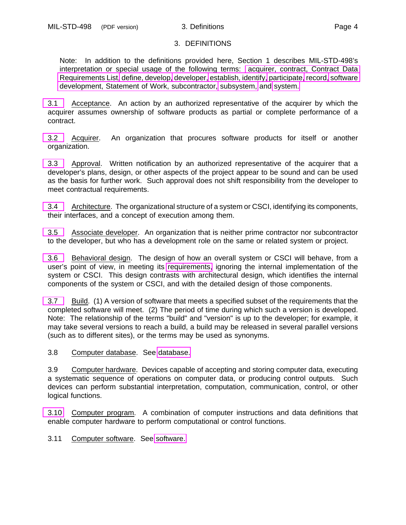## 3. DEFINITIONS

<span id="page-11-1"></span>Note: In addition to the definitions provided here, Section 1 describes MIL-STD-498's interpretation or special usage of the following terms: [acquirer, contract, Contract Data](#page-8-6) [Requirements List,](#page-8-6) [define, develop,](#page-9-3) [developer,](#page-8-6) [establish, identify,](#page-9-3) [participate,](#page-9-4) [record,](#page-9-3) [software](#page-8-6) [development, Statement of Work, subcontractor,](#page-8-6) [subsystem,](#page-8-7) and [system.](#page-8-7)

<span id="page-11-0"></span>[3.1](#page-0-0) Acceptance. An action by an authorized representative of the acquirer by which the acquirer assumes ownership of software products as partial or complete performance of a contract.

[3.2](#page-0-0) Acquirer. An organization that procures software products for itself or another organization.

[3.3](#page-0-1) Approval. Written notification by an authorized representative of the acquirer that a developer's plans, design, or other aspects of the project appear to be sound and can be used as the basis for further work. Such approval does not shift responsibility from the developer to meet contractual requirements.

<span id="page-11-3"></span>[3.4](#page-0-1) Architecture. The organizational structure of a system or CSCI, identifying its components, their interfaces, and a concept of execution among them.

<span id="page-11-4"></span>[3.5](#page-0-4) Associate developer. An organization that is neither prime contractor nor subcontractor to the developer, but who has a development role on the same or related system or project.

[3.6](#page-0-3) Behavioral design. The design of how an overall system or CSCI will behave, from a user's point of view, in meeting its [requirements,](#page-13-1) ignoring the internal implementation of the system or CSCI. This design contrasts with architectural design, which identifies the internal components of the system or CSCI, and with the detailed design of those components.

[3.7](#page-0-3) Build. (1) A version of software that meets a specified subset of the requirements that the completed software will meet. (2) The period of time during which such a version is developed. Note: The relationship of the terms "build" and "version" is up to the developer; for example, it may take several versions to reach a build, a build may be released in several parallel versions (such as to different sites), or the terms may be used as synonyms.

<span id="page-11-2"></span>3.8 Computer database. See [database.](#page-12-2)

3.9 Computer hardware. Devices capable of accepting and storing computer data, executing a systematic sequence of operations on computer data, or producing control outputs. Such devices can perform substantial interpretation, computation, communication, control, or other logical functions.

[3.10](#page-0-2) Computer program. A combination of computer instructions and data definitions that enable computer hardware to perform computational or control functions.

3.11 Computer software. See [software.](#page-13-0)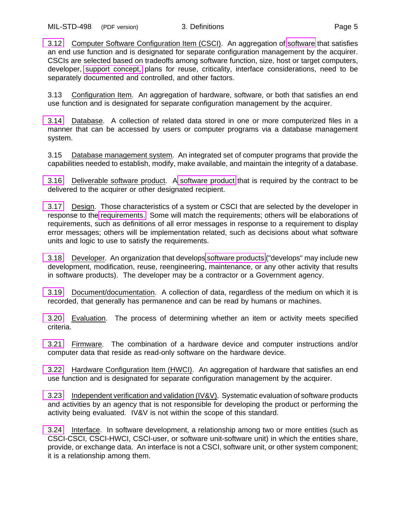<span id="page-12-1"></span>[3.12](#page-0-5) Computer Software Configuration Item (CSCI). An aggregation of [software](#page-13-0) that satisfies an end use function and is designated for separate configuration management by the acquirer. CSCIs are selected based on tradeoffs among software function, size, host or target computers, developer, [support concept,](#page-4-0) plans for reuse, criticality, interface considerations, need to be separately documented and controlled, and other factors.

3.13 Configuration Item. An aggregation of hardware, software, or both that satisfies an end use function and is designated for separate configuration management by the acquirer.

<span id="page-12-2"></span>[3.14](#page-1-0) Database. A collection of related data stored in one or more computerized files in a manner that can be accessed by users or computer programs via a database management system.

3.15 Database management system. An integrated set of computer programs that provide the capabilities needed to establish, modify, make available, and maintain the integrity of a database.

[3.16](#page-1-2) Deliverable software product. A [software product](#page-14-0) that is required by the contract to be delivered to the acquirer or other designated recipient.

<span id="page-12-3"></span>[3.17](#page-1-1) Design. Those characteristics of a system or CSCI that are selected by the developer in response to the [requirements.](#page-13-1) Some will match the requirements; others will be elaborations of requirements, such as definitions of all error messages in response to a requirement to display error messages; others will be implementation related, such as decisions about what software units and logic to use to satisfy the requirements.

<span id="page-12-0"></span>[3.18](#page-1-5) Developer. An organization that develops [software products](#page-14-0) ("develops" may include new development, modification, reuse, reengineering, maintenance, or any other activity that results in software products). The developer may be a contractor or a Government agency.

[3.19](#page-1-4) Document/documentation. A collection of data, regardless of the medium on which it is recorded, that generally has permanence and can be read by humans or machines.

<span id="page-12-4"></span>[3.20](#page-1-3) Evaluation. The process of determining whether an item or activity meets specified criteria.

[3.21](#page-2-3) Firmware. The combination of a hardware device and computer instructions and/or computer data that reside as read-only software on the hardware device.

<span id="page-12-5"></span>[3.22](#page-2-2) Hardware Configuration Item (HWCI). An aggregation of hardware that satisfies an end use function and is designated for separate configuration management by the acquirer.

[3.23](#page-2-1) Independent verification and validation (IV&V). Systematic evaluation of software products and activities by an agency that is not responsible for developing the product or performing the activity being evaluated. IV&V is not within the scope of this standard.

[3.24](#page-2-0) Interface. In software development, a relationship among two or more entities (such as CSCI-CSCI, CSCI-HWCI, CSCI-user, or software unit-software unit) in which the entities share, provide, or exchange data. An interface is not a CSCI, software unit, or other system component; it is a relationship among them.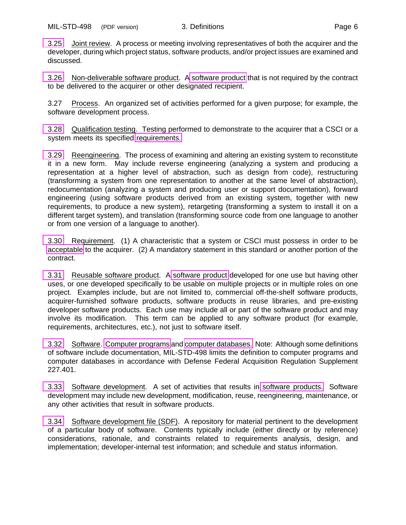[3.25](#page-2-0) Joint review. A process or meeting involving representatives of both the acquirer and the developer, during which project status, software products, and/or project issues are examined and discussed.

<span id="page-13-4"></span>[3.26](#page-2-4) Non-deliverable software product. [A software product](#page-14-0) that is not required by the contract to be delivered to the acquirer or other designated recipient.

3.27 Process. An organized set of activities performed for a given purpose; for example, the software development process.

<span id="page-13-5"></span>[3.28](#page-3-5) Qualification testing. Testing performed to demonstrate to the acquirer that a CSCI or a system meets its specified [requirements.](#page-13-1)

[3.29](#page-3-4) Reengineering. The process of examining and altering an existing system to reconstitute it in a new form. May include reverse engineering (analyzing a system and producing a representation at a higher level of abstraction, such as design from code), restructuring (transforming a system from one representation to another at the same level of abstraction), redocumentation (analyzing a system and producing user or support documentation), forward engineering (using software products derived from an existing system, together with new requirements, to produce a new system), retargeting (transforming a system to install it on a different target system), and translation (transforming source code from one language to another or from one version of a language to another).

<span id="page-13-1"></span>[3.30](#page-3-3) Requirement. (1) A characteristic that a system or CSCI must possess in order to be [acceptable](#page-11-0) to the acquirer. (2) A mandatory statement in this standard or another portion of the contract.

<span id="page-13-2"></span>[3.31](#page-3-2) Reusable software product. A [software product](#page-14-0) developed for one use but having other uses, or one developed specifically to be usable on multiple projects or in multiple roles on one project. Examples include, but are not limited to, commercial off-the-shelf software products, acquirer-furnished software products, software products in reuse libraries, and pre-existing developer software products. Each use may include all or part of the software product and may involve its modification. This term can be applied to any software product (for example, requirements, architectures, etc.), not just to software itself.

<span id="page-13-0"></span>[3.32](#page-3-1) Software. [Computer programs](#page-11-2) and [computer databases.](#page-11-2) Note: Although some definitions of software include documentation, MIL-STD-498 limits the definition to computer programs and computer databases in accordance with Defense Federal Acquisition Regulation Supplement 227.401.

<span id="page-13-3"></span>[3.33](#page-3-0) Software development. A set of activities that results in [software products.](#page-14-0) Software development may include new development, modification, reuse, reengineering, maintenance, or any other activities that result in software products.

[3.34](#page-4-1) Software development file (SDF). A repository for material pertinent to the development of a particular body of software. Contents typically include (either directly or by reference) considerations, rationale, and constraints related to requirements analysis, design, and implementation; developer-internal test information; and schedule and status information.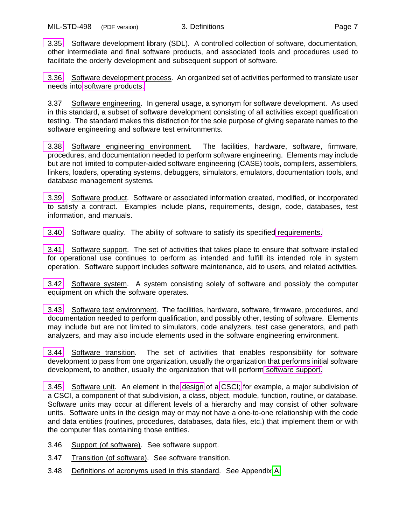<span id="page-14-7"></span>[3.35](#page-4-1) Software development library (SDL). A controlled collection of software, documentation, other intermediate and final software products, and associated tools and procedures used to facilitate the orderly development and subsequent support of software.

<span id="page-14-3"></span>[3.36](#page-4-9) Software development process. An organized set of activities performed to translate user needs into [software products.](#page-14-0)

<span id="page-14-5"></span>3.37 Software engineering. In general usage, a synonym for software development. As used in this standard, a subset of software development consisting of all activities except qualification testing. The standard makes this distinction for the sole purpose of giving separate names to the software engineering and software test environments.

[3.38](#page-4-8) Software engineering environment. The facilities, hardware, software, firmware, procedures, and documentation needed to perform software engineering. Elements may include but are not limited to computer-aided software engineering (CASE) tools, compilers, assemblers, linkers, loaders, operating systems, debuggers, simulators, emulators, documentation tools, and database management systems.

<span id="page-14-2"></span><span id="page-14-0"></span>[3.39](#page-4-7) Software product. Software or associated information created, modified, or incorporated to satisfy a contract. Examples include plans, requirements, design, code, databases, test information, and manuals.

[3.40](#page-4-6) Software quality. The ability of software to satisfy its specified [requirements.](#page-13-1)

<span id="page-14-1"></span>[3.41](#page-4-5) Software support. The set of activities that takes place to ensure that software installed for operational use continues to perform as intended and fulfill its intended role in system operation. Software support includes software maintenance, aid to users, and related activities.

[3.42](#page-4-3) Software system. A system consisting solely of software and possibly the computer equipment on which the software operates.

<span id="page-14-6"></span>[3.43](#page-5-0) Software test environment. The facilities, hardware, software, firmware, procedures, and documentation needed to perform qualification, and possibly other, testing of software. Elements may include but are not limited to simulators, code analyzers, test case generators, and path analyzers, and may also include elements used in the software engineering environment.

<span id="page-14-4"></span>[3.44](#page-4-2) Software transition. The set of activities that enables responsibility for software development to pass from one organization, usually the organization that performs initial software development, to another, usually the organization that will perform [software support.](#page-14-1)

[3.45](#page-4-4) Software unit. An element in the [design](#page-12-3) of a [CSCI;](#page-12-1) for example, a major subdivision of a CSCI, a component of that subdivision, a class, object, module, function, routine, or database. Software units may occur at different levels of a hierarchy and may consist of other software units. Software units in the design may or may not have a one-to-one relationship with the code and data entities (routines, procedures, databases, data files, etc.) that implement them or with the computer files containing those entities.

3.46 Support (of software). See software support.

3.47 Transition (of software). See software transition.

3.48 Definitions of acronyms used in this standard. See Appendix [A.](#page-39-3)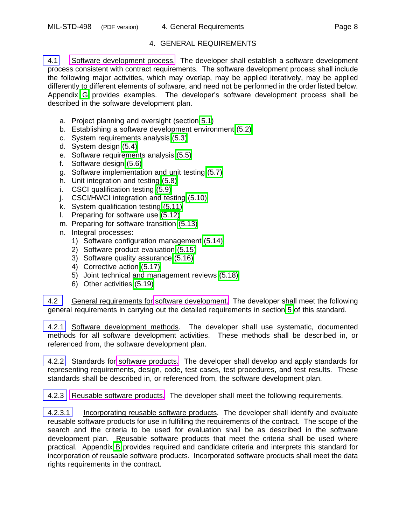# 4. GENERAL REQUIREMENTS

<span id="page-15-3"></span><span id="page-15-0"></span>[4.1](#page-3-9) [Software development process.](#page-14-3) The developer shall establish a software development process consistent with contract requirements. The software development process shall include the following major activities, which may overlap, may be applied iteratively, may be applied differently to different elements of software, and need not be performed in the order listed below. Appendix [G](#page-54-6) provides examples. The developer's software development process shall be described in the software development plan.

- a. Project planning and oversight (section [5.1\)](#page-19-4)
- b. Establishing a software development environment [\(5.2\)](#page-20-6)
- c. System requirements analysis [\(5.3\)](#page-20-7)
- d. System design [\(5.4\)](#page-21-5)
- e. Software requirements analysis [\(5.5\)](#page-22-5)
- f. Software design [\(5.6\)](#page-22-6)
- g. Software implementation and unit testing [\(5.7\)](#page-23-5)
- h. Unit integration and testing [\(5.8\)](#page-23-6)
- i. CSCI qualification testing [\(5.9\)](#page-24-5)
- j. CSCI/HWCI integration and testing [\(5.10\)](#page-25-5)
- k. System qualification testing [\(5.11\)](#page-26-6)
- l. Preparing for software use [\(5.12\)](#page-27-5)
- m. Preparing for software transition [\(5.13\)](#page-28-5)
- <span id="page-15-1"></span>n. Integral processes:
	- 1) Software configuration management [\(5.14\)](#page-30-6)
	- 2) Software product evaluation [\(5.15\)](#page-31-5)
	- 3) Software quality assurance [\(5.16\)](#page-31-6)
	- 4) Corrective action [\(5.17\)](#page-32-4)
	- 5) Joint technical and management reviews [\(5.18\)](#page-32-5)
	- 6) Other activities [\(5.19\)](#page-33-3)

[4.2](#page-3-6) General requirements for [software development.](#page-13-0) The developer shall meet the following general requirements in carrying out the detailed requirements in section [5](#page-18-2) of this standard.

<span id="page-15-2"></span>[4.2.1](#page-3-6) Software development methods. The developer shall use systematic, documented methods for all software development activities. These methods shall be described in, or referenced from, the software development plan.

[4.2.2](#page-3-7) Standards for [software products.](#page-14-2) The developer shall develop and apply standards for representing requirements, design, code, test cases, test procedures, and test results. These standards shall be described in, or referenced from, the software development plan.

[4.2.3](#page-3-8) [Reusable software products.](#page-13-2) The developer shall meet the following requirements.

[4.2.3.1](#page-3-8) Incorporating reusable software products. The developer shall identify and evaluate reusable software products for use in fulfilling the requirements of the contract. The scope of the search and the criteria to be used for evaluation shall be as described in the software development plan. Reusable software products that meet the criteria shall be used where practical. Appendix [B](#page-40-4) provides required and candidate criteria and interprets this standard for incorporation of reusable software products. Incorporated software products shall meet the data rights requirements in the contract.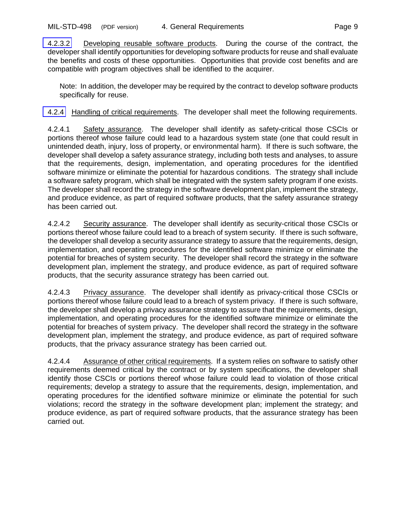<span id="page-16-1"></span><span id="page-16-0"></span>[4.2.3.2](#page-4-11) Developing reusable software products. During the course of the contract, the developer shall identify opportunities for developing software products for reuse and shall evaluate the benefits and costs of these opportunities. Opportunities that provide cost benefits and are compatible with program objectives shall be identified to the acquirer.

Note: In addition, the developer may be required by the contract to develop software products specifically for reuse.

[4.2.4](#page-4-10) Handling of critical requirements. The developer shall meet the following requirements.

<span id="page-16-2"></span>4.2.4.1 Safety assurance. The developer shall identify as safety-critical those CSCIs or portions thereof whose failure could lead to a hazardous system state (one that could result in unintended death, injury, loss of property, or environmental harm). If there is such software, the developer shall develop a safety assurance strategy, including both tests and analyses, to assure that the requirements, design, implementation, and operating procedures for the identified software minimize or eliminate the potential for hazardous conditions. The strategy shall include a software safety program, which shall be integrated with the system safety program if one exists. The developer shall record the strategy in the software development plan, implement the strategy, and produce evidence, as part of required software products, that the safety assurance strategy has been carried out.

<span id="page-16-3"></span>4.2.4.2 Security assurance. The developer shall identify as security-critical those CSCIs or portions thereof whose failure could lead to a breach of system security. If there is such software, the developer shall develop a security assurance strategy to assure that the requirements, design, implementation, and operating procedures for the identified software minimize or eliminate the potential for breaches of system security. The developer shall record the strategy in the software development plan, implement the strategy, and produce evidence, as part of required software products, that the security assurance strategy has been carried out.

<span id="page-16-4"></span>4.2.4.3 Privacy assurance. The developer shall identify as privacy-critical those CSCIs or portions thereof whose failure could lead to a breach of system privacy. If there is such software, the developer shall develop a privacy assurance strategy to assure that the requirements, design, implementation, and operating procedures for the identified software minimize or eliminate the potential for breaches of system privacy. The developer shall record the strategy in the software development plan, implement the strategy, and produce evidence, as part of required software products, that the privacy assurance strategy has been carried out.

4.2.4.4 Assurance of other critical requirements. If a system relies on software to satisfy other requirements deemed critical by the contract or by system specifications, the developer shall identify those CSCIs or portions thereof whose failure could lead to violation of those critical requirements; develop a strategy to assure that the requirements, design, implementation, and operating procedures for the identified software minimize or eliminate the potential for such violations; record the strategy in the software development plan; implement the strategy; and produce evidence, as part of required software products, that the assurance strategy has been carried out.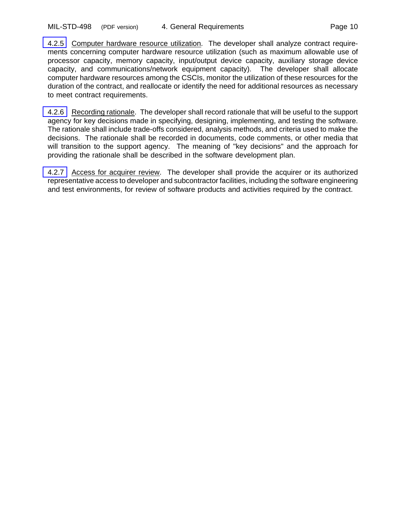<span id="page-17-1"></span><span id="page-17-0"></span>[4.2.5](#page-4-12) Computer hardware resource utilization. The developer shall analyze contract requirements concerning computer hardware resource utilization (such as maximum allowable use of processor capacity, memory capacity, input/output device capacity, auxiliary storage device capacity, and communications/network equipment capacity). The developer shall allocate computer hardware resources among the CSCIs, monitor the utilization of these resources for the duration of the contract, and reallocate or identify the need for additional resources as necessary to meet contract requirements.

[4.2.6](#page-4-12) Recording rationale. The developer shall record rationale that will be useful to the support agency for key decisions made in specifying, designing, implementing, and testing the software. The rationale shall include trade-offs considered, analysis methods, and criteria used to make the decisions. The rationale shall be recorded in documents, code comments, or other media that will transition to the support agency. The meaning of "key decisions" and the approach for providing the rationale shall be described in the software development plan.

[4.2.7](#page-4-12) Access for acquirer review. The developer shall provide the acquirer or its authorized representative access to developer and subcontractor facilities, including the software engineering and test environments, for review of software products and activities required by the contract.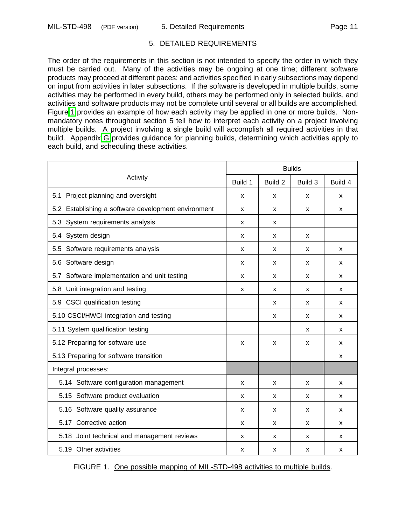### 5. DETAILED REQUIREMENTS

<span id="page-18-2"></span><span id="page-18-1"></span><span id="page-18-0"></span>The order of the requirements in this section is not intended to specify the order in which they must be carried out. Many of the activities may be ongoing at one time; different software products may proceed at different paces; and activities specified in early subsections may depend on input from activities in later subsections. If the software is developed in multiple builds, some activities may be performed in every build, others may be performed only in selected builds, and activities and software products may not be complete until several or all builds are accomplished. Figure [1](#page-18-3) provides an example of how each activity may be applied in one or more builds. Nonmandatory notes throughout section 5 tell how to interpret each activity on a project involving multiple builds. A project involving a single build will accomplish all required activities in that build. Appendix [G](#page-54-0) provides guidance for planning builds, determining which activities apply to each build, and scheduling these activities.

<span id="page-18-3"></span>

| Activity                                            |   | <b>Builds</b> |         |         |  |
|-----------------------------------------------------|---|---------------|---------|---------|--|
|                                                     |   | Build 2       | Build 3 | Build 4 |  |
| Project planning and oversight<br>5.1               | X | x             | x       | x       |  |
| 5.2 Establishing a software development environment | X | X             | X       | X       |  |
| 5.3 System requirements analysis                    | x | x             |         |         |  |
| 5.4 System design                                   | X | x             | X       |         |  |
| 5.5 Software requirements analysis                  | x | x             | x       | x       |  |
| 5.6 Software design                                 | X | x             | x       | X       |  |
| 5.7 Software implementation and unit testing        | x | x             | x       | x       |  |
| 5.8 Unit integration and testing                    | x | x             | x       | x       |  |
| 5.9 CSCI qualification testing                      |   | X             | X       | X       |  |
| 5.10 CSCI/HWCI integration and testing              |   | x             | x       | x       |  |
| 5.11 System qualification testing                   |   |               | x       | x       |  |
| 5.12 Preparing for software use                     | X | X             | X       | X       |  |
| 5.13 Preparing for software transition              |   |               |         | x       |  |
| Integral processes:                                 |   |               |         |         |  |
| 5.14 Software configuration management              | X | X             | X       | X       |  |
| 5.15 Software product evaluation                    | x | x             | x       | x       |  |
| 5.16 Software quality assurance                     | x | x             | x       | x       |  |
| 5.17 Corrective action                              | x | x             | x       | x       |  |
| 5.18 Joint technical and management reviews         | x | x             | x       | x       |  |
| 5.19 Other activities                               | x | x             | x       | x       |  |

FIGURE 1. One possible mapping of MIL-STD-498 activities to multiple builds.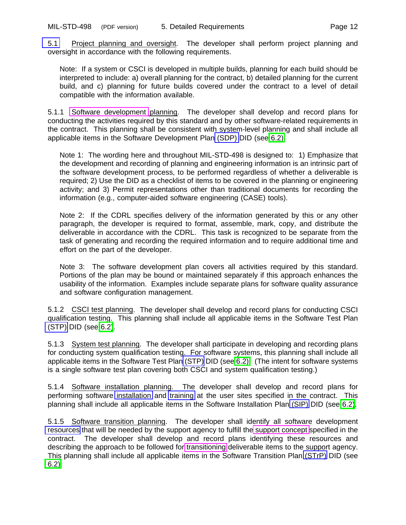<span id="page-19-4"></span><span id="page-19-3"></span><span id="page-19-0"></span>[5.1](#page-4-13) Project planning and oversight. The developer shall perform project planning and oversight in accordance with the following requirements.

Note: If a system or CSCI is developed in multiple builds, planning for each build should be interpreted to include: a) overall planning for the contract, b) detailed planning for the current build, and c) planning for future builds covered under the contract to a level of detail compatible with the information available.

<span id="page-19-5"></span>5.1.1 [Software development](#page-13-0) planning. The developer shall develop and record plans for conducting the activities required by this standard and by other software-related requirements in the contract. This planning shall be consistent with system-level planning and shall include all applicable items in the Software Development Plan [\(SDP\)](#page-0-6) DID (see [6.2\).](#page-35-0)

Note 1: The wording here and throughout MIL-STD-498 is designed to: 1) Emphasize that the development and recording of planning and engineering information is an intrinsic part of the software development process, to be performed regardless of whether a deliverable is required; 2) Use the DID as a checklist of items to be covered in the planning or engineering activity; and 3) Permit representations other than traditional documents for recording the information (e.g., computer-aided software engineering (CASE) tools).

Note 2: If the CDRL specifies delivery of the information generated by this or any other paragraph, the developer is required to format, assemble, mark, copy, and distribute the deliverable in accordance with the CDRL. This task is recognized to be separate from the task of generating and recording the required information and to require additional time and effort on the part of the developer.

<span id="page-19-2"></span>Note 3: The software development plan covers all activities required by this standard. Portions of the plan may be bound or maintained separately if this approach enhances the usability of the information. Examples include separate plans for software quality assurance and software configuration management.

<span id="page-19-6"></span><span id="page-19-1"></span>5.1.2 CSCI test planning. The developer shall develop and record plans for conducting CSCI qualification testing. This planning shall include all applicable items in the Software Test Plan [\(STP\)](#page-0-6) DID (see [6.2\)](#page-35-0).

5.1.3 System test planning. The developer shall participate in developing and recording plans for conducting system qualification testing. For software systems, this planning shall include all applicable items in the Software Test Plan [\(STP\)](#page-0-6) DID (see [6.2\).](#page-35-0) (The intent for software systems is a single software test plan covering both CSCI and system qualification testing.)

<span id="page-19-7"></span>5.1.4 Software installation planning. The developer shall develop and record plans for performing software [installation](#page-2-5) and [training](#page-2-6) at the user sites specified in the contract. This planning shall include all applicable items in the Software Installation Plan [\(SIP\)](#page-0-6) DID (see [6.2\)](#page-35-0).

5.1.5 Software transition planning. The developer shall identify all software development [resources](#page-2-5) that will be needed by the support agency to fulfill th[e support concept](#page-12-1) specified in the contract. The developer shall develop and record plans identifying these resources and describing the approach to be followed for [transitioning](#page-14-4) deliverable items to the support agency. This planning shall include all applicable items in the Software Transition Plan [\(STrP\)](#page-0-6) DID (see [6.2\).](#page-35-0)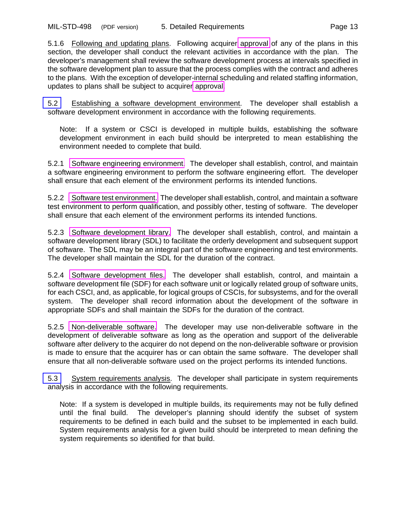<span id="page-20-2"></span><span id="page-20-0"></span>5.1.6 Following and updating plans. Following acquirer [approval](#page-11-0) of any of the plans in this section, the developer shall conduct the relevant activities in accordance with the plan. The developer's management shall review the software development process at intervals specified in the software development plan to assure that the process complies with the contract and adheres to the plans. With the exception of developer-internal scheduling and related staffing information, updates to plans shall be subject to acquirer [approval.](#page-11-0)

<span id="page-20-6"></span>[5.2](#page-5-1) Establishing a software development environment. The developer shall establish a software development environment in accordance with the following requirements.

Note: If a system or CSCI is developed in multiple builds, establishing the software development environment in each build should be interpreted to mean establishing the environment needed to complete that build.

<span id="page-20-3"></span><span id="page-20-1"></span>5.2.1 [Software engineering environment.](#page-14-5) The developer shall establish, control, and maintain a software engineering environment to perform the software engineering effort. The developer shall ensure that each element of the environment performs its intended functions.

5.2.2 [Software test environment.](#page-14-6) The developer shall establish, control, and maintain a software test environment to perform qualification, and possibly other, testing of software. The developer shall ensure that each element of the environment performs its intended functions.

5.2.3 [Software development library.](#page-14-7) The developer shall establish, control, and maintain a software development library (SDL) to facilitate the orderly development and subsequent support of software. The SDL may be an integral part of the software engineering and test environments. The developer shall maintain the SDL for the duration of the contract.

<span id="page-20-4"></span>5.2.4 [Software development files.](#page-13-3) The developer shall establish, control, and maintain a software development file (SDF) for each software unit or logically related group of software units, for each CSCI, and, as applicable, for logical groups of CSCIs, for subsystems, and for the overall system. The developer shall record information about the development of the software in appropriate SDFs and shall maintain the SDFs for the duration of the contract.

<span id="page-20-5"></span>5.2.5 [Non-deliverable software.](#page-13-4) The developer may use non-deliverable software in the development of deliverable software as long as the operation and support of the deliverable software after delivery to the acquirer do not depend on the non-deliverable software or provision is made to ensure that the acquirer has or can obtain the same software. The developer shall ensure that all non-deliverable software used on the project performs its intended functions.

<span id="page-20-7"></span>[5.3](#page-5-2) System requirements analysis. The developer shall participate in system requirements analysis in accordance with the following requirements.

Note: If a system is developed in multiple builds, its requirements may not be fully defined until the final build. The developer's planning should identify the subset of system requirements to be defined in each build and the subset to be implemented in each build. System requirements analysis for a given build should be interpreted to mean defining the system requirements so identified for that build.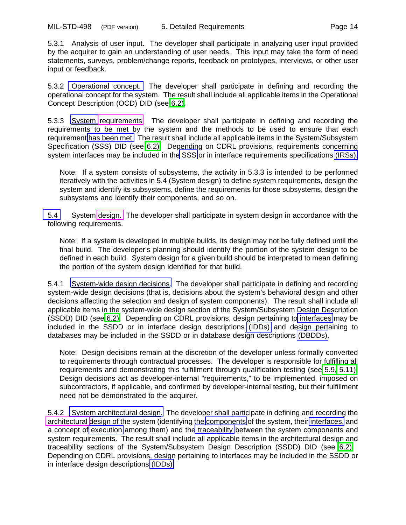<span id="page-21-7"></span><span id="page-21-4"></span>5.3.1 Analysis of user input. The developer shall participate in analyzing user input provided by the acquirer to gain an understanding of user needs. This input may take the form of need statements, surveys, problem/change reports, feedback on prototypes, interviews, or other user input or feedback.

<span id="page-21-3"></span>5.3.2 [Operational concept.](#page-2-3) The developer shall participate in defining and recording the operational concept for the system. The result shall include all applicable items in the Operational Concept Description (OCD) DID (see [6.2\)](#page-35-0).

<span id="page-21-8"></span>5.3.3 [System](#page-2-7) [requirements.](#page-13-1) The developer shall participate in defining and recording the requirements to be met by the system and the methods to be used to ensure that each requirement [has been met.](#page-9-5) The result shall include all applicable items in the System/Subsystem Specification (SSS) DID (see [6.2\).](#page-35-0) Depending on CDRL provisions, requirements concerning system interfaces may be included in th[e SSS](#page-3-11) or in interface requirements specifications [\(IRSs\).](#page-2-7)

<span id="page-21-0"></span>Note: If a system consists of subsystems, the activity in 5.3.3 is intended to be performed iteratively with the activities in 5.4 (System design) to define system requirements, design the system and identify its subsystems, define the requirements for those subsystems, design the subsystems and identify their components, and so on.

<span id="page-21-5"></span><span id="page-21-1"></span>[5.4](#page-5-3) System [design.](#page-12-3) The developer shall participate in system design in accordance with the following requirements.

Note: If a system is developed in multiple builds, its design may not be fully defined until the final build. The developer's planning should identify the portion of the system design to be defined in each build. System design for a given build should be interpreted to mean defining the portion of the system design identified for that build.

<span id="page-21-9"></span><span id="page-21-2"></span>5.4.1 [System-wide design decisions.](#page-2-7) The developer shall participate in defining and recording system-wide design decisions (that is, decisions about the system's behavioral design and other decisions affecting the selection and design of system components). The result shall include all applicable items in the system-wide design section of the System/Subsystem Design Description (SSDD) DID (see [6.2\).](#page-35-0) Depending on CDRL provisions, design pertaining to [interfaces](#page-5-1) may be included in the SSDD or in interface design descriptions [\(IDDs\)](#page-2-8) and design pertaining to databases may be included in the SSDD or in database design descriptions [\(DBDDs\).](#page-2-7)

<span id="page-21-6"></span>Note: Design decisions remain at the discretion of the developer unless formally converted to requirements through contractual processes. The developer is responsible for fulfilling all requirements and demonstrating this fulfillment through qualification testing (see [5.9,](#page-24-6) [5.11\).](#page-26-6) Design decisions act as developer-internal "requirements," to be implemented, imposed on subcontractors, if applicable, and confirmed by developer-internal testing, but their fulfillment need not be demonstrated to the acquirer.

5.4.2 [System architectural design.](#page-3-10) The developer shall participate in defining and recording the [architectural d](#page-11-3)esign of the system (identifying the [components](#page-3-12) of the system, their [interfaces,](#page-5-1) and a concept of [execution](#page-4-14) among them) and th[e traceability](#page-7-0) between the system components and system requirements. The result shall include all applicable items in the architectural design and traceability sections of the System/Subsystem Design Description (SSDD) DID (see [6.2\).](#page-35-0) Depending on CDRL provisions, design pertaining to interfaces may be included in the SSDD or in interface design descriptions [\(IDDs\).](#page-2-8)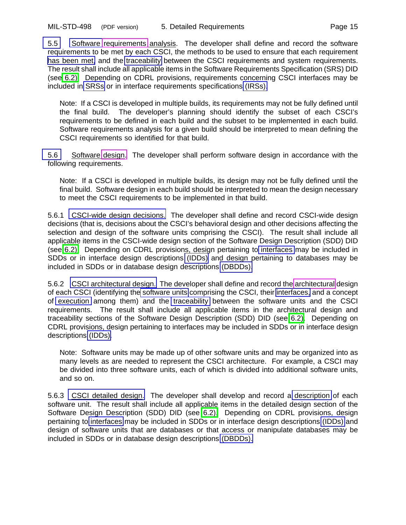<span id="page-22-7"></span><span id="page-22-5"></span><span id="page-22-0"></span>[5.5](#page-5-4) [Software](#page-2-7) [requirements](#page-13-1) analysis. The developer shall define and record the software requirements to be met by each CSCI, the methods to be used to ensure that each requirement [has been met,](#page-8-8) and the [traceability](#page-8-9) between the CSCI requirements and system requirements. The result shall include all applicable items in the Software Requirements Specification (SRS) DID (see [6.2\).](#page-35-0) Depending on CDRL provisions, requirements concerning CSCI interfaces may be included in [SRSs](#page-3-11) or in interface requirements specifications [\(IRSs\).](#page-2-7)

<span id="page-22-1"></span>Note: If a CSCI is developed in multiple builds, its requirements may not be fully defined until the final build. The developer's planning should identify the subset of each CSCI's requirements to be defined in each build and the subset to be implemented in each build. Software requirements analysis for a given build should be interpreted to mean defining the CSCI requirements so identified for that build.

<span id="page-22-6"></span><span id="page-22-2"></span>[5.6](#page-5-5) Software [design.](#page-12-3) The developer shall perform software design in accordance with the following requirements.

Note: If a CSCI is developed in multiple builds, its design may not be fully defined until the final build. Software design in each build should be interpreted to mean the design necessary to meet the CSCI requirements to be implemented in that build.

<span id="page-22-8"></span><span id="page-22-3"></span>5.6.1 [CSCI-wide design decisions.](#page-2-8) The developer shall define and record CSCI-wide design decisions (that is, decisions about the CSCI's behavioral design and other decisions affecting the selection and design of the software units comprising the CSCI). The result shall include all applicable items in the CSCI-wide design section of the Software Design Description (SDD) DID (see [6.2\).](#page-35-0) Depending on CDRL provisions, design pertaining to [interfaces](#page-4-13) may be included in SDDs or in interface design descriptions [\(IDDs\)](#page-2-8) and design pertaining to databases may be included in SDDs or in database design descriptions [\(DBDDs\).](#page-2-7)

<span id="page-22-9"></span><span id="page-22-4"></span>5.6.2 [CSCI architectural design.](#page-3-9) The developer shall define and record the [architectural](#page-11-3) design of each CSCI (identifying the [software units](#page-3-10) comprising the CSCI, their [interfaces,](#page-4-16) and a concept of [execution](#page-4-17) among them) and the [traceability](#page-8-10) between the software units and the CSCI requirements. The result shall include all applicable items in the architectural design and traceability sections of the Software Design Description (SDD) DID (see [6.2\).](#page-35-0) Depending on CDRL provisions, design pertaining to interfaces may be included in SDDs or in interface design descriptions [\(IDDs\).](#page-2-8)

<span id="page-22-10"></span>Note: Software units may be made up of other software units and may be organized into as many levels as are needed to represent the CSCI architecture. For example, a CSCI may be divided into three software units, each of which is divided into additional software units, and so on.

5.6.3 [CSCI detailed design.](#page-6-0) The developer shall develop and record a [description](#page-7-1) of each software unit. The result shall include all applicable items in the detailed design section of the Software Design Description (SDD) DID (see [6.2\).](#page-35-0) Depending on CDRL provisions, design pertaining to [interfaces](#page-5-1) may be included in SDDs or in interface design descriptions [\(IDDs\)](#page-2-8) and design of software units that are databases or that access or manipulate databases may be included in SDDs or in database design descriptions [\(DBDDs\).](#page-4-15)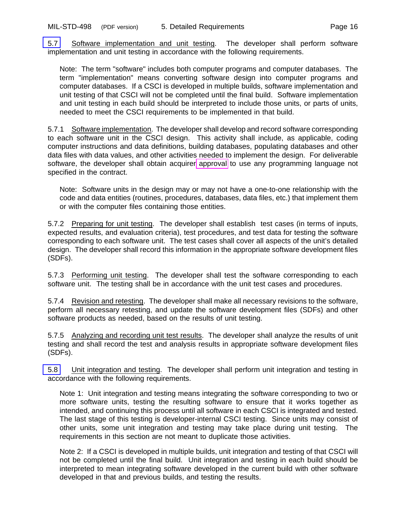<span id="page-23-5"></span><span id="page-23-4"></span>[5.7](#page-5-6) Software implementation and unit testing. The developer shall perform software implementation and unit testing in accordance with the following requirements.

<span id="page-23-1"></span>Note: The term "software" includes both computer programs and computer databases. The term "implementation" means converting software design into computer programs and computer databases. If a CSCI is developed in multiple builds, software implementation and unit testing of that CSCI will not be completed until the final build. Software implementation and unit testing in each build should be interpreted to include those units, or parts of units, needed to meet the CSCI requirements to be implemented in that build.

5.7.1 Software implementation. The developer shall develop and record software corresponding to each software unit in the CSCI design. This activity shall include, as applicable, coding computer instructions and data definitions, building databases, populating databases and other data files with data values, and other activities needed to implement the design. For deliverable software, the developer shall obtain acquirer [approval](#page-11-0) to use any programming language not specified in the contract.

<span id="page-23-2"></span>Note: Software units in the design may or may not have a one-to-one relationship with the code and data entities (routines, procedures, databases, data files, etc.) that implement them or with the computer files containing those entities.

<span id="page-23-3"></span>5.7.2 Preparing for unit testing. The developer shall establish test cases (in terms of inputs, expected results, and evaluation criteria), test procedures, and test data for testing the software corresponding to each software unit. The test cases shall cover all aspects of the unit's detailed design. The developer shall record this information in the appropriate software development files (SDFs).

5.7.3 Performing unit testing. The developer shall test the software corresponding to each software unit. The testing shall be in accordance with the unit test cases and procedures.

<span id="page-23-0"></span>5.7.4 Revision and retesting. The developer shall make all necessary revisions to the software, perform all necessary retesting, and update the software development files (SDFs) and other software products as needed, based on the results of unit testing.

5.7.5 Analyzing and recording unit test results. The developer shall analyze the results of unit testing and shall record the test and analysis results in appropriate software development files (SDFs).

<span id="page-23-6"></span>[5.8](#page-6-1) Unit integration and testing. The developer shall perform unit integration and testing in accordance with the following requirements.

Note 1: Unit integration and testing means integrating the software corresponding to two or more software units, testing the resulting software to ensure that it works together as intended, and continuing this process until all software in each CSCI is integrated and tested. The last stage of this testing is developer-internal CSCI testing. Since units may consist of other units, some unit integration and testing may take place during unit testing. The requirements in this section are not meant to duplicate those activities.

Note 2: If a CSCI is developed in multiple builds, unit integration and testing of that CSCI will not be completed until the final build. Unit integration and testing in each build should be interpreted to mean integrating software developed in the current build with other software developed in that and previous builds, and testing the results.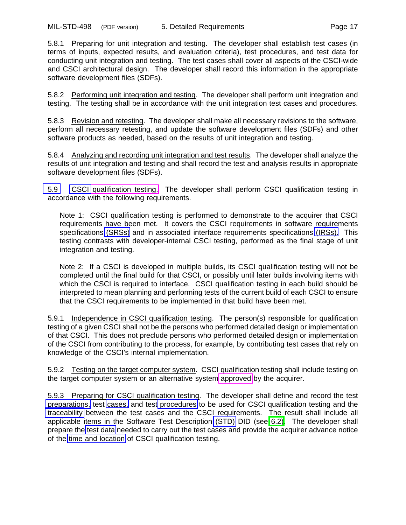<span id="page-24-2"></span><span id="page-24-1"></span>5.8.1 Preparing for unit integration and testing. The developer shall establish test cases (in terms of inputs, expected results, and evaluation criteria), test procedures, and test data for conducting unit integration and testing. The test cases shall cover all aspects of the CSCI-wide and CSCI architectural design. The developer shall record this information in the appropriate software development files (SDFs).

5.8.2 Performing unit integration and testing. The developer shall perform unit integration and testing. The testing shall be in accordance with the unit integration test cases and procedures.

<span id="page-24-0"></span>5.8.3 Revision and retesting. The developer shall make all necessary revisions to the software, perform all necessary retesting, and update the software development files (SDFs) and other software products as needed, based on the results of unit integration and testing.

5.8.4 Analyzing and recording unit integration and test results. The developer shall analyze the results of unit integration and testing and shall record the test and analysis results in appropriate software development files (SDFs).

<span id="page-24-6"></span><span id="page-24-5"></span>[5.9](#page-6-2) [CSCI](#page-8-8) [qualification testing.](#page-13-5) The developer shall perform CSCI qualification testing in accordance with the following requirements.

Note 1: CSCI qualification testing is performed to demonstrate to the acquirer that CSCI requirements have been met. It covers the CSCI requirements in software requirements specifications [\(SRSs\)](#page-8-8) and in associated interface requirements specifications [\(IRSs\).](#page-5-7) This testing contrasts with developer-internal CSCI testing, performed as the final stage of unit integration and testing.

<span id="page-24-4"></span>Note 2: If a CSCI is developed in multiple builds, its CSCI qualification testing will not be completed until the final build for that CSCI, or possibly until later builds involving items with which the CSCI is required to interface. CSCI qualification testing in each build should be interpreted to mean planning and performing tests of the current build of each CSCI to ensure that the CSCI requirements to be implemented in that build have been met.

<span id="page-24-3"></span>5.9.1 Independence in CSCI qualification testing. The person(s) responsible for qualification testing of a given CSCI shall not be the persons who performed detailed design or implementation of that CSCI. This does not preclude persons who performed detailed design or implementation of the CSCI from contributing to the process, for example, by contributing test cases that rely on knowledge of the CSCI's internal implementation.

<span id="page-24-7"></span>5.9.2 Testing on the target computer system. CSCI qualification testing shall include testing on the target computer system or an alternative system [approved](#page-11-0) by the acquirer.

5.9.3 Preparing for CSCI qualification testing. The developer shall define and record the test [preparations,](#page-2-7) test [cases,](#page-3-13) and test [procedures](#page-5-1) to be used for CSCI qualification testing and the [traceability](#page-6-1) between the test cases and the CSCI requirements. The result shall include all applicable items in the Software Test Description [\(STD\)](#page-0-6) DID (see [6.2\).](#page-35-0) The developer shall prepare the [test data](#page-4-11) needed to carry out the test cases and provide the acquirer advance notice of the [time and location](#page-5-4) of CSCI qualification testing.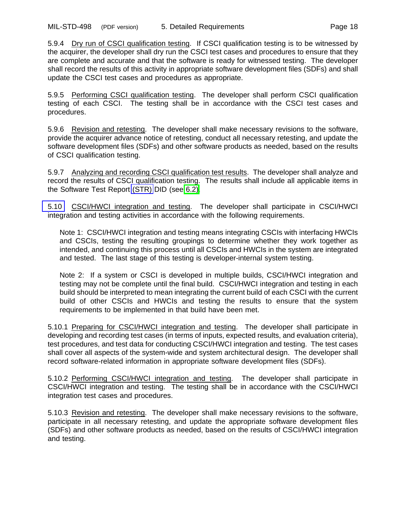<span id="page-25-1"></span>5.9.4 Dry run of CSCI qualification testing. If CSCI qualification testing is to be witnessed by the acquirer, the developer shall dry run the CSCI test cases and procedures to ensure that they are complete and accurate and that the software is ready for witnessed testing. The developer shall record the results of this activity in appropriate software development files (SDFs) and shall update the CSCI test cases and procedures as appropriate.

<span id="page-25-0"></span>5.9.5 Performing CSCI qualification testing. The developer shall perform CSCI qualification testing of each CSCI. The testing shall be in accordance with the CSCI test cases and procedures.

<span id="page-25-6"></span>5.9.6 Revision and retesting. The developer shall make necessary revisions to the software, provide the acquirer advance notice of retesting, conduct all necessary retesting, and update the software development files (SDFs) and other software products as needed, based on the results of CSCI qualification testing.

<span id="page-25-4"></span>5.9.7 Analyzing and recording CSCI qualification test results. The developer shall analyze and record the results of CSCI qualification testing. The results shall include all applicable items in the Software Test Report [\(STR\)](#page-0-6) DID (see [6.2\).](#page-35-0)

<span id="page-25-5"></span>[5.10](#page-6-3) CSCI/HWCI integration and testing. The developer shall participate in CSCI/HWCI integration and testing activities in accordance with the following requirements.

Note 1: CSCI/HWCI integration and testing means integrating CSCIs with interfacing HWCIs and CSCIs, testing the resulting groupings to determine whether they work together as intended, and continuing this process until all CSCIs and HWCIs in the system are integrated and tested. The last stage of this testing is developer-internal system testing.

<span id="page-25-3"></span>Note 2: If a system or CSCI is developed in multiple builds, CSCI/HWCI integration and testing may not be complete until the final build. CSCI/HWCI integration and testing in each build should be interpreted to mean integrating the current build of each CSCI with the current build of other CSCIs and HWCIs and testing the results to ensure that the system requirements to be implemented in that build have been met.

<span id="page-25-2"></span>5.10.1 Preparing for CSCI/HWCI integration and testing. The developer shall participate in developing and recording test cases (in terms of inputs, expected results, and evaluation criteria), test procedures, and test data for conducting CSCI/HWCI integration and testing. The test cases shall cover all aspects of the system-wide and system architectural design. The developer shall record software-related information in appropriate software development files (SDFs).

5.10.2 Performing CSCI/HWCI integration and testing. The developer shall participate in CSCI/HWCI integration and testing. The testing shall be in accordance with the CSCI/HWCI integration test cases and procedures.

5.10.3 Revision and retesting. The developer shall make necessary revisions to the software, participate in all necessary retesting, and update the appropriate software development files (SDFs) and other software products as needed, based on the results of CSCI/HWCI integration and testing.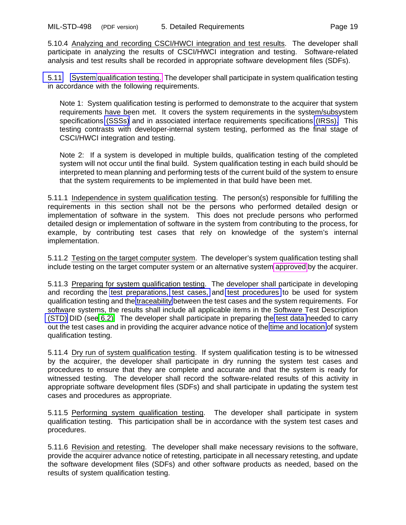<span id="page-26-5"></span><span id="page-26-0"></span>5.10.4 Analyzing and recording CSCI/HWCI integration and test results. The developer shall participate in analyzing the results of CSCI/HWCI integration and testing. Software-related analysis and test results shall be recorded in appropriate software development files (SDFs).

<span id="page-26-6"></span>[5.11](#page-6-4) [System](#page-9-5) [qualification testing.](#page-13-5) The developer shall participate in system qualification testing in accordance with the following requirements.

Note 1: System qualification testing is performed to demonstrate to the acquirer that system requirements have been met. It covers the system requirements in the system/subsystem specifications [\(SSSs\)](#page-9-5) and in associated interface requirements specifications [\(IRSs\).](#page-5-7) This testing contrasts with developer-internal system testing, performed as the final stage of CSCI/HWCI integration and testing.

<span id="page-26-4"></span>Note 2: If a system is developed in multiple builds, qualification testing of the completed system will not occur until the final build. System qualification testing in each build should be interpreted to mean planning and performing tests of the current build of the system to ensure that the system requirements to be implemented in that build have been met.

<span id="page-26-1"></span>5.11.1 Independence in system qualification testing. The person(s) responsible for fulfilling the requirements in this section shall not be the persons who performed detailed design or implementation of software in the system. This does not preclude persons who performed detailed design or implementation of software in the system from contributing to the process, for example, by contributing test cases that rely on knowledge of the system's internal implementation.

5.11.2 Testing on the target computer system. The developer's system qualification testing shall include testing on the target computer system or an alternative system [approved](#page-11-0) by the acquirer.

<span id="page-26-7"></span><span id="page-26-2"></span>5.11.3 Preparing for system qualification testing. The developer shall participate in developing and recording the [test preparations,](#page-2-7) [test cases,](#page-3-13) and [test procedures](#page-5-1) to be used for system qualification testing and the [traceability](#page-6-1) between the test cases and the system requirements. For software systems, the results shall include all applicable items in the Software Test Description [\(STD\)](#page-0-6) DID (see [6.2\).](#page-35-0) The developer shall participate in preparing the [test data](#page-4-11) needed to carry out the test cases and in providing the acquirer advance notice of the [time and location](#page-5-4) of system qualification testing.

<span id="page-26-3"></span>5.11.4 Dry run of system qualification testing. If system qualification testing is to be witnessed by the acquirer, the developer shall participate in dry running the system test cases and procedures to ensure that they are complete and accurate and that the system is ready for witnessed testing. The developer shall record the software-related results of this activity in appropriate software development files (SDFs) and shall participate in updating the system test cases and procedures as appropriate.

5.11.5 Performing system qualification testing. The developer shall participate in system qualification testing. This participation shall be in accordance with the system test cases and procedures.

5.11.6 Revision and retesting. The developer shall make necessary revisions to the software, provide the acquirer advance notice of retesting, participate in all necessary retesting, and update the software development files (SDFs) and other software products as needed, based on the results of system qualification testing.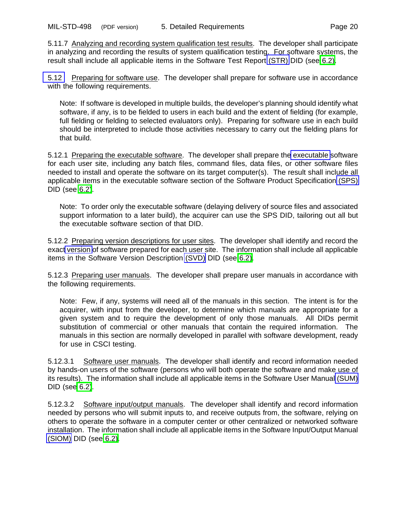<span id="page-27-7"></span><span id="page-27-1"></span><span id="page-27-0"></span>5.11.7 Analyzing and recording system qualification test results. The developer shall participate in analyzing and recording the results of system qualification testing. For software systems, the result shall include all applicable items in the Software Test Report [\(STR\)](#page-0-6) DID (see [6.2\).](#page-35-0)

<span id="page-27-5"></span>[5.12](#page-7-1) Preparing for software use. The developer shall prepare for software use in accordance with the following requirements.

<span id="page-27-2"></span>Note: If software is developed in multiple builds, the developer's planning should identify what software, if any, is to be fielded to users in each build and the extent of fielding (for example, full fielding or fielding to selected evaluators only). Preparing for software use in each build should be interpreted to include those activities necessary to carry out the fielding plans for that build.

<span id="page-27-8"></span>5.12.1 Preparing th[e executable](#page-2-9) software. The developer shall prepare the executable software for each user site, including any batch files, command files, data files, or other software files needed to install and operate the software on its target computer(s). The result shall include all applicable items in the executable software section of the Software Product Specification [\(SPS\)](#page-0-6) DID (see [6.2\)](#page-35-0).

Note: To order only the executable software (delaying delivery of source files and associated support information to a later build), the acquirer can use the SPS DID, tailoring out all but the executable software section of that DID.

<span id="page-27-3"></span>5.12.2 Preparing version descriptions for user sites. The developer shall identify and record the exac[t version](#page-2-10) of software prepared for each user site. The information shall include all applicable items in the Software Version Description [\(SVD\)](#page-0-6) DID (see [6.2\)](#page-35-0).

<span id="page-27-6"></span>5.12.3 Preparing user manuals. The developer shall prepare user manuals in accordance with the following requirements.

<span id="page-27-4"></span>Note: Few, if any, systems will need all of the manuals in this section. The intent is for the acquirer, with input from the developer, to determine which manuals are appropriate for a given system and to require the development of only those manuals. All DIDs permit substitution of commercial or other manuals that contain the required information. The manuals in this section are normally developed in parallel with software development, ready for use in CSCI testing.

<span id="page-27-9"></span>5.12.3.1 Software user manuals. The developer shall identify and record information needed by hands-on users of the software (persons who will both operate the software and make use of its results). The information shall include all applicable items in the Software User Manual [\(SUM\)](#page-0-6) DID (se[e 6.2\)](#page-35-0).

5.12.3.2 Software input/output manuals. The developer shall identify and record information needed by persons who will submit inputs to, and receive outputs from, the software, relying on others to operate the software in a computer center or other centralized or networked software installation. The information shall include all applicable items in the Software Input/Output Manual [\(SIOM\)](#page-0-6) DID (see [6.2\).](#page-35-0)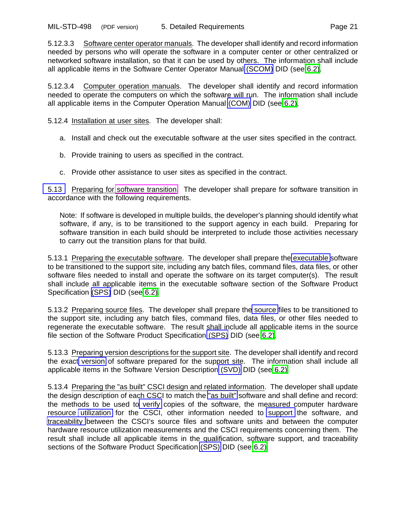<span id="page-28-8"></span><span id="page-28-3"></span>5.12.3.3 Software center operator manuals. The developer shall identify and record information needed by persons who will operate the software in a computer center or other centralized or networked software installation, so that it can be used by others. The information shall include all applicable items in the Software Center Operator Manual [\(SCOM\)](#page-0-6) DID (see [6.2\)](#page-35-0).

<span id="page-28-0"></span>5.12.3.4 Computer operation manuals. The developer shall identify and record information needed to operate the computers on which the software will run. The information shall include all applicable items in the Computer Operation Manual [\(COM\)](#page-0-6) DID (see [6.2\).](#page-35-0)

<span id="page-28-4"></span>5.12.4 Installation at user sites. The developer shall:

- a. Install and check out the executable software at the user sites specified in the contract.
- b. Provide training to users as specified in the contract.
- c. Provide other assistance to user sites as specified in the contract.

<span id="page-28-5"></span><span id="page-28-1"></span>[5.13](#page-7-2) Preparing for [software transition.](#page-14-4) The developer shall prepare for software transition in accordance with the following requirements.

Note: If software is developed in multiple builds, the developer's planning should identify what software, if any, is to be transitioned to the support agency in each build. Preparing for software transition in each build should be interpreted to include those activities necessary to carry out the transition plans for that build.

<span id="page-28-6"></span>5.13.1 Preparing the executable software. The developer shall prepare the [executable](#page-2-9) software to be transitioned to the support site, including any batch files, command files, data files, or other software files needed to install and operate the software on its target computer(s). The result shall include all applicable items in the executable software section of the Software Product Specification [\(SPS\)](#page-0-6) DID (see [6.2\).](#page-35-0)

<span id="page-28-2"></span>5.13.2 Preparing source files. The developer shall prepare th[e source](#page-2-9) files to be transitioned to the support site, including any batch files, command files, data files, or other files needed to regenerate the executable software. The result shall include all applicable items in the source file section of the Software Product Specification [\(SPS\)](#page-0-6) DID (see [6.2\)](#page-35-0).

<span id="page-28-7"></span>5.13.3 Preparing version descriptions for the support site. The developer shall identify and record the exact [version](#page-2-10) of software prepared for the support site. The information shall include all applicable items in the Software Version Description [\(SVD\)](#page-0-6) DID (see [6.2\).](#page-35-0)

5.13.4 Preparing the "as built" CSCI design and related information. The developer shall update the design description of each CSCI to match the ["as built"](#page-3-7) software and shall define and record: the methods to be used to [verify](#page-3-14) copies of the software, the measured computer hardware resource [utilization](#page-4-11) for the CSCI, other information needed to [support](#page-3-15) the software, and [traceability](#page-4-18) between the CSCI's source files and software units and between the computer hardware resource utilization measurements and the CSCI requirements concerning them. The result shall include all applicable items in the qualification, software support, and traceability sections of the Software Product Specification [\(SPS\)](#page-0-6) DID (see [6.2\).](#page-35-0)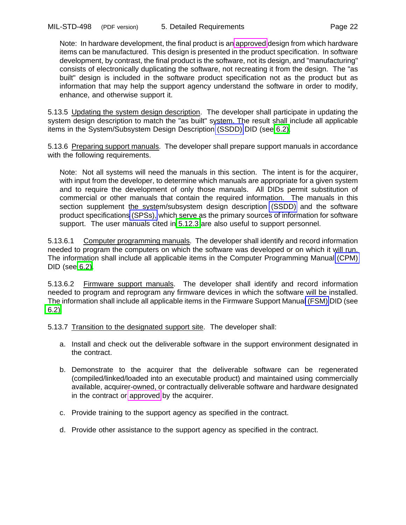<span id="page-29-0"></span>Note: In hardware development, the final product is an [approved](#page-11-0) design from which hardware items can be manufactured. This design is presented in the product specification. In software development, by contrast, the final product is the software, not its design, and "manufacturing" consists of electronically duplicating the software, not recreating it from the design. The "as built" design is included in the software product specification not as the product but as information that may help the support agency understand the software in order to modify, enhance, and otherwise support it.

<span id="page-29-4"></span><span id="page-29-1"></span>5.13.5 Updating the system design description. The developer shall participate in updating the system design description to match the "as built" system. The result shall include all applicable items in the System/Subsystem Design Description [\(SSDD\)](#page-2-3) DID (see [6.2\).](#page-35-0)

5.13.6 Preparing support manuals. The developer shall prepare support manuals in accordance with the following requirements.

<span id="page-29-3"></span>Note: Not all systems will need the manuals in this section. The intent is for the acquirer, with input from the developer, to determine which manuals are appropriate for a given system and to require the development of only those manuals. All DIDs permit substitution of commercial or other manuals that contain the required information. The manuals in this section supplement the system/subsystem design description [\(SSDD\)](#page-2-3) and the software product specifications [\(SPSs\),](#page-3-15) which serve as the primary sources of information for software support. The user manuals cited in [5.12.3](#page-27-6) are also useful to support personnel.

<span id="page-29-5"></span>5.13.6.1 Computer programming manuals. The developer shall identify and record information needed to program the computers on which the software was developed or on which it will run. The information shall include all applicable items in the Computer Programming Manual [\(CPM\)](#page-0-6) DID (see [6.2\).](#page-35-0)

<span id="page-29-2"></span>5.13.6.2 Firmware support manuals. The developer shall identify and record information needed to program and reprogram any firmware devices in which the software will be installed. The information shall include all applicable items in the Firmware Support Manua[l \(FSM\)](#page-0-6) DID (see [6.2\).](#page-35-0)

5.13.7 Transition to the designated support site. The developer shall:

- a. Install and check out the deliverable software in the support environment designated in the contract.
- b. Demonstrate to the acquirer that the deliverable software can be regenerated (compiled/linked/loaded into an executable product) and maintained using commercially available, acquirer-owned, or contractually deliverable software and hardware designated in the contract or [approved](#page-11-0) by the acquirer.
- c. Provide training to the support agency as specified in the contract.
- d. Provide other assistance to the support agency as specified in the contract.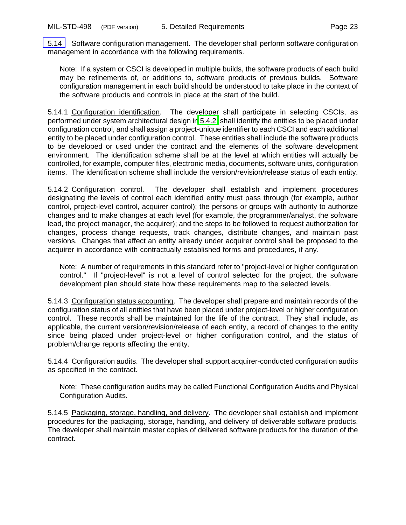<span id="page-30-6"></span><span id="page-30-1"></span><span id="page-30-0"></span>[5.14](#page-7-3) Software configuration management. The developer shall perform software configuration management in accordance with the following requirements.

Note: If a system or CSCI is developed in multiple builds, the software products of each build may be refinements of, or additions to, software products of previous builds. Software configuration management in each build should be understood to take place in the context of the software products and controls in place at the start of the build.

<span id="page-30-5"></span>5.14.1 Configuration identification. The developer shall participate in selecting CSCIs, as performed under system architectural design i[n 5.4.2,](#page-21-6) shall identify the entities to be placed under configuration control, and shall assign a project-unique identifier to each CSCI and each additional entity to be placed under configuration control. These entities shall include the software products to be developed or used under the contract and the elements of the software development environment. The identification scheme shall be at the level at which entities will actually be controlled, for example, computer files, electronic media, documents, software units, configuration items. The identification scheme shall include the version/revision/release status of each entity.

5.14.2 Configuration control. The developer shall establish and implement procedures designating the levels of control each identified entity must pass through (for example, author control, project-level control, acquirer control); the persons or groups with authority to authorize changes and to make changes at each level (for example, the programmer/analyst, the software lead, the project manager, the acquirer); and the steps to be followed to request authorization for changes, process change requests, track changes, distribute changes, and maintain past versions. Changes that affect an entity already under acquirer control shall be proposed to the acquirer in accordance with contractually established forms and procedures, if any.

<span id="page-30-4"></span>Note: A number of requirements in this standard refer to "project-level or higher configuration control." If "project-level" is not a level of control selected for the project, the software development plan should state how these requirements map to the selected levels.

<span id="page-30-3"></span><span id="page-30-2"></span>5.14.3 Configuration status accounting. The developer shall prepare and maintain records of the configuration status of all entities that have been placed under project-level or higher configuration control. These records shall be maintained for the life of the contract. They shall include, as applicable, the current version/revision/release of each entity, a record of changes to the entity since being placed under project-level or higher configuration control, and the status of problem/change reports affecting the entity.

5.14.4 Configuration audits. The developer shall support acquirer-conducted configuration audits as specified in the contract.

Note: These configuration audits may be called Functional Configuration Audits and Physical Configuration Audits.

5.14.5 Packaging, storage, handling, and delivery. The developer shall establish and implement procedures for the packaging, storage, handling, and delivery of deliverable software products. The developer shall maintain master copies of delivered software products for the duration of the contract.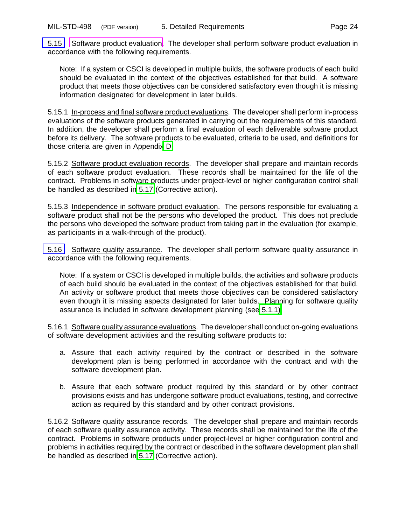<span id="page-31-5"></span><span id="page-31-0"></span>[5.15](#page-7-4) [Software product](#page-14-0) [evaluation.](#page-12-4) The developer shall perform software product evaluation in accordance with the following requirements.

Note: If a system or CSCI is developed in multiple builds, the software products of each build should be evaluated in the context of the objectives established for that build. A software product that meets those objectives can be considered satisfactory even though it is missing information designated for development in later builds.

<span id="page-31-3"></span>5.15.1 In-process and final software product evaluations. The developer shall perform in-process evaluations of the software products generated in carrying out the requirements of this standard. In addition, the developer shall perform a final evaluation of each deliverable software product before its delivery. The software products to be evaluated, criteria to be used, and definitions for those criteria are given in Appendi[x D.](#page-45-4)

5.15.2 Software product evaluation records. The developer shall prepare and maintain records of each software product evaluation. These records shall be maintained for the life of the contract. Problems in software products under project-level or higher configuration control shall be handled as described in [5.17](#page-32-6) (Corrective action).

<span id="page-31-4"></span>5.15.3 Independence in software product evaluation. The persons responsible for evaluating a software product shall not be the persons who developed the product. This does not preclude the persons who developed the software product from taking part in the evaluation (for example, as participants in a walk-through of the product).

<span id="page-31-6"></span>[5.16](#page-7-5) Software quality assurance. The developer shall perform software quality assurance in accordance with the following requirements.

<span id="page-31-1"></span>Note: If a system or CSCI is developed in multiple builds, the activities and software products of each build should be evaluated in the context of the objectives established for that build. An activity or software product that meets those objectives can be considered satisfactory even though it is missing aspects designated for later builds. Planning for software quality assurance is included in software development planning (se[e 5.1.1\).](#page-19-5)

<span id="page-31-2"></span>5.16.1 Software quality assurance evaluations. The developer shall conduct on-going evaluations of software development activities and the resulting software products to:

- a. Assure that each activity required by the contract or described in the software development plan is being performed in accordance with the contract and with the software development plan.
- b. Assure that each software product required by this standard or by other contract provisions exists and has undergone software product evaluations, testing, and corrective action as required by this standard and by other contract provisions.

5.16.2 Software quality assurance records. The developer shall prepare and maintain records of each software quality assurance activity. These records shall be maintained for the life of the contract. Problems in software products under project-level or higher configuration control and problems in activities required by the contract or described in the software development plan shall be handled as described in [5.17](#page-32-6) (Corrective action).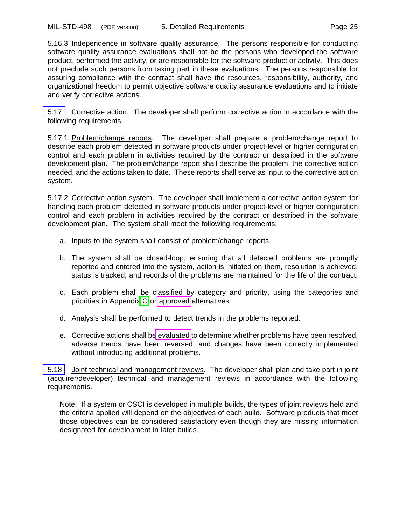<span id="page-32-2"></span><span id="page-32-1"></span>5.16.3 Independence in software quality assurance. The persons responsible for conducting software quality assurance evaluations shall not be the persons who developed the software product, performed the activity, or are responsible for the software product or activity. This does not preclude such persons from taking part in these evaluations. The persons responsible for assuring compliance with the contract shall have the resources, responsibility, authority, and organizational freedom to permit objective software quality assurance evaluations and to initiate and verify corrective actions.

<span id="page-32-6"></span><span id="page-32-4"></span>[5.17](#page-8-10) Corrective action. The developer shall perform corrective action in accordance with the following requirements.

<span id="page-32-3"></span>5.17.1 Problem/change reports. The developer shall prepare a problem/change report to describe each problem detected in software products under project-level or higher configuration control and each problem in activities required by the contract or described in the software development plan. The problem/change report shall describe the problem, the corrective action needed, and the actions taken to date. These reports shall serve as input to the corrective action system.

5.17.2 Corrective action system. The developer shall implement a corrective action system for handling each problem detected in software products under project-level or higher configuration control and each problem in activities required by the contract or described in the software development plan. The system shall meet the following requirements:

- a. Inputs to the system shall consist of problem/change reports.
- b. The system shall be closed-loop, ensuring that all detected problems are promptly reported and entered into the system, action is initiated on them, resolution is achieved, status is tracked, and records of the problems are maintained for the life of the contract.
- c. Each problem shall be classified by category and priority, using the categories and priorities in Appendi[x C](#page-43-3) or [approved](#page-11-0) alternatives.
- <span id="page-32-0"></span>d. Analysis shall be performed to detect trends in the problems reported.
- e. Corrective actions shall b[e evaluated](#page-12-4) to determine whether problems have been resolved, adverse trends have been reversed, and changes have been correctly implemented without introducing additional problems.

<span id="page-32-5"></span>[5.18](#page-8-11) Joint technical and management reviews. The developer shall plan and take part in joint (acquirer/developer) technical and management reviews in accordance with the following requirements.

Note: If a system or CSCI is developed in multiple builds, the types of joint reviews held and the criteria applied will depend on the objectives of each build. Software products that meet those objectives can be considered satisfactory even though they are missing information designated for development in later builds.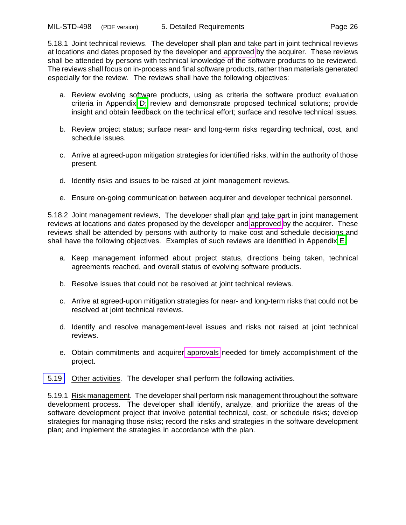<span id="page-33-2"></span>5.18.1 Joint technical reviews. The developer shall plan and take part in joint technical reviews at locations and dates proposed by the developer and [approved](#page-11-0) by the acquirer. These reviews shall be attended by persons with technical knowledge of the software products to be reviewed. The reviews shall focus on in-process and final software products, rather than materials generated especially for the review. The reviews shall have the following objectives:

- a. Review evolving software products, using as criteria the software product evaluation criteria in Appendix [D;](#page-45-4) review and demonstrate proposed technical solutions; provide insight and obtain feedback on the technical effort; surface and resolve technical issues.
- b. Review project status; surface near- and long-term risks regarding technical, cost, and schedule issues.
- <span id="page-33-1"></span>c. Arrive at agreed-upon mitigation strategies for identified risks, within the authority of those present.
- d. Identify risks and issues to be raised at joint management reviews.
- e. Ensure on-going communication between acquirer and developer technical personnel.

5.18.2 Joint management reviews. The developer shall plan and take part in joint management reviews at locations and dates proposed by the developer and [approved](#page-11-0) by the acquirer. These reviews shall be attended by persons with authority to make cost and schedule decisions and shall have the following objectives. Examples of such reviews are identified in Appendix [E.](#page-51-4)

- a. Keep management informed about project status, directions being taken, technical agreements reached, and overall status of evolving software products.
- b. Resolve issues that could not be resolved at joint technical reviews.
- c. Arrive at agreed-upon mitigation strategies for near- and long-term risks that could not be resolved at joint technical reviews.
- <span id="page-33-0"></span>d. Identify and resolve management-level issues and risks not raised at joint technical reviews.
- e. Obtain commitments and acquirer [approvals](#page-11-0) needed for timely accomplishment of the project.
- <span id="page-33-3"></span>[5.19](#page-8-12) Other activities. The developer shall perform the following activities.

5.19.1 Risk management. The developer shall perform risk management throughout the software development process. The developer shall identify, analyze, and prioritize the areas of the software development project that involve potential technical, cost, or schedule risks; develop strategies for managing those risks; record the risks and strategies in the software development plan; and implement the strategies in accordance with the plan.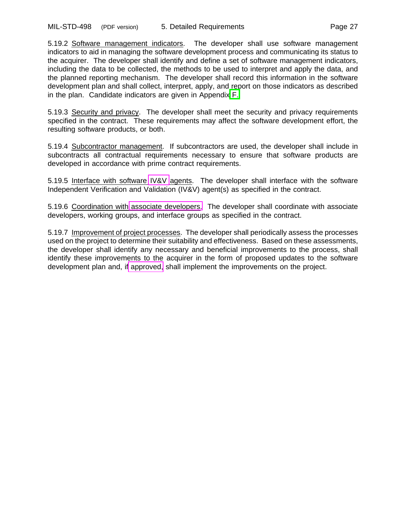<span id="page-34-2"></span>5.19.2 Software management indicators. The developer shall use software management indicators to aid in managing the software development process and communicating its status to the acquirer. The developer shall identify and define a set of software management indicators, including the data to be collected, the methods to be used to interpret and apply the data, and the planned reporting mechanism. The developer shall record this information in the software development plan and shall collect, interpret, apply, and report on those indicators as described in the plan. Candidate indicators are given in Appendix [F.](#page-53-2)

<span id="page-34-1"></span>5.19.3 Security and privacy. The developer shall meet the security and privacy requirements specified in the contract. These requirements may affect the software development effort, the resulting software products, or both.

5.19.4 Subcontractor management. If subcontractors are used, the developer shall include in subcontracts all contractual requirements necessary to ensure that software products are developed in accordance with prime contract requirements.

<span id="page-34-0"></span>5.19.5 Interface with software [IV&V](#page-12-5) agents. The developer shall interface with the software Independent Verification and Validation (IV&V) agent(s) as specified in the contract.

5.19.6 Coordination with [associate developers.](#page-11-4) The developer shall coordinate with associate developers, working groups, and interface groups as specified in the contract.

5.19.7 Improvement of project processes. The developer shall periodically assess the processes used on the project to determine their suitability and effectiveness. Based on these assessments, the developer shall identify any necessary and beneficial improvements to the process, shall identify these improvements to the acquirer in the form of proposed updates to the software development plan and, if [approved,](#page-11-0) shall implement the improvements on the project.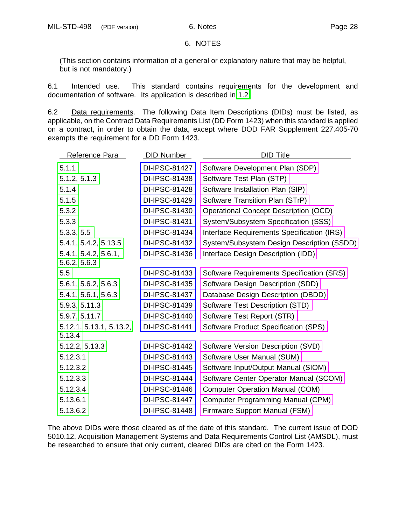#### 6. NOTES

<span id="page-35-3"></span><span id="page-35-2"></span><span id="page-35-1"></span>(This section contains information of a general or explanatory nature that may be helpful, but is not mandatory.)

6.1 Intended use. This standard contains requirements for the development and documentation of software. Its application is described in [1.2.](#page-8-13)

<span id="page-35-0"></span>6.2 Data requirements. The following Data Item Descriptions (DIDs) must be listed, as applicable, on the Contract Data Requirements List (DD Form 1423) when this standard is applied on a contract, in order to obtain the data, except where DOD FAR Supplement 227.405-70 exempts the requirement for a DD Form 1423.

| Reference Para                       | <b>DID Number</b> | <b>DID Title</b>                             |
|--------------------------------------|-------------------|----------------------------------------------|
| 5.1.1                                | DI-IPSC-81427     | Software Development Plan (SDP)              |
| 5.1.2, 5.1.3                         | DI-IPSC-81438     | Software Test Plan (STP)                     |
| 5.1.4                                | DI-IPSC-81428     | Software Installation Plan (SIP)             |
| 5.1.5                                | DI-IPSC-81429     | Software Transition Plan (STrP)              |
| 5.3.2                                | DI-IPSC-81430     | <b>Operational Concept Description (OCD)</b> |
| 5.3.3                                | DI-IPSC-81431     | System/Subsystem Specification (SSS)         |
| 5.3.3, 5.5                           | DI-IPSC-81434     | Interface Requirements Specification (IRS)   |
| 5.4.1, 5.4.2, 5.13.5                 | DI-IPSC-81432     | System/Subsystem Design Description (SSDD)   |
| 5.4.1, 5.4.2, 5.6.1,<br>5.6.2, 5.6.3 | DI-IPSC-81436     | Interface Design Description (IDD)           |
| 5.5                                  | DI-IPSC-81433     | Software Requirements Specification (SRS)    |
| 5.6.1, 5.6.2, 5.6.3                  | DI-IPSC-81435     | Software Design Description (SDD)            |
| 5.4.1, 5.6.1, 5.6.3                  | DI-IPSC-81437     | Database Design Description (DBDD)           |
| 5.9.3, 5.11.3                        | DI-IPSC-81439     | Software Test Description (STD)              |
| 5.9.7, 5.11.7                        | DI-IPSC-81440     | Software Test Report (STR)                   |
| 5.12.1, 5.13.1, 5.13.2,<br>5.13.4    | DI-IPSC-81441     | Software Product Specification (SPS)         |
| 5.12.2, 5.13.3                       | DI-IPSC-81442     | Software Version Description (SVD)           |
| 5.12.3.1                             | DI-IPSC-81443     | Software User Manual (SUM)                   |
| 5.12.3.2                             | DI-IPSC-81445     | Software Input/Output Manual (SIOM)          |
| 5.12.3.3                             | DI-IPSC-81444     | Software Center Operator Manual (SCOM)       |
| 5.12.3.4                             | DI-IPSC-81446     | <b>Computer Operation Manual (COM)</b>       |
| 5.13.6.1                             | DI-IPSC-81447     | Computer Programming Manual (CPM)            |
| 5.13.6.2                             | DI-IPSC-81448     | Firmware Support Manual (FSM)                |

The above DIDs were those cleared as of the date of this standard. The current issue of DOD 5010.12, Acquisition Management Systems and Data Requirements Control List (AMSDL), must be researched to ensure that only current, cleared DIDs are cited on the Form 1423.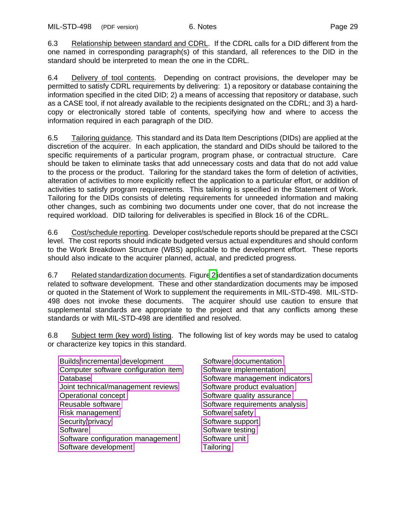6.3 Relationship between standard and CDRL. If the CDRL calls for a DID different from the one named in corresponding paragraph(s) of this standard, all references to the DID in the standard should be interpreted to mean the one in the CDRL.

6.4 Delivery of tool contents. Depending on contract provisions, the developer may be permitted to satisfy CDRL requirements by delivering: 1) a repository or database containing the information specified in the cited DID; 2) a means of accessing that repository or database, such as a CASE tool, if not already available to the recipients designated on the CDRL; and 3) a hardcopy or electronically stored table of contents, specifying how and where to access the information required in each paragraph of the DID.

<span id="page-36-0"></span>6.5 Tailoring guidance. This standard and its Data Item Descriptions (DIDs) are applied at the discretion of the acquirer. In each application, the standard and DIDs should be tailored to the specific requirements of a particular program, program phase, or contractual structure. Care should be taken to eliminate tasks that add unnecessary costs and data that do not add value to the process or the product. Tailoring for the standard takes the form of deletion of activities, alteration of activities to more explicitly reflect the application to a particular effort, or addition of activities to satisfy program requirements. This tailoring is specified in the Statement of Work. Tailoring for the DIDs consists of deleting requirements for unneeded information and making other changes, such as combining two documents under one cover, that do not increase the required workload. DID tailoring for deliverables is specified in Block 16 of the CDRL.

<span id="page-36-1"></span>6.6 Cost/schedule reporting. Developer cost/schedule reports should be prepared at the CSCI level. The cost reports should indicate budgeted versus actual expenditures and should conform to the Work Breakdown Structure (WBS) applicable to the development effort. These reports should also indicate to the acquirer planned, actual, and predicted progress.

6.7 Related standardization documents. Figur[e 2](#page-37-0) identifies a set of standardization documents related to software development. These and other standardization documents may be imposed or quoted in the Statement of Work to supplement the requirements in MIL-STD-498. MIL-STD-498 does not invoke these documents. The acquirer should use caution to ensure that supplemental standards are appropriate to the project and that any conflicts among these standards or with MIL-STD-498 are identified and resolved.

6.8 Subject term (key word) listing. The following list of key words may be used to catalog or characterize key topics in this standard.

[Builds](#page-0-0)[/incremental](#page-2-0) development Software [documentation](#page-1-1) [Computer software configuration item](#page-0-1) [Software implementation](#page-4-0) [Database](#page-1-0) [Software management indicators](#page-4-1) [Joint technical/management reviews](#page-2-1) [Software product evaluation](#page-4-2) [Operational concept](#page-2-2) [Software quality assurance](#page-4-3) [Reusable software](#page-3-0) **Network** [Software requirements analysis](#page-4-4) [Risk management](#page-3-1) Software [safety](#page-3-6) [Security](#page-3-5)[/privacy](#page-2-3) Security/privacy [Software](#page-3-2) Software [Software testing](#page-4-6) [Software configuration management](#page-3-3) [Software unit](#page-4-7) [Software development](#page-3-4) [Tailoring](#page-5-0)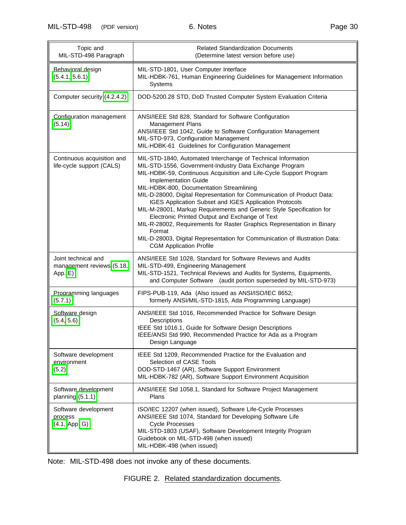<span id="page-37-0"></span>

| Topic and<br>MIL-STD-498 Paragraph                          | <b>Related Standardization Documents</b><br>(Determine latest version before use)                                                                                                                                                                                                                                                                                                                                                                                                                                                                                                                                                                                                                                                    |  |  |  |  |  |  |
|-------------------------------------------------------------|--------------------------------------------------------------------------------------------------------------------------------------------------------------------------------------------------------------------------------------------------------------------------------------------------------------------------------------------------------------------------------------------------------------------------------------------------------------------------------------------------------------------------------------------------------------------------------------------------------------------------------------------------------------------------------------------------------------------------------------|--|--|--|--|--|--|
| Behavioral design<br>(5.4.1, 5.6.1)                         | MIL-STD-1801, User Computer Interface<br>MIL-HDBK-761, Human Engineering Guidelines for Management Information<br>Systems                                                                                                                                                                                                                                                                                                                                                                                                                                                                                                                                                                                                            |  |  |  |  |  |  |
| Computer security (4.2.4.2)                                 | DOD-5200.28 STD, DoD Trusted Computer System Evaluation Criteria                                                                                                                                                                                                                                                                                                                                                                                                                                                                                                                                                                                                                                                                     |  |  |  |  |  |  |
| Configuration management<br>(5.14)                          | ANSI/IEEE Std 828, Standard for Software Configuration<br>Management Plans<br>ANSI/IEEE Std 1042, Guide to Software Configuration Management<br>MIL-STD-973, Configuration Management<br>MIL-HDBK-61 Guidelines for Configuration Management                                                                                                                                                                                                                                                                                                                                                                                                                                                                                         |  |  |  |  |  |  |
| Continuous acquisition and<br>life-cycle support (CALS)     | MIL-STD-1840, Automated Interchange of Technical Information<br>MIL-STD-1556, Government-Industry Data Exchange Program<br>MIL-HDBK-59, Continuous Acquisition and Life-Cycle Support Program<br>Implementation Guide<br>MIL-HDBK-800, Documentation Streamlining<br>MIL-D-28000, Digital Representation for Communication of Product Data:<br>IGES Application Subset and IGES Application Protocols<br>MIL-M-28001, Markup Requirements and Generic Style Specification for<br>Electronic Printed Output and Exchange of Text<br>MIL-R-28002, Requirements for Raster Graphics Representation in Binary<br>Format<br>MIL-D-28003, Digital Representation for Communication of Illustration Data:<br><b>CGM Application Profile</b> |  |  |  |  |  |  |
| Joint technical and<br>management reviews (5.18,<br>App. E) | ANSI/IEEE Std 1028, Standard for Software Reviews and Audits<br>MIL-STD-499, Engineering Management<br>MIL-STD-1521, Technical Reviews and Audits for Systems, Equipments,<br>and Computer Software (audit portion superseded by MIL-STD-973)                                                                                                                                                                                                                                                                                                                                                                                                                                                                                        |  |  |  |  |  |  |
| Programming languages<br>(5.7.1)                            | FIPS-PUB-119, Ada (Also issued as ANSI/ISO/IEC 8652;<br>formerly ANSI/MIL-STD-1815, Ada Programming Language)                                                                                                                                                                                                                                                                                                                                                                                                                                                                                                                                                                                                                        |  |  |  |  |  |  |
| Software design<br>(5.4, 5.6)                               | ANSI/IEEE Std 1016, Recommended Practice for Software Design<br>Descriptions<br>IEEE Std 1016.1, Guide for Software Design Descriptions<br>IEEE/ANSI Std 990, Recommended Practice for Ada as a Program<br>Design Language                                                                                                                                                                                                                                                                                                                                                                                                                                                                                                           |  |  |  |  |  |  |
| Software development<br>environment<br>(5.2)                | IEEE Std 1209, Recommended Practice for the Evaluation and<br>Selection of CASE Tools<br>DOD-STD-1467 (AR), Software Support Environment<br>MIL-HDBK-782 (AR), Software Support Environment Acquisition                                                                                                                                                                                                                                                                                                                                                                                                                                                                                                                              |  |  |  |  |  |  |
| Software development<br>planning $(5.1.1)$                  | ANSI/IEEE Std 1058.1, Standard for Software Project Management<br>Plans                                                                                                                                                                                                                                                                                                                                                                                                                                                                                                                                                                                                                                                              |  |  |  |  |  |  |
| Software development<br>process<br>(4.1, App. G)            | ISO/IEC 12207 (when issued), Software Life-Cycle Processes<br>ANSI/IEEE Std 1074, Standard for Developing Software Life<br><b>Cycle Processes</b><br>MIL-STD-1803 (USAF), Software Development Integrity Program<br>Guidebook on MIL-STD-498 (when issued)<br>MIL-HDBK-498 (when issued)                                                                                                                                                                                                                                                                                                                                                                                                                                             |  |  |  |  |  |  |

Note: MIL-STD-498 does not invoke any of these documents.

FIGURE 2. Related standardization documents.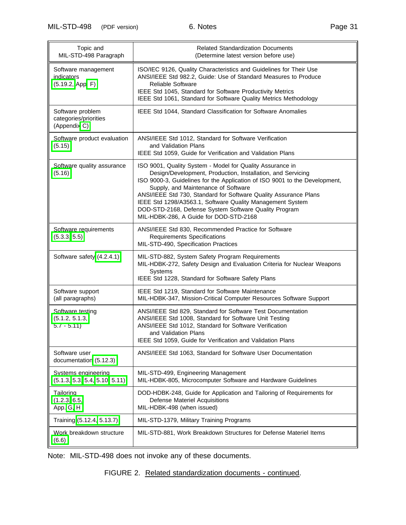# MIL-STD-498 (PDF version) 6. Notes extending the Page 31

| Topic and<br>MIL-STD-498 Paragraph                        | <b>Related Standardization Documents</b><br>(Determine latest version before use)                                                                                                                                                                                                                                                                                                                                                                                                 |
|-----------------------------------------------------------|-----------------------------------------------------------------------------------------------------------------------------------------------------------------------------------------------------------------------------------------------------------------------------------------------------------------------------------------------------------------------------------------------------------------------------------------------------------------------------------|
| Software management<br>indicators<br>(5.19.2, App. F)     | ISO/IEC 9126, Quality Characteristics and Guidelines for Their Use<br>ANSI/IEEE Std 982.2, Guide: Use of Standard Measures to Produce<br><b>Reliable Software</b><br>IEEE Std 1045, Standard for Software Productivity Metrics<br>IEEE Std 1061, Standard for Software Quality Metrics Methodology                                                                                                                                                                                |
| Software problem<br>categories/priorities<br>(Appendix C) | IEEE Std 1044, Standard Classification for Software Anomalies                                                                                                                                                                                                                                                                                                                                                                                                                     |
| Software product evaluation<br>(5.15)                     | ANSI/IEEE Std 1012, Standard for Software Verification<br>and Validation Plans<br>IEEE Std 1059, Guide for Verification and Validation Plans                                                                                                                                                                                                                                                                                                                                      |
| Software quality assurance<br>(5.16)                      | ISO 9001, Quality System - Model for Quality Assurance in<br>Design/Development, Production, Installation, and Servicing<br>ISO 9000-3, Guidelines for the Application of ISO 9001 to the Development,<br>Supply, and Maintenance of Software<br>ANSI/IEEE Std 730, Standard for Software Quality Assurance Plans<br>IEEE Std 1298/A3563.1, Software Quality Management System<br>DOD-STD-2168, Defense System Software Quality Program<br>MIL-HDBK-286, A Guide for DOD-STD-2168 |
| Software requirements<br>(5.3.3, 5.5)                     | ANSI/IEEE Std 830, Recommended Practice for Software<br><b>Requirements Specifications</b><br>MIL-STD-490, Specification Practices                                                                                                                                                                                                                                                                                                                                                |
| Software safety (4.2.4.1)                                 | MIL-STD-882, System Safety Program Requirements<br>MIL-HDBK-272, Safety Design and Evaluation Criteria for Nuclear Weapons<br>Systems<br>IEEE Std 1228, Standard for Software Safety Plans                                                                                                                                                                                                                                                                                        |
| Software support<br>(all paragraphs)                      | IEEE Std 1219, Standard for Software Maintenance<br>MIL-HDBK-347, Mission-Critical Computer Resources Software Support                                                                                                                                                                                                                                                                                                                                                            |
| Software testing<br>(5.1.2, 5.1.3,<br>$5.7 - 5.11$        | ANSI/IEEE Std 829, Standard for Software Test Documentation<br>ANSI/IEEE Std 1008, Standard for Software Unit Testing<br>ANSI/IEEE Std 1012, Standard for Software Verification<br>and Validation Plans<br>IEEE Std 1059, Guide for Verification and Validation Plans                                                                                                                                                                                                             |
| Software user<br>documentation (5.12.3)                   | ANSI/IEEE Std 1063, Standard for Software User Documentation                                                                                                                                                                                                                                                                                                                                                                                                                      |
| Systems engineering<br>(5.1.3, 5.3, 5.4, 5.10, 5.11)      | MIL-STD-499, Engineering Management<br>MIL-HDBK-805, Microcomputer Software and Hardware Guidelines                                                                                                                                                                                                                                                                                                                                                                               |
| Tailoring<br>(1.2.3, 6.5,<br>App. G, H                    | DOD-HDBK-248, Guide for Application and Tailoring of Requirements for<br><b>Defense Materiel Acquisitions</b><br>MIL-HDBK-498 (when issued)                                                                                                                                                                                                                                                                                                                                       |
| Training (5.12.4, 5.13.7)                                 | MIL-STD-1379, Military Training Programs                                                                                                                                                                                                                                                                                                                                                                                                                                          |
| Work breakdown structure<br>(6.6)                         | MIL-STD-881, Work Breakdown Structures for Defense Materiel Items                                                                                                                                                                                                                                                                                                                                                                                                                 |

Note: MIL-STD-498 does not invoke any of these documents.

# FIGURE 2. Related standardization documents - continued.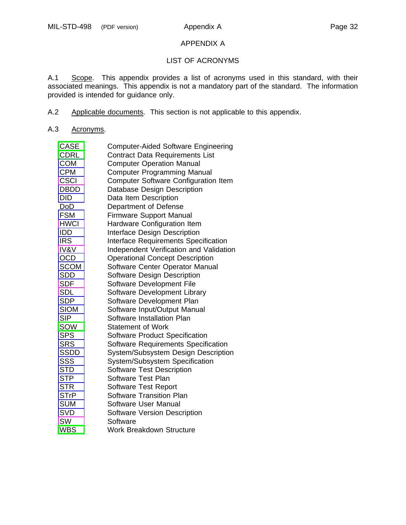#### APPENDIX A

# LIST OF ACRONYMS

A.1 Scope. This appendix provides a list of acronyms used in this standard, with their associated meanings. This appendix is not a mandatory part of the standard. The information provided is intended for guidance only.

- A.2 Applicable documents. This section is not applicable to this appendix.
- A.3 Acronyms.

| <b>CASE</b>     | <b>Computer-Aided Software Engineering</b>  |
|-----------------|---------------------------------------------|
| <b>CDRL</b>     | <b>Contract Data Requirements List</b>      |
| <b>COM</b>      | <b>Computer Operation Manual</b>            |
| <b>CPM</b>      | <b>Computer Programming Manual</b>          |
| <b>CSCI</b>     | <b>Computer Software Configuration Item</b> |
| <b>DBDD</b>     | Database Design Description                 |
| <b>DID</b>      | Data Item Description                       |
| DoD             | Department of Defense                       |
| <b>FSM</b>      | <b>Firmware Support Manual</b>              |
| <b>HWCI</b>     | Hardware Configuration Item                 |
| <b>IDD</b>      | <b>Interface Design Description</b>         |
| <b>IRS</b>      | <b>Interface Requirements Specification</b> |
| <b>IV&amp;V</b> | Independent Verification and Validation     |
| <b>OCD</b>      | <b>Operational Concept Description</b>      |
| <b>SCOM</b>     | Software Center Operator Manual             |
| <b>SDD</b>      | Software Design Description                 |
| <b>SDF</b>      | Software Development File                   |
| <b>SDL</b>      | Software Development Library                |
| <b>SDP</b>      | Software Development Plan                   |
| <b>SIOM</b>     | Software Input/Output Manual                |
| <b>SIP</b>      | Software Installation Plan                  |
| SOW             | <b>Statement of Work</b>                    |
| <b>SPS</b>      | <b>Software Product Specification</b>       |
| <b>SRS</b>      | Software Requirements Specification         |
| <b>SSDD</b>     | System/Subsystem Design Description         |
| SSS             | System/Subsystem Specification              |
| <b>STD</b>      | <b>Software Test Description</b>            |
| <b>STP</b>      | Software Test Plan                          |
| <b>STR</b>      | <b>Software Test Report</b>                 |
| <b>STrP</b>     | Software Transition Plan                    |
| <b>SUM</b>      | Software User Manual                        |
| <b>SVD</b>      | <b>Software Version Description</b>         |
| SW              | Software                                    |
| <b>WBS</b>      | <b>Work Breakdown Structure</b>             |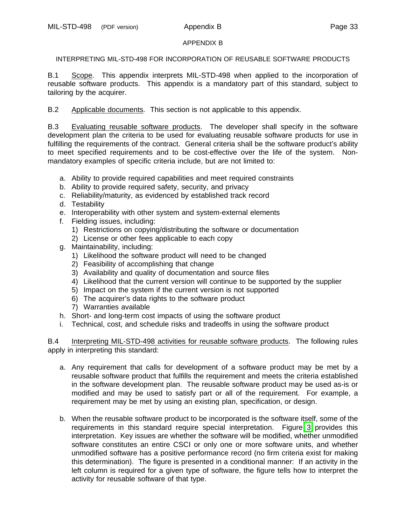## APPENDIX B

INTERPRETING MIL-STD-498 FOR INCORPORATION OF REUSABLE SOFTWARE PRODUCTS

B.1 Scope. This appendix interprets MIL-STD-498 when applied to the incorporation of reusable software products. This appendix is a mandatory part of this standard, subject to tailoring by the acquirer.

B.2 Applicable documents. This section is not applicable to this appendix.

B.3 Evaluating reusable software products. The developer shall specify in the software development plan the criteria to be used for evaluating reusable software products for use in fulfilling the requirements of the contract. General criteria shall be the software product's ability to meet specified requirements and to be cost-effective over the life of the system. Nonmandatory examples of specific criteria include, but are not limited to:

- a. Ability to provide required capabilities and meet required constraints
- b. Ability to provide required safety, security, and privacy
- c. Reliability/maturity, as evidenced by established track record
- d. Testability
- e. Interoperability with other system and system-external elements
- f. Fielding issues, including:
	- 1) Restrictions on copying/distributing the software or documentation
	- 2) License or other fees applicable to each copy
- g. Maintainability, including:
	- 1) Likelihood the software product will need to be changed
	- 2) Feasibility of accomplishing that change
	- 3) Availability and quality of documentation and source files
	- 4) Likelihood that the current version will continue to be supported by the supplier
	- 5) Impact on the system if the current version is not supported
	- 6) The acquirer's data rights to the software product
	- 7) Warranties available
- h. Short- and long-term cost impacts of using the software product
- i. Technical, cost, and schedule risks and tradeoffs in using the software product

B.4 Interpreting MIL-STD-498 activities for reusable software products. The following rules apply in interpreting this standard:

- a. Any requirement that calls for development of a software product may be met by a reusable software product that fulfills the requirement and meets the criteria established in the software development plan. The reusable software product may be used as-is or modified and may be used to satisfy part or all of the requirement. For example, a requirement may be met by using an existing plan, specification, or design.
- b. When the reusable software product to be incorporated is the software itself, some of the requirements in this standard require special interpretation. Figure [3](#page-41-0) provides this interpretation. Key issues are whether the software will be modified, whether unmodified software constitutes an entire CSCI or only one or more software units, and whether unmodified software has a positive performance record (no firm criteria exist for making this determination). The figure is presented in a conditional manner: If an activity in the left column is required for a given type of software, the figure tells how to interpret the activity for reusable software of that type.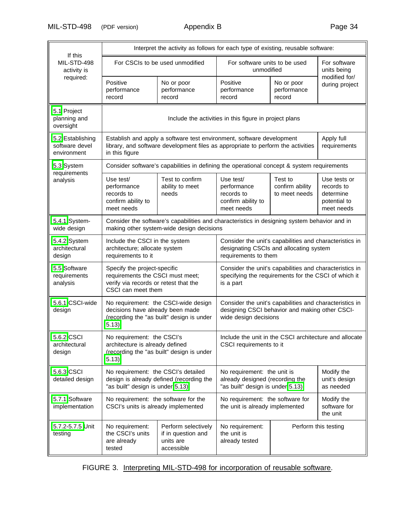MIL-STD-498 (PDF version) Appendix B Page 34

<span id="page-41-0"></span>

|                                                   | Interpret the activity as follows for each type of existing, reusable software:                                                 |                                                                                                                                                           |                                                                                                                                    |                                             |                                                                       |  |  |  |  |
|---------------------------------------------------|---------------------------------------------------------------------------------------------------------------------------------|-----------------------------------------------------------------------------------------------------------------------------------------------------------|------------------------------------------------------------------------------------------------------------------------------------|---------------------------------------------|-----------------------------------------------------------------------|--|--|--|--|
| If this<br>MIL-STD-498<br>activity is             |                                                                                                                                 | For CSCIs to be used unmodified                                                                                                                           | For software units to be used<br>unmodified                                                                                        | For software<br>units being                 |                                                                       |  |  |  |  |
| required:                                         | Positive<br>performance<br>record                                                                                               | No or poor<br>performance<br>record                                                                                                                       | Positive<br>performance<br>record                                                                                                  | modified for/<br>during project             |                                                                       |  |  |  |  |
| 5.1 Project<br>planning and<br>oversight          |                                                                                                                                 |                                                                                                                                                           | Include the activities in this figure in project plans                                                                             |                                             |                                                                       |  |  |  |  |
| 5.2 Establishing<br>software devel<br>environment | in this figure                                                                                                                  | Establish and apply a software test environment, software development<br>library, and software development files as appropriate to perform the activities |                                                                                                                                    |                                             | Apply full<br>requirements                                            |  |  |  |  |
| 5.3 System                                        |                                                                                                                                 | Consider software's capabilities in defining the operational concept & system requirements                                                                |                                                                                                                                    |                                             |                                                                       |  |  |  |  |
| requirements<br>analysis                          | Use test/<br>performance<br>records to<br>confirm ability to<br>meet needs                                                      | Test to confirm<br>ability to meet<br>needs                                                                                                               | Use test/<br>performance<br>records to<br>confirm ability to<br>meet needs                                                         | Test to<br>confirm ability<br>to meet needs | Use tests or<br>records to<br>determine<br>potential to<br>meet needs |  |  |  |  |
| 5.4.1 System-<br>wide design                      |                                                                                                                                 | Consider the software's capabilities and characteristics in designing system behavior and in<br>making other system-wide design decisions                 |                                                                                                                                    |                                             |                                                                       |  |  |  |  |
| 5.4.2 System<br>architectural<br>design           | Include the CSCI in the system<br>architecture; allocate system<br>requirements to it                                           |                                                                                                                                                           | Consider the unit's capabilities and characteristics in<br>designating CSCIs and allocating system<br>requirements to them         |                                             |                                                                       |  |  |  |  |
| 5.5 Software<br>requirements<br>analysis          | Specify the project-specific<br>requirements the CSCI must meet;<br>verify via records or retest that the<br>CSCI can meet them |                                                                                                                                                           | Consider the unit's capabilities and characteristics in<br>specifying the requirements for the CSCI of which it<br>is a part       |                                             |                                                                       |  |  |  |  |
| 5.6.1 CSCI-wide<br>design                         | decisions have already been made<br>5.13)                                                                                       | No requirement: the CSCI-wide design<br>(recording the "as built" design is under                                                                         | Consider the unit's capabilities and characteristics in<br>designing CSCI behavior and making other CSCI-<br>wide design decisions |                                             |                                                                       |  |  |  |  |
| 5.6.2 CSCI<br>architectural<br>design             | No requirement: the CSCI's<br>architecture is already defined<br>5.13)                                                          | (recording the "as built" design is under                                                                                                                 | Include the unit in the CSCI architecture and allocate<br>CSCI requirements to it                                                  |                                             |                                                                       |  |  |  |  |
| 5.6.3 CSCI<br>detailed design                     | No requirement: the CSCI's detailed<br>"as built" design is under 5.13)                                                         | design is already defined (recording the                                                                                                                  | No requirement: the unit is<br>already designed (recording the<br>"as built" design is under 5.13)                                 | Modify the<br>unit's design<br>as needed    |                                                                       |  |  |  |  |
| 5.7.1 Software<br>implementation                  | No requirement: the software for the<br>CSCI's units is already implemented                                                     |                                                                                                                                                           | No requirement: the software for<br>the unit is already implemented<br>the unit                                                    |                                             | Modify the<br>software for                                            |  |  |  |  |
| 5.7.2-5.7.5 Unit<br>testing                       | No requirement:<br>the CSCI's units<br>are already<br>tested                                                                    | Perform selectively<br>if in question and<br>units are<br>accessible                                                                                      | No requirement:<br>the unit is<br>already tested                                                                                   |                                             | Perform this testing                                                  |  |  |  |  |

FIGURE 3. Interpreting MIL-STD-498 for incorporation of reusable software.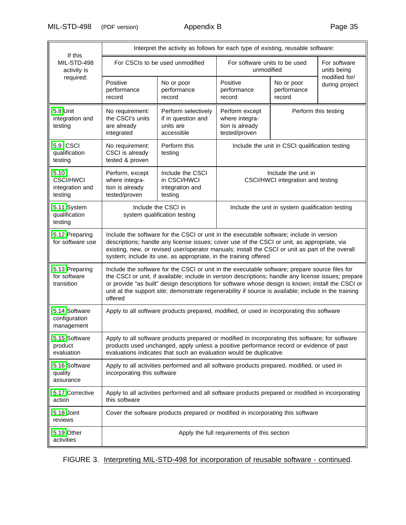MIL-STD-498 (PDF version) Appendix B Page 35

| Interpret the activity as follows for each type of existing, reusable software: |                                                                                                                                                                                                                                                                                                                                                                 |                                                                                                                                                                                                                                                                                                                                                                                                                    |                                                                      |                                                          |                                 |  |  |  |
|---------------------------------------------------------------------------------|-----------------------------------------------------------------------------------------------------------------------------------------------------------------------------------------------------------------------------------------------------------------------------------------------------------------------------------------------------------------|--------------------------------------------------------------------------------------------------------------------------------------------------------------------------------------------------------------------------------------------------------------------------------------------------------------------------------------------------------------------------------------------------------------------|----------------------------------------------------------------------|----------------------------------------------------------|---------------------------------|--|--|--|
| If this<br>MIL-STD-498<br>activity is                                           |                                                                                                                                                                                                                                                                                                                                                                 | For CSCIs to be used unmodified                                                                                                                                                                                                                                                                                                                                                                                    | For software units to be used<br>unmodified                          |                                                          | For software<br>units being     |  |  |  |
| required:                                                                       | Positive<br>No or poor<br>performance<br>performance<br>record<br>record                                                                                                                                                                                                                                                                                        |                                                                                                                                                                                                                                                                                                                                                                                                                    | Positive<br>performance<br>record                                    | No or poor<br>performance<br>record                      | modified for/<br>during project |  |  |  |
| 5.8 Unit<br>integration and<br>testing                                          | No requirement:<br>the CSCI's units<br>are already<br>integrated                                                                                                                                                                                                                                                                                                | Perform selectively<br>if in question and<br>units are<br>accessible                                                                                                                                                                                                                                                                                                                                               | Perform except<br>where integra-<br>tion is already<br>tested/proven | Perform this testing                                     |                                 |  |  |  |
| 5.9 CSCI<br>qualification<br>testing                                            | No requirement:<br>CSCI is already<br>tested & proven                                                                                                                                                                                                                                                                                                           | Perform this<br>testing                                                                                                                                                                                                                                                                                                                                                                                            |                                                                      | Include the unit in CSCI qualification testing           |                                 |  |  |  |
| 5.10<br><b>CSCI/HWCI</b><br>integration and<br>testing                          | Perform, except<br>where integra-<br>tion is already<br>tested/proven                                                                                                                                                                                                                                                                                           | Include the CSCI<br>in CSCI/HWCI<br>integration and<br>testing                                                                                                                                                                                                                                                                                                                                                     |                                                                      | Include the unit in<br>CSCI/HWCI integration and testing |                                 |  |  |  |
| 5.11 System<br>qualification<br>testing                                         |                                                                                                                                                                                                                                                                                                                                                                 | Include the CSCI in<br>system qualification testing                                                                                                                                                                                                                                                                                                                                                                |                                                                      | Include the unit in system qualification testing         |                                 |  |  |  |
| 5.12 Preparing<br>for software use                                              | Include the software for the CSCI or unit in the executable software; include in version<br>descriptions; handle any license issues; cover use of the CSCI or unit, as appropriate, via<br>existing, new, or revised user/operator manuals; install the CSCI or unit as part of the overall<br>system; include its use, as appropriate, in the training offered |                                                                                                                                                                                                                                                                                                                                                                                                                    |                                                                      |                                                          |                                 |  |  |  |
| 5.13 Preparing<br>for software<br>transition                                    | offered                                                                                                                                                                                                                                                                                                                                                         | Include the software for the CSCI or unit in the executable software; prepare source files for<br>the CSCI or unit, if available; include in version descriptions; handle any license issues; prepare<br>or provide "as built" design descriptions for software whose design is known; install the CSCI or<br>unit at the support site; demonstrate regenerability if source is available; include in the training |                                                                      |                                                          |                                 |  |  |  |
| 5.14 Software<br>configuration<br>management                                    |                                                                                                                                                                                                                                                                                                                                                                 | Apply to all software products prepared, modified, or used in incorporating this software                                                                                                                                                                                                                                                                                                                          |                                                                      |                                                          |                                 |  |  |  |
| 5.15 Software<br>product<br>evaluation                                          |                                                                                                                                                                                                                                                                                                                                                                 | Apply to all software products prepared or modified in incorporating this software; for software<br>products used unchanged, apply unless a positive performance record or evidence of past<br>evaluations indicates that such an evaluation would be duplicative                                                                                                                                                  |                                                                      |                                                          |                                 |  |  |  |
| 5.16 Software<br>quality<br>assurance                                           | incorporating this software                                                                                                                                                                                                                                                                                                                                     | Apply to all activities performed and all software products prepared, modified, or used in                                                                                                                                                                                                                                                                                                                         |                                                                      |                                                          |                                 |  |  |  |
| 5.17 Corrective<br>action                                                       | this software                                                                                                                                                                                                                                                                                                                                                   | Apply to all activities performed and all software products prepared or modified in incorporating                                                                                                                                                                                                                                                                                                                  |                                                                      |                                                          |                                 |  |  |  |
| 5.18 Joint<br>reviews                                                           |                                                                                                                                                                                                                                                                                                                                                                 | Cover the software products prepared or modified in incorporating this software                                                                                                                                                                                                                                                                                                                                    |                                                                      |                                                          |                                 |  |  |  |
| 5.19 Other<br>activities                                                        |                                                                                                                                                                                                                                                                                                                                                                 |                                                                                                                                                                                                                                                                                                                                                                                                                    | Apply the full requirements of this section                          |                                                          |                                 |  |  |  |

FIGURE 3. Interpreting MIL-STD-498 for incorporation of reusable software - continued.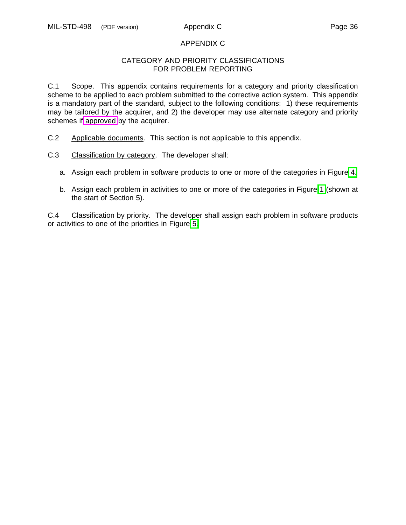## APPENDIX C

#### CATEGORY AND PRIORITY CLASSIFICATIONS FOR PROBLEM REPORTING

<span id="page-43-0"></span>C.1 Scope. This appendix contains requirements for a category and priority classification scheme to be applied to each problem submitted to the corrective action system. This appendix is a mandatory part of the standard, subject to the following conditions: 1) these requirements may be tailored by the acquirer, and 2) the developer may use alternate category and priority schemes if [approved](#page-11-0) by the acquirer.

- C.2 Applicable documents. This section is not applicable to this appendix.
- C.3 Classification by category. The developer shall:
	- a. Assign each problem in software products to one or more of the categories in Figure [4.](#page-44-0)
	- b. Assign each problem in activities to one or more of the categories in Figure [1](#page-18-0) (shown at the start of Section 5).

C.4 Classification by priority. The developer shall assign each problem in software products or activities to one of the priorities in Figure [5.](#page-44-1)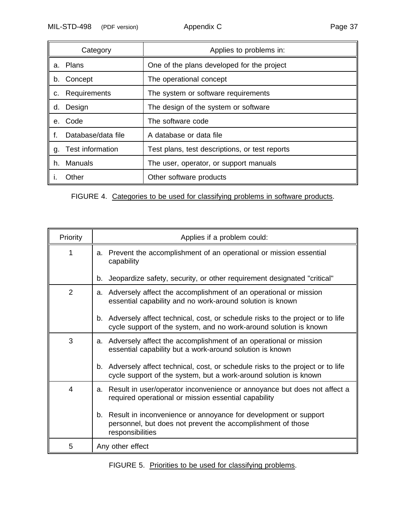<span id="page-44-0"></span>

|    | Category                | Applies to problems in:                        |
|----|-------------------------|------------------------------------------------|
| a. | Plans                   | One of the plans developed for the project     |
| b. | Concept                 | The operational concept                        |
| c. | Requirements            | The system or software requirements            |
| d. | Design                  | The design of the system or software           |
| е. | Code                    | The software code                              |
|    | Database/data file      | A database or data file                        |
| g. | <b>Test information</b> | Test plans, test descriptions, or test reports |
| h. | Manuals                 | The user, operator, or support manuals         |
|    | Other                   | Other software products                        |

FIGURE 4. Categories to be used for classifying problems in software products.

<span id="page-44-1"></span>

| Priority       | Applies if a problem could:                                                                                                                           |  |  |  |  |  |  |  |  |
|----------------|-------------------------------------------------------------------------------------------------------------------------------------------------------|--|--|--|--|--|--|--|--|
| 1              | Prevent the accomplishment of an operational or mission essential<br>a.<br>capability                                                                 |  |  |  |  |  |  |  |  |
|                | Jeopardize safety, security, or other requirement designated "critical"<br>b.                                                                         |  |  |  |  |  |  |  |  |
| $\overline{2}$ | a. Adversely affect the accomplishment of an operational or mission<br>essential capability and no work-around solution is known                      |  |  |  |  |  |  |  |  |
|                | b. Adversely affect technical, cost, or schedule risks to the project or to life<br>cycle support of the system, and no work-around solution is known |  |  |  |  |  |  |  |  |
| 3              | Adversely affect the accomplishment of an operational or mission<br>a.<br>essential capability but a work-around solution is known                    |  |  |  |  |  |  |  |  |
|                | b. Adversely affect technical, cost, or schedule risks to the project or to life<br>cycle support of the system, but a work-around solution is known  |  |  |  |  |  |  |  |  |
| 4              | Result in user/operator inconvenience or annoyance but does not affect a<br>а.<br>required operational or mission essential capability                |  |  |  |  |  |  |  |  |
|                | b. Result in inconvenience or annoyance for development or support<br>personnel, but does not prevent the accomplishment of those<br>responsibilities |  |  |  |  |  |  |  |  |
| 5              | Any other effect                                                                                                                                      |  |  |  |  |  |  |  |  |

FIGURE 5. Priorities to be used for classifying problems.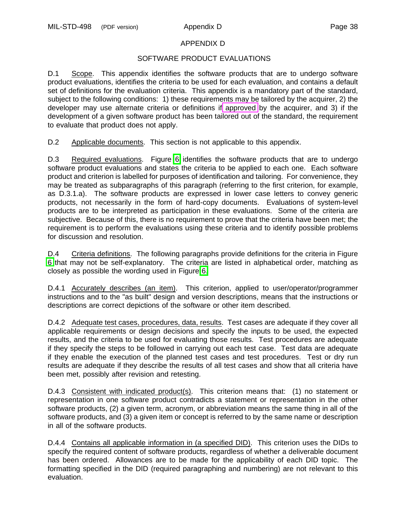# <span id="page-45-2"></span><span id="page-45-1"></span><span id="page-45-0"></span>APPENDIX D

# SOFTWARE PRODUCT EVALUATIONS

D.1 Scope. This appendix identifies the software products that are to undergo software product evaluations, identifies the criteria to be used for each evaluation, and contains a default set of definitions for the evaluation criteria. This appendix is a mandatory part of the standard, subject to the following conditions: 1) these requirements may be tailored by the acquirer, 2) the developer may use alternate criteria or definitions if [approved](#page-11-0) by the acquirer, and 3) if the development of a given software product has been tailored out of the standard, the requirement to evaluate that product does not apply.

D.2 Applicable documents. This section is not applicable to this appendix.

D.3 Required evaluations. Figure [6](#page-46-0) identifies the software products that are to undergo software product evaluations and states the criteria to be applied to each one. Each software product and criterion is labelled for purposes of identification and tailoring. For convenience, they may be treated as subparagraphs of this paragraph (referring to the first criterion, for example, as D.3.1.a). The software products are expressed in lower case letters to convey generic products, not necessarily in the form of hard-copy documents. Evaluations of system-level products are to be interpreted as participation in these evaluations. Some of the criteria are subjective. Because of this, there is no requirement to prove that the criteria have been met; the requirement is to perform the evaluations using these criteria and to identify possible problems for discussion and resolution.

D.4 Criteria definitions. The following paragraphs provide definitions for the criteria in Figure [6](#page-46-0) that may not be self-explanatory. The criteria are listed in alphabetical order, matching as closely as possible the wording used in Figure [6.](#page-46-0)

D.4.1 Accurately describes (an item). This criterion, applied to user/operator/programmer instructions and to the "as built" design and version descriptions, means that the instructions or descriptions are correct depictions of the software or other item described.

D.4.2 Adequate test cases, procedures, data, results. Test cases are adequate if they cover all applicable requirements or design decisions and specify the inputs to be used, the expected results, and the criteria to be used for evaluating those results. Test procedures are adequate if they specify the steps to be followed in carrying out each test case. Test data are adequate if they enable the execution of the planned test cases and test procedures. Test or dry run results are adequate if they describe the results of all test cases and show that all criteria have been met, possibly after revision and retesting.

D.4.3 Consistent with indicated product(s). This criterion means that: (1) no statement or representation in one software product contradicts a statement or representation in the other software products, (2) a given term, acronym, or abbreviation means the same thing in all of the software products, and (3) a given item or concept is referred to by the same name or description in all of the software products.

D.4.4 Contains all applicable information in (a specified DID). This criterion uses the DIDs to specify the required content of software products, regardless of whether a deliverable document has been ordered. Allowances are to be made for the applicability of each DID topic. The formatting specified in the DID (required paragraphing and numbering) are not relevant to this evaluation.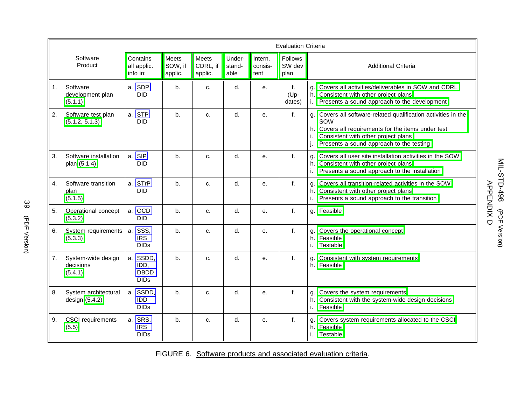|    |                                            | <b>Evaluation Criteria</b>                     |                                    |                              |                          |                            |                           |                                                                                                                                                                                                                    |  |  |
|----|--------------------------------------------|------------------------------------------------|------------------------------------|------------------------------|--------------------------|----------------------------|---------------------------|--------------------------------------------------------------------------------------------------------------------------------------------------------------------------------------------------------------------|--|--|
|    | Software<br>Product                        | Contains<br>all applic.<br>info in:            | <b>Meets</b><br>SOW, if<br>applic. | Meets<br>CDRL, if<br>applic. | Under-<br>stand-<br>able | Intern.<br>consis-<br>tent | Follows<br>SW dev<br>plan | <b>Additional Criteria</b>                                                                                                                                                                                         |  |  |
| 1. | Software<br>development plan<br>(5.1.1)    | a. SDP<br><b>DID</b>                           | b.                                 | c.                           | d.                       | e <sub>1</sub>             | f.<br>(Up-<br>dates)      | g. Covers all activities/deliverables in SOW and CDRL<br>h. Consistent with other project plans<br>Presents a sound approach to the development<br>i.                                                              |  |  |
| 2. | Software test plan<br>(5.1.2, 5.1.3)       | a. STP<br><b>DID</b>                           | b.                                 | c.                           | $d_{\cdot}$              | е.                         | f.                        | Covers all software-related qualification activities in the<br>q.<br>SOW<br>h. Covers all requirements for the items under test<br>Consistent with other project plans<br>Presents a sound approach to the testing |  |  |
| 3. | Software installation<br>plan (5.1.4)      | a. SIP<br><b>DID</b>                           | $b$ .                              | C.                           | d.                       | e <sub>1</sub>             | f.                        | g. Covers all user site installation activities in the SOW<br>h. Consistent with other project plans<br>Presents a sound approach to the installation<br>i.                                                        |  |  |
| 4. | Software transition<br>plan<br>(5.1.5)     | a. STrP<br><b>DID</b>                          | b.                                 | c.                           | d.                       | е.                         | f.                        | g. Covers all transition-related activities in the SOW<br>h. Consistent with other project plans<br>Presents a sound approach to the transition<br>i.                                                              |  |  |
| 5. | Operational concept<br>(5.3.2)             | a. OCD<br><b>DID</b>                           | b.                                 | c.                           | d.                       | е.                         | f.                        | g. Feasible                                                                                                                                                                                                        |  |  |
| 6. | System requirements<br>(5.3.3)             | a. SSS,<br><b>IRS</b><br><b>DIDs</b>           | b.                                 | c.                           | d.                       | е.                         | f.                        | g. Covers the operational concept<br>h. Feasible<br>Testable                                                                                                                                                       |  |  |
| 7. | System-wide design<br>decisions<br>(5.4.1) | a. SSDD,<br>IDD,<br><b>DBDD</b><br><b>DIDs</b> | b.                                 | c.                           | d.                       | е.                         | f.                        | Consistent with system requirements<br>g.<br>h. Feasible                                                                                                                                                           |  |  |
| 8. | System architectural<br>design (5.4.2)     | a. SSDD,<br>IDD<br><b>DIDs</b>                 | b.                                 | c.                           | d.                       | е.                         | f.                        | Covers the system requirements<br>g.<br>h. Consistent with the system-wide design decisions<br>Feasible<br>i.                                                                                                      |  |  |
| 9. | <b>CSCI</b> requirements<br>(5.5)          | a. SRS,<br><b>IRS</b><br><b>DIDs</b>           | b.                                 | c.                           | d.                       | е.                         | f.                        | g. Covers system requirements allocated to the CSCI<br>h. Feasible<br>Testable                                                                                                                                     |  |  |

<span id="page-46-0"></span>FIGURE 6. Software products and associated evaluation criteria.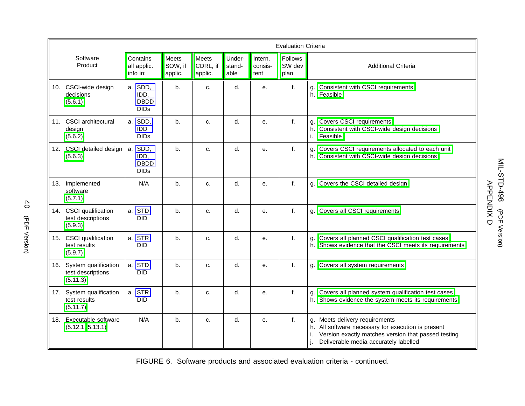|     |                                                        | <b>Evaluation Criteria</b>                    |                             |                              |                          |                            |                                  |                                                                                                                                                                                            |  |
|-----|--------------------------------------------------------|-----------------------------------------------|-----------------------------|------------------------------|--------------------------|----------------------------|----------------------------------|--------------------------------------------------------------------------------------------------------------------------------------------------------------------------------------------|--|
|     | Software<br>Product                                    | Contains<br>all applic.<br>info in:           | Meets<br>SOW, if<br>applic. | Meets<br>CDRL, if<br>applic. | Under-<br>stand-<br>able | Intern.<br>consis-<br>tent | <b>Follows</b><br>SW dev<br>plan | <b>Additional Criteria</b>                                                                                                                                                                 |  |
|     | 10. CSCI-wide design<br>decisions<br>(5.6.1)           | a. SDD,<br>IDD,<br><b>DBDD</b><br><b>DIDs</b> | b.                          | C <sub>1</sub>               | d.                       | e.                         | f.                               | g. Consistent with CSCI requirements<br>h. Feasible                                                                                                                                        |  |
|     | 11. CSCI architectural<br>design<br>(5.6.2)            | a. SDD,<br>IDD<br><b>DIDs</b>                 | b.                          | C.                           | d.                       | e.                         | f.                               | g. Covers CSCI requirements<br>h. Consistent with CSCI-wide design decisions<br>i. Feasible                                                                                                |  |
|     | 12. CSCI detailed design<br>(5.6.3)                    | a. SDD,<br>IDD,<br><b>DBDD</b><br><b>DIDs</b> | b.                          | c.                           | d.                       | e.                         | $f_{\cdot}$                      | g. Covers CSCI requirements allocated to each unit<br>h. Consistent with CSCI-wide design decisions                                                                                        |  |
| 13. | Implemented<br>software<br>(5.7.1)                     | N/A                                           | b.                          | c.                           | d.                       | е.                         | f.                               | g. Covers the CSCI detailed design                                                                                                                                                         |  |
|     | 14. CSCI qualification<br>test descriptions<br>(5.9.3) | a. STD<br><b>DID</b>                          | b.                          | c.                           | d.                       | е.                         | f.                               | g. Covers all CSCI requirements                                                                                                                                                            |  |
|     | 15. CSCI qualification<br>test results<br>(5.9.7)      | a. STR<br><b>DID</b>                          | b.                          | C.                           | d.                       | e.                         | f.                               | g. Covers all planned CSCI qualification test cases<br>h. Shows evidence that the CSCI meets its requirements                                                                              |  |
| 16. | System qualification<br>test descriptions<br>(5.11.3)  | a. STD<br><b>DID</b>                          | b.                          | c.                           | d.                       | e.                         | $f_{\cdot}$                      | g. Covers all system requirements                                                                                                                                                          |  |
|     | 17. System qualification<br>test results<br>(5.11.7)   | a. STR<br><b>DID</b>                          | b.                          | c.                           | d.                       | e.                         | f.                               | g. Covers all planned system qualification test cases<br>h. Shows evidence the system meets its requirements                                                                               |  |
|     | 18. Executable software<br>(5.12.1, 5.13.1)            | N/A                                           | b.                          | c.                           | d.                       | е.                         | f.                               | g. Meets delivery requirements<br>h. All software necessary for execution is present<br>Version exactly matches version that passed testing<br>Deliverable media accurately labelled<br>i. |  |

FIGURE 6. Software products and associated evaluation criteria - continued.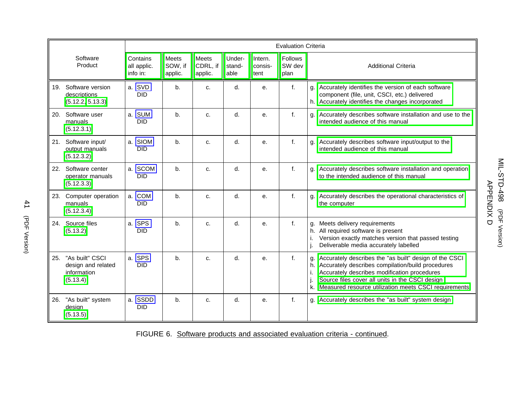|     |                                                                  | <b>Evaluation Criteria</b>                 |                             |                              |                          |                            |                                  |                                                                                                                                                                                                                                                                                  |  |  |
|-----|------------------------------------------------------------------|--------------------------------------------|-----------------------------|------------------------------|--------------------------|----------------------------|----------------------------------|----------------------------------------------------------------------------------------------------------------------------------------------------------------------------------------------------------------------------------------------------------------------------------|--|--|
|     | Software<br>Product                                              | Contains<br>all applic.<br>info in:        | Meets<br>SOW, if<br>applic. | Meets<br>CDRL, if<br>applic. | Under-<br>stand-<br>able | Intern.<br>consis-<br>tent | <b>Follows</b><br>SW dev<br>plan | <b>Additional Criteria</b>                                                                                                                                                                                                                                                       |  |  |
| 19. | Software version<br>descriptions<br>(5.12.2, 5.13.3)             | a. SVD<br><b>DID</b>                       | b.                          | c.                           | d.                       | e.                         | f.                               | g. Accurately identifies the version of each software<br>component (file, unit, CSCI, etc.) delivered<br>h. Accurately identifies the changes incorporated                                                                                                                       |  |  |
| 20. | Software user<br>manuals<br>(5.12.3.1)                           | a. SUM<br><b>DID</b>                       | b.                          | c.                           | d.                       | е.                         | f.                               | g. Accurately describes software installation and use to the<br>intended audience of this manual                                                                                                                                                                                 |  |  |
|     | 21. Software input/<br>output manuals<br>(5.12.3.2)              | a. SIOM<br><b>DID</b>                      | b.                          | c.                           | d.                       | e.                         | f.                               | g. Accurately describes software input/output to the<br>intended audience of this manual                                                                                                                                                                                         |  |  |
| 22. | Software center<br>operator manuals<br>(5.12.3.3)                | a. SCOM<br><b>DID</b>                      | b.                          | C.                           | d.                       | e.                         | $f_{\cdot}$                      | g. Accurately describes software installation and operation<br>to the intended audience of this manual                                                                                                                                                                           |  |  |
| 23. | Computer operation<br>manuals<br>(5.12.3.4)                      | a. COM<br><b>DID</b>                       | b <sub>1</sub>              | c.                           | d.                       | e.                         | f.                               | g. Accurately describes the operational characteristics of<br>the computer                                                                                                                                                                                                       |  |  |
| 24. | Source files<br>(5.13.2)                                         | <b>SPS</b><br>a <sub>1</sub><br><b>DID</b> | b.                          | c.                           | d.                       | е.                         | f.                               | g. Meets delivery requirements<br>h. All required software is present<br>Version exactly matches version that passed testing<br>Deliverable media accurately labelled                                                                                                            |  |  |
| 25. | "As built" CSCI<br>design and related<br>information<br>(5.13.4) | a. SPS<br><b>DID</b>                       | b.                          | c.                           | d.                       | е.                         | f.                               | g. Accurately describes the "as built" design of the CSCI<br>h. Accurately describes compilation/build procedures<br>Accurately describes modification procedures<br>Source files cover all units in the CSCI design<br>k. Measured resource utilization meets CSCI requirements |  |  |
| 26. | "As built" system<br>design<br>(5.13.5)                          | a. SSDD<br><b>DID</b>                      | b.                          | c.                           | d.                       | е.                         | f.                               | g. Accurately describes the "as built" system design                                                                                                                                                                                                                             |  |  |

# FIGURE 6. Software products and associated evaluation criteria - continued.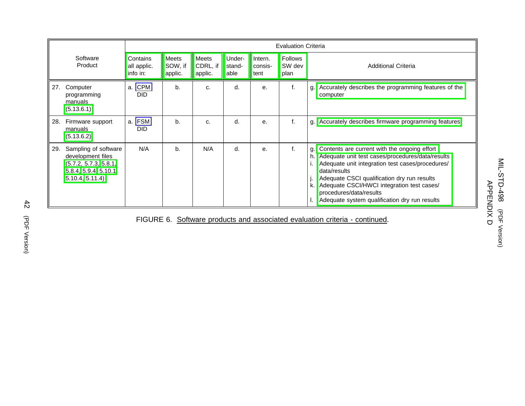|     |                                                                                                               | <b>Evaluation Criteria</b>                 |                                    |                              |                          |                            |                                  |                                                                                                                                                                                                                                                                                                                                                  |  |
|-----|---------------------------------------------------------------------------------------------------------------|--------------------------------------------|------------------------------------|------------------------------|--------------------------|----------------------------|----------------------------------|--------------------------------------------------------------------------------------------------------------------------------------------------------------------------------------------------------------------------------------------------------------------------------------------------------------------------------------------------|--|
|     | Software<br>Product                                                                                           | Contains<br>all applic.<br>info in:        | <b>Meets</b><br>SOW, if<br>applic. | Meets<br>CDRL, if<br>applic. | Under-<br>stand-<br>able | Intern.<br>consis-<br>tent | <b>Follows</b><br>SW dev<br>plan | <b>Additional Criteria</b>                                                                                                                                                                                                                                                                                                                       |  |
| 27. | Computer<br>programming<br>manuals<br>(5.13.6.1)                                                              | <b>CPM</b><br>a <sub>1</sub><br><b>DID</b> | b.                                 | C.                           | d.                       | е.                         | f.                               | Accurately describes the programming features of the<br>g.<br>computer                                                                                                                                                                                                                                                                           |  |
| 28. | Firmware support<br>manuals<br>(5.13.6.2)                                                                     | a. FSM<br><b>DID</b>                       | $b$ .                              | c.                           | d.                       | е.                         | f.                               | Accurately describes firmware programming features<br>q.                                                                                                                                                                                                                                                                                         |  |
| 29. | Sampling of software<br>development files<br>(5.7.2, 5.7.3, 5.8.1,<br>5.8.4, 5.9.4, 5.10.1,<br>5.10.4, 5.11.4 | N/A                                        | $b$ .                              | N/A                          | d.                       | е.                         | f.                               | g. Contents are current with the ongoing effort<br>Adequate unit test cases/procedures/data/results<br>Adequate unit integration test cases/procedures/<br>data/results<br>Adequate CSCI qualification dry run results<br>Adequate CSCI/HWCI integration test cases/<br>procedures/data/results<br>Adequate system qualification dry run results |  |

FIGURE 6. Software products and associated evaluation criteria - continued.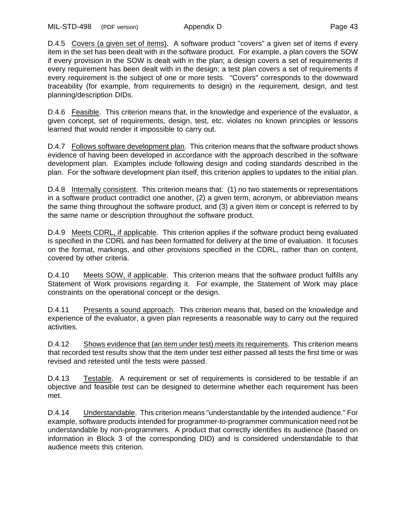<span id="page-50-8"></span><span id="page-50-7"></span><span id="page-50-6"></span><span id="page-50-5"></span><span id="page-50-4"></span><span id="page-50-3"></span><span id="page-50-2"></span><span id="page-50-1"></span><span id="page-50-0"></span>D.4.5 Covers (a given set of items). A software product "covers" a given set of items if every item in the set has been dealt with in the software product. For example, a plan covers the SOW if every provision in the SOW is dealt with in the plan; a design covers a set of requirements if every requirement has been dealt with in the design; a test plan covers a set of requirements if every requirement is the subject of one or more tests. "Covers" corresponds to the downward traceability (for example, from requirements to design) in the requirement, design, and test planning/description DIDs.

D.4.6 Feasible. This criterion means that, in the knowledge and experience of the evaluator, a given concept, set of requirements, design, test, etc. violates no known principles or lessons learned that would render it impossible to carry out.

D.4.7 Follows software development plan. This criterion means that the software product shows evidence of having been developed in accordance with the approach described in the software development plan. Examples include following design and coding standards described in the plan. For the software development plan itself, this criterion applies to updates to the initial plan.

D.4.8 Internally consistent. This criterion means that: (1) no two statements or representations in a software product contradict one another, (2) a given term, acronym, or abbreviation means the same thing throughout the software product, and (3) a given item or concept is referred to by the same name or description throughout the software product.

D.4.9 Meets CDRL, if applicable. This criterion applies if the software product being evaluated is specified in the CDRL and has been formatted for delivery at the time of evaluation. It focuses on the format, markings, and other provisions specified in the CDRL, rather than on content, covered by other criteria.

D.4.10 Meets SOW, if applicable. This criterion means that the software product fulfills any Statement of Work provisions regarding it. For example, the Statement of Work may place constraints on the operational concept or the design.

D.4.11 Presents a sound approach. This criterion means that, based on the knowledge and experience of the evaluator, a given plan represents a reasonable way to carry out the required activities.

D.4.12 Shows evidence that (an item under test) meets its requirements. This criterion means that recorded test results show that the item under test either passed all tests the first time or was revised and retested until the tests were passed.

D.4.13 Testable. A requirement or set of requirements is considered to be testable if an objective and feasible test can be designed to determine whether each requirement has been met.

D.4.14 Understandable. This criterion means "understandable by the intended audience." For example, software products intended for programmer-to-programmer communication need not be understandable by non-programmers. A product that correctly identifies its audience (based on information in Block 3 of the corresponding DID) and is considered understandable to that audience meets this criterion.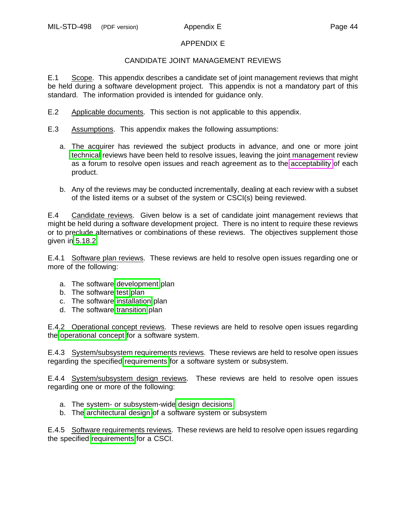# APPENDIX E

# CANDIDATE JOINT MANAGEMENT REVIEWS

<span id="page-51-0"></span>E.1 Scope. This appendix describes a candidate set of joint management reviews that might be held during a software development project. This appendix is not a mandatory part of this standard. The information provided is intended for guidance only.

- E.2 Applicable documents. This section is not applicable to this appendix.
- E.3 Assumptions. This appendix makes the following assumptions:
	- a. The acquirer has reviewed the subject products in advance, and one or more joint [technical](#page-33-1) reviews have been held to resolve issues, leaving the joint management review as a forum to resolve open issues and reach agreement as to the [acceptability](#page-11-0) of each product.
	- b. Any of the reviews may be conducted incrementally, dealing at each review with a subset of the listed items or a subset of the system or CSCI(s) being reviewed.

E.4 Candidate reviews. Given below is a set of candidate joint management reviews that might be held during a software development project. There is no intent to require these reviews or to preclude alternatives or combinations of these reviews. The objectives supplement those given in [5.18.2.](#page-33-2)

E.4.1 Software plan reviews. These reviews are held to resolve open issues regarding one or more of the following:

- a. The software [development](#page-19-0) plan
- b. The software [test](#page-19-1) plan
- c. The software [installation](#page-19-6) plan
- d. The software [transition](#page-19-6) plan

E.4.2 Operational concept reviews. These reviews are held to resolve open issues regarding the [operational concept](#page-21-9) for a software system.

E.4.3 System/subsystem requirements reviews. These reviews are held to resolve open issues regarding the specified [requirements](#page-21-2) for a software system or subsystem.

E.4.4 System/subsystem design reviews. These reviews are held to resolve open issues regarding one or more of the following:

- a. The system- or subsystem-wid[e design decisions](#page-21-0)
- b. The [architectural design](#page-21-10) of a software system or subsystem

E.4.5 Software requirements reviews. These reviews are held to resolve open issues regarding the specified [requirements](#page-22-11) for a CSCI.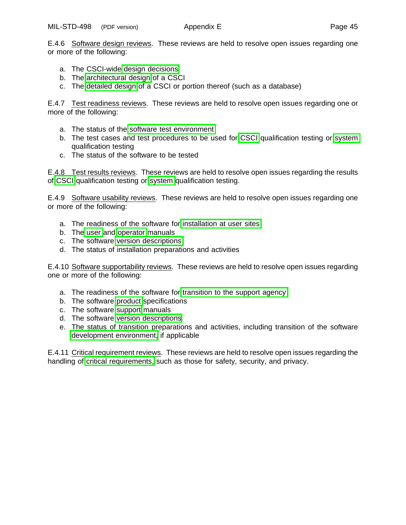E.4.6 Software design reviews. These reviews are held to resolve open issues regarding one or more of the following:

- a. The CSCI-wide [design decisions](#page-22-1)
- b. The [architectural design](#page-22-12) of a CSCI
- c. The [detailed design](#page-22-13) of a CSCI or portion thereof (such as a database)

E.4.7 Test readiness reviews. These reviews are held to resolve open issues regarding one or more of the following:

- a. The status of the [software test environment](#page-20-0)
- b. The test cases and test procedures to be used for [CSCI](#page-24-4) qualification testing or [system](#page-26-4) qualification testing
- c. The status of the software to be tested

E.4.8 Test results reviews. These reviews are held to resolve open issues regarding the results of [CSCI](#page-25-5) qualification testing or [system](#page-27-5) qualification testing.

E.4.9 Software usability reviews. These reviews are held to resolve open issues regarding one or more of the following:

- a. The readiness of the software for [installation at user sites](#page-27-6)
- b. The [user](#page-27-7) and [operator](#page-28-5) manuals
- c. The software [version descriptions](#page-27-6)
- d. The status of installation preparations and activities

E.4.10 Software supportability reviews. These reviews are held to resolve open issues regarding one or more of the following:

- a. The readiness of the software for [transition to the support agency](#page-28-6)
- b. The software [product](#page-28-6) specifications
- c. The software [support](#page-29-4) manuals
- d. The software [version descriptions](#page-28-7)
- e. The status of transition preparations and activities, including transition of the software [development environment,](#page-20-0) if applicable

E.4.11 Critical requirement reviews. These reviews are held to resolve open issues regarding the handling of [critical requirements,](#page-16-1) such as those for safety, security, and privacy.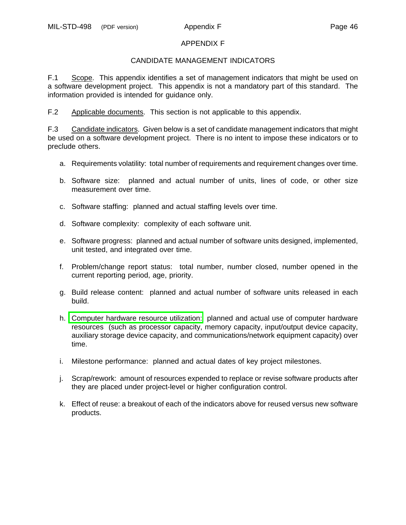## APPENDIX F

## CANDIDATE MANAGEMENT INDICATORS

<span id="page-53-0"></span>F.1 Scope. This appendix identifies a set of management indicators that might be used on a software development project. This appendix is not a mandatory part of this standard. The information provided is intended for guidance only.

F.2 Applicable documents. This section is not applicable to this appendix.

F.3 Candidate indicators. Given below is a set of candidate management indicators that might be used on a software development project. There is no intent to impose these indicators or to preclude others.

- a. Requirements volatility: total number of requirements and requirement changes over time.
- b. Software size: planned and actual number of units, lines of code, or other size measurement over time.
- c. Software staffing: planned and actual staffing levels over time.
- d. Software complexity: complexity of each software unit.
- e. Software progress: planned and actual number of software units designed, implemented, unit tested, and integrated over time.
- f. Problem/change report status: total number, number closed, number opened in the current reporting period, age, priority.
- g. Build release content: planned and actual number of software units released in each build.
- h. [Computer hardware resource utilization:](#page-17-0) planned and actual use of computer hardware resources (such as processor capacity, memory capacity, input/output device capacity, auxiliary storage device capacity, and communications/network equipment capacity) over time.
- i. Milestone performance: planned and actual dates of key project milestones.
- j. Scrap/rework: amount of resources expended to replace or revise software products after they are placed under project-level or higher configuration control.
- k. Effect of reuse: a breakout of each of the indicators above for reused versus new software products.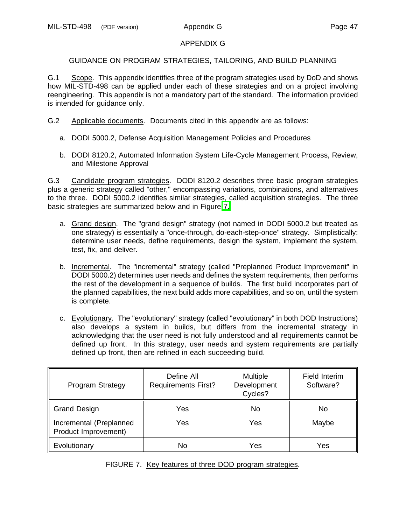## APPENDIX G

# <span id="page-54-0"></span>GUIDANCE ON PROGRAM STRATEGIES, TAILORING, AND BUILD PLANNING

G.1 Scope. This appendix identifies three of the program strategies used by DoD and shows how MIL-STD-498 can be applied under each of these strategies and on a project involving reengineering. This appendix is not a mandatory part of the standard. The information provided is intended for guidance only.

- G.2 Applicable documents. Documents cited in this appendix are as follows:
	- a. DODI 5000.2, Defense Acquisition Management Policies and Procedures
	- b. DODI 8120.2, Automated Information System Life-Cycle Management Process, Review, and Milestone Approval

<span id="page-54-2"></span>G.3 Candidate program strategies. DODI 8120.2 describes three basic program strategies plus a generic strategy called "other," encompassing variations, combinations, and alternatives to the three. DODI 5000.2 identifies similar strategies, called acquisition strategies. The three basic strategies are summarized below and in Figure [7.](#page-54-1)

- a. Grand design. The "grand design" strategy (not named in DODI 5000.2 but treated as one strategy) is essentially a "once-through, do-each-step-once" strategy. Simplistically: determine user needs, define requirements, design the system, implement the system, test, fix, and deliver.
- b. Incremental. The "incremental" strategy (called "Preplanned Product Improvement" in DODI 5000.2) determines user needs and defines the system requirements, then performs the rest of the development in a sequence of builds. The first build incorporates part of the planned capabilities, the next build adds more capabilities, and so on, until the system is complete.
- c. Evolutionary. The "evolutionary" strategy (called "evolutionary" in both DOD Instructions) also develops a system in builds, but differs from the incremental strategy in acknowledging that the user need is not fully understood and all requirements cannot be defined up front. In this strategy, user needs and system requirements are partially defined up front, then are refined in each succeeding build.

<span id="page-54-1"></span>

| Program Strategy                                | Define All<br><b>Requirements First?</b> | <b>Multiple</b><br>Development<br>Cycles? | Field Interim<br>Software? |
|-------------------------------------------------|------------------------------------------|-------------------------------------------|----------------------------|
| <b>Grand Design</b>                             | Yes                                      | No                                        | No.                        |
| Incremental (Preplanned<br>Product Improvement) | Yes                                      | Yes                                       | Maybe                      |
| Evolutionary                                    | No                                       | Yes                                       | Yes                        |

# FIGURE 7. Key features of three DOD program strategies.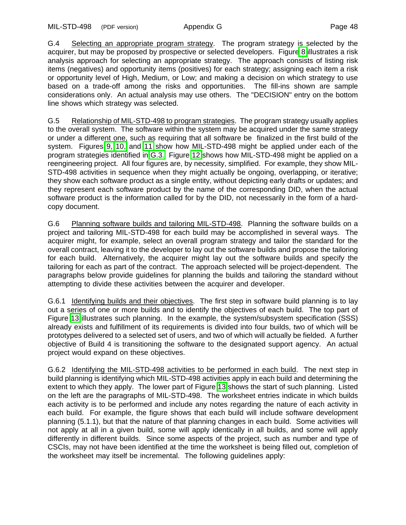MIL-STD-498 (PDF version) Appendix G Page 48

G.4 Selecting an appropriate program strategy. The program strategy is selected by the acquirer, but may be proposed by prospective or selected developers. Figur[e 8](#page-56-0) illustrates a risk analysis approach for selecting an appropriate strategy. The approach consists of listing risk items (negatives) and opportunity items (positives) for each strategy; assigning each item a risk or opportunity level of High, Medium, or Low; and making a decision on which strategy to use based on a trade-off among the risks and opportunities. The fill-ins shown are sample considerations only. An actual analysis may use others. The "DECISION" entry on the bottom line shows which strategy was selected.

G.5 Relationship of MIL-STD-498 to program strategies. The program strategy usually applies to the overall system. The software within the system may be acquired under the same strategy or under a different one, such as requiring that all software be finalized in the first build of the system. Figures [9,](#page-57-0) [10,](#page-58-0) and [11](#page-59-0) show how MIL-STD-498 might be applied under each of the program strategies identified in [G.3.](#page-54-2) Figure [12](#page-60-0) shows how MIL-STD-498 might be applied on a reengineering project. All four figures are, by necessity, simplified. For example, they show MIL-STD-498 activities in sequence when they might actually be ongoing, overlapping, or iterative; they show each software product as a single entity, without depicting early drafts or updates; and they represent each software product by the name of the corresponding DID, when the actual software product is the information called for by the DID, not necessarily in the form of a hardcopy document.

<span id="page-55-0"></span>G.6 Planning software builds and tailoring MIL-STD-498. Planning the software builds on a project and tailoring MIL-STD-498 for each build may be accomplished in several ways. The acquirer might, for example, select an overall program strategy and tailor the standard for the overall contract, leaving it to the developer to lay out the software builds and propose the tailoring for each build. Alternatively, the acquirer might lay out the software builds and specify the tailoring for each as part of the contract. The approach selected will be project-dependent. The paragraphs below provide guidelines for planning the builds and tailoring the standard without attempting to divide these activities between the acquirer and developer.

G.6.1 Identifying builds and their objectives. The first step in software build planning is to lay out a series of one or more builds and to identify the objectives of each build. The top part of Figure [13](#page-61-0) illustrates such planning. In the example, the system/subsystem specification (SSS) already exists and fulfillment of its requirements is divided into four builds, two of which will be prototypes delivered to a selected set of users, and two of which will actually be fielded. A further objective of Build 4 is transitioning the software to the designated support agency. An actual project would expand on these objectives.

G.6.2 Identifying the MIL-STD-498 activities to be performed in each build. The next step in build planning is identifying which MIL-STD-498 activities apply in each build and determining the extent to which they apply. The lower part of Figure [13](#page-61-1) shows the start of such planning. Listed on the left are the paragraphs of MIL-STD-498. The worksheet entries indicate in which builds each activity is to be performed and include any notes regarding the nature of each activity in each build. For example, the figure shows that each build will include software development planning (5.1.1), but that the nature of that planning changes in each build. Some activities will not apply at all in a given build, some will apply identically in all builds, and some will apply differently in different builds. Since some aspects of the project, such as number and type of CSCIs, may not have been identified at the time the worksheet is being filled out, completion of the worksheet may itself be incremental. The following guidelines apply: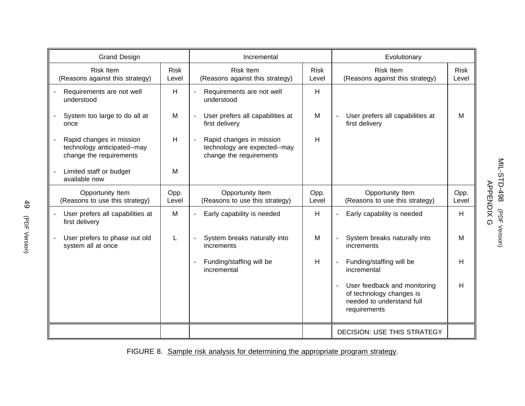| <b>Grand Design</b>                                                                |                      | Incremental                                                                         |                      | Evolutionary                                                                                          |                      |
|------------------------------------------------------------------------------------|----------------------|-------------------------------------------------------------------------------------|----------------------|-------------------------------------------------------------------------------------------------------|----------------------|
| <b>Risk Item</b><br>(Reasons against this strategy)                                | <b>Risk</b><br>Level | <b>Risk Item</b><br>(Reasons against this strategy)                                 | <b>Risk</b><br>Level | <b>Risk Item</b><br>(Reasons against this strategy)                                                   | <b>Risk</b><br>Level |
| Requirements are not well<br>understood                                            | H                    | Requirements are not well<br>understood                                             | H                    |                                                                                                       |                      |
| System too large to do all at<br>once                                              | M                    | User prefers all capabilities at<br>first delivery                                  | M                    | User prefers all capabilities at<br>first delivery                                                    | M                    |
| Rapid changes in mission<br>technology anticipated--may<br>change the requirements | H                    | Rapid changes in mission<br>technology are expected--may<br>change the requirements | н                    |                                                                                                       |                      |
| Limited staff or budget<br>available now                                           | M                    |                                                                                     |                      |                                                                                                       |                      |
| Opportunity Item<br>(Reasons to use this strategy)                                 | Opp.<br>Level        | Opportunity Item<br>(Reasons to use this strategy)                                  | Opp.<br>Level        | Opportunity Item<br>(Reasons to use this strategy)                                                    | Opp.<br>Level        |
| User prefers all capabilities at<br>first delivery                                 | M                    | Early capability is needed<br>$\overline{\phantom{0}}$                              | H                    | Early capability is needed                                                                            | H                    |
| User prefers to phase out old<br>system all at once                                | L                    | System breaks naturally into<br>increments                                          | M                    | System breaks naturally into<br>increments                                                            | M                    |
|                                                                                    |                      | Funding/staffing will be<br>incremental                                             | H                    | Funding/staffing will be<br>incremental                                                               | H                    |
|                                                                                    |                      |                                                                                     |                      | User feedback and monitoring<br>of technology changes is<br>needed to understand full<br>requirements | H                    |
|                                                                                    |                      |                                                                                     |                      | <b>DECISION: USE THIS STRATEGY</b>                                                                    |                      |

# <span id="page-56-0"></span>FIGURE 8. Sample risk analysis for determining the appropriate program strategy.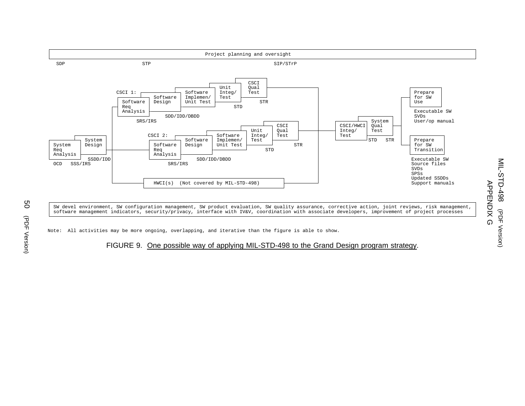

SW devel environment, SW configuration management, SW product evaluation, SW quality assurance, corrective action, joint reviews, risk management, software management indicators, security/privacy, interface with IV&V, coordination with associate developers, improvement of project processes

<span id="page-57-0"></span>Note: All activities may be more ongoing, overlapping, and iterative than the figure is able to show.

#### FIGURE 9. One possible way of applying MIL-STD-498 to the Grand Design program strategy.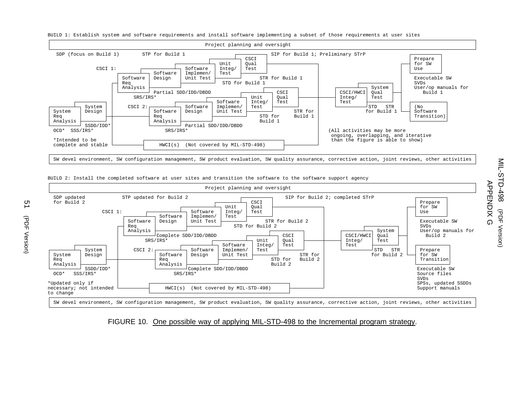

BUILD 1: Establish system and software requirements and install software implementing <sup>a</sup> subset of those requirements at user sites



BUILD 2: Install the completed software at user sites and transition the software to the software support agency

#### <span id="page-58-0"></span>FIGURE 10. One possible way of applying MIL-STD-498 to the Incremental program strategy.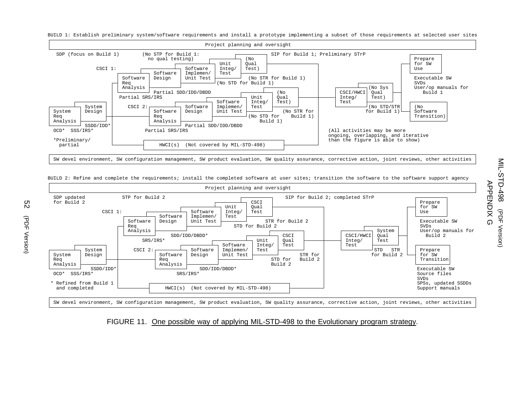BUILD 1: Establish preliminary system/software requirements and install <sup>a</sup> prototype implementing <sup>a</sup> subset of those requirements at selected user sites



BUILD 2: Refine and complete the requirements; install the completed software at user sites; transition the software to the software support agency



#### <span id="page-59-0"></span>FIGURE 11. One possible way of applying MIL-STD-498 to the Evolutionary program strategy.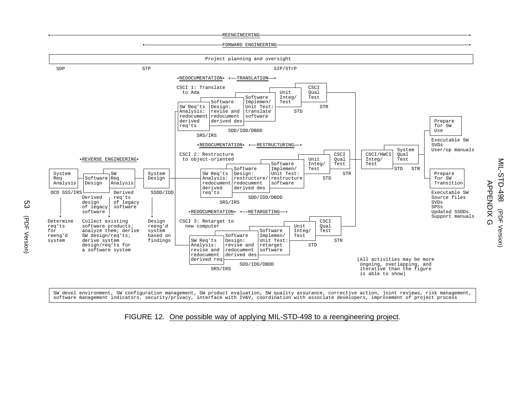



SW devel environment, SW configuration management, SW product evaluation, SW quality assurance, corrective action, joint reviews, risk management, software management indicators, security/privacy, interface with IV&V, coordination with associate developers, improvement of project process

#### <span id="page-60-0"></span>FIGURE 12. One possible way of applying MIL-STD-498 to <sup>a</sup> reengineering project.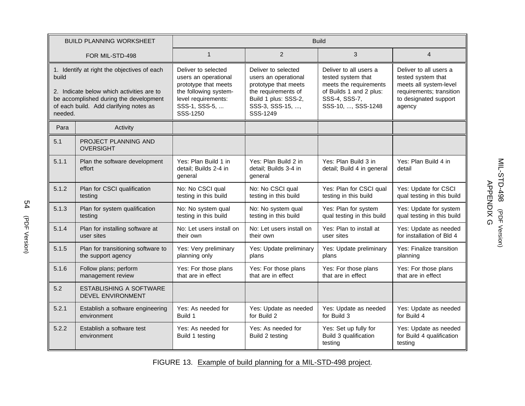|                                                                                                                                                                                                  | <b>BUILD PLANNING WORKSHEET</b>                          | <b>Build</b>                                                                                                                                     |                                                                                                                                                    |                                                                                                                                          |                                                                                                                                       |
|--------------------------------------------------------------------------------------------------------------------------------------------------------------------------------------------------|----------------------------------------------------------|--------------------------------------------------------------------------------------------------------------------------------------------------|----------------------------------------------------------------------------------------------------------------------------------------------------|------------------------------------------------------------------------------------------------------------------------------------------|---------------------------------------------------------------------------------------------------------------------------------------|
|                                                                                                                                                                                                  | FOR MIL-STD-498                                          | $\mathbf{1}$                                                                                                                                     | 2                                                                                                                                                  | 3                                                                                                                                        | $\overline{4}$                                                                                                                        |
| 1. Identify at right the objectives of each<br>build<br>2. Indicate below which activities are to<br>be accomplished during the development<br>of each build. Add clarifying notes as<br>needed. |                                                          | Deliver to selected<br>users an operational<br>prototype that meets<br>the following system-<br>level requirements:<br>SSS-1, SSS-5,<br>SSS-1250 | Deliver to selected<br>users an operational<br>prototype that meets<br>the requirements of<br>Build 1 plus: SSS-2,<br>SSS-3, SSS-15, ,<br>SSS-1249 | Deliver to all users a<br>tested system that<br>meets the requirements<br>of Builds 1 and 2 plus:<br>SSS-4, SSS-7,<br>SSS-10, , SSS-1248 | Deliver to all users a<br>tested system that<br>meets all system-level<br>requirements; transition<br>to designated support<br>agency |
| Para                                                                                                                                                                                             | Activity                                                 |                                                                                                                                                  |                                                                                                                                                    |                                                                                                                                          |                                                                                                                                       |
| 5.1                                                                                                                                                                                              | PROJECT PLANNING AND<br><b>OVERSIGHT</b>                 |                                                                                                                                                  |                                                                                                                                                    |                                                                                                                                          |                                                                                                                                       |
| 5.1.1                                                                                                                                                                                            | Plan the software development<br>effort                  | Yes: Plan Build 1 in<br>detail; Builds 2-4 in<br>general                                                                                         | Yes: Plan Build 2 in<br>detail; Builds 3-4 in<br>general                                                                                           | Yes: Plan Build 3 in<br>detail; Build 4 in general                                                                                       | Yes: Plan Build 4 in<br>detail                                                                                                        |
| 5.1.2                                                                                                                                                                                            | Plan for CSCI qualification<br>testing                   | No: No CSCI qual<br>testing in this build                                                                                                        | No: No CSCI qual<br>testing in this build                                                                                                          | Yes: Plan for CSCI qual<br>testing in this build                                                                                         | Yes: Update for CSCI<br>qual testing in this build                                                                                    |
| 5.1.3                                                                                                                                                                                            | Plan for system qualification<br>testing                 | No: No system qual<br>testing in this build                                                                                                      | No: No system qual<br>testing in this build                                                                                                        | Yes: Plan for system<br>qual testing in this build                                                                                       | Yes: Update for system<br>qual testing in this build                                                                                  |
| 5.1.4                                                                                                                                                                                            | Plan for installing software at<br>user sites            | No: Let users install on<br>their own                                                                                                            | No: Let users install on<br>their own                                                                                                              | Yes: Plan to install at<br>user sites                                                                                                    | Yes: Update as needed<br>for installation of Bld 4                                                                                    |
| 5.1.5                                                                                                                                                                                            | Plan for transitioning software to<br>the support agency | Yes: Very preliminary<br>planning only                                                                                                           | Yes: Update preliminary<br>plans                                                                                                                   | Yes: Update preliminary<br>plans                                                                                                         | Yes: Finalize transition<br>planning                                                                                                  |
| 5.1.6                                                                                                                                                                                            | Follow plans; perform<br>management review               | Yes: For those plans<br>that are in effect                                                                                                       | Yes: For those plans<br>that are in effect                                                                                                         | Yes: For those plans<br>that are in effect                                                                                               | Yes: For those plans<br>that are in effect                                                                                            |
| 5.2                                                                                                                                                                                              | ESTABLISHING A SOFTWARE<br>DEVEL ENVIRONMENT             |                                                                                                                                                  |                                                                                                                                                    |                                                                                                                                          |                                                                                                                                       |
| 5.2.1                                                                                                                                                                                            | Establish a software engineering<br>environment          | Yes: As needed for<br>Build 1                                                                                                                    | Yes: Update as needed<br>for Build 2                                                                                                               | Yes: Update as needed<br>for Build 3                                                                                                     | Yes: Update as needed<br>for Build 4                                                                                                  |
| 5.2.2                                                                                                                                                                                            | Establish a software test<br>environment                 | Yes: As needed for<br>Build 1 testing                                                                                                            | Yes: As needed for<br>Build 2 testing                                                                                                              | Yes: Set up fully for<br>Build 3 qualification<br>testing                                                                                | Yes: Update as needed<br>for Build 4 qualification<br>testing                                                                         |

<span id="page-61-1"></span><span id="page-61-0"></span>FIGURE 13. Example of build planning for <sup>a</sup> MIL-STD-498 project.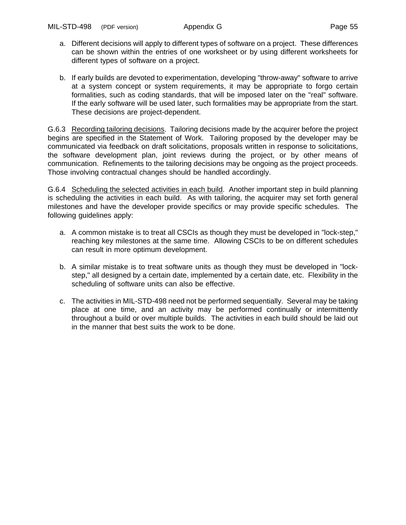- a. Different decisions will apply to different types of software on a project. These differences can be shown within the entries of one worksheet or by using different worksheets for different types of software on a project.
- b. If early builds are devoted to experimentation, developing "throw-away" software to arrive at a system concept or system requirements, it may be appropriate to forgo certain formalities, such as coding standards, that will be imposed later on the "real" software. If the early software will be used later, such formalities may be appropriate from the start. These decisions are project-dependent.

G.6.3 Recording tailoring decisions. Tailoring decisions made by the acquirer before the project begins are specified in the Statement of Work. Tailoring proposed by the developer may be communicated via feedback on draft solicitations, proposals written in response to solicitations, the software development plan, joint reviews during the project, or by other means of communication. Refinements to the tailoring decisions may be ongoing as the project proceeds. Those involving contractual changes should be handled accordingly.

G.6.4 Scheduling the selected activities in each build. Another important step in build planning is scheduling the activities in each build. As with tailoring, the acquirer may set forth general milestones and have the developer provide specifics or may provide specific schedules. The following guidelines apply:

- a. A common mistake is to treat all CSCIs as though they must be developed in "lock-step," reaching key milestones at the same time. Allowing CSCIs to be on different schedules can result in more optimum development.
- b. A similar mistake is to treat software units as though they must be developed in "lockstep," all designed by a certain date, implemented by a certain date, etc. Flexibility in the scheduling of software units can also be effective.
- c. The activities in MIL-STD-498 need not be performed sequentially. Several may be taking place at one time, and an activity may be performed continually or intermittently throughout a build or over multiple builds. The activities in each build should be laid out in the manner that best suits the work to be done.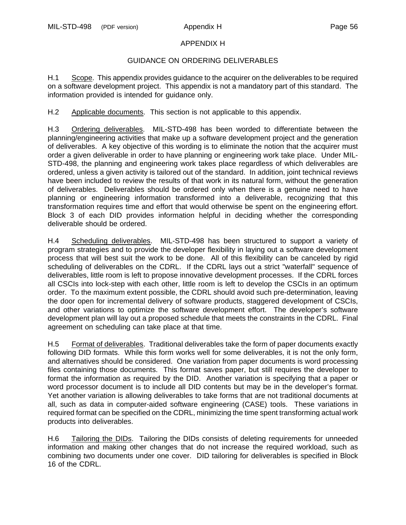## APPENDIX H

# GUIDANCE ON ORDERING DELIVERABLES

H.1 Scope. This appendix provides guidance to the acquirer on the deliverables to be required on a software development project. This appendix is not a mandatory part of this standard. The information provided is intended for guidance only.

H.2 Applicable documents. This section is not applicable to this appendix.

<span id="page-63-0"></span>H.3 Ordering deliverables. MIL-STD-498 has been worded to differentiate between the planning/engineering activities that make up a software development project and the generation of deliverables. A key objective of this wording is to eliminate the notion that the acquirer must order a given deliverable in order to have planning or engineering work take place. Under MIL-STD-498, the planning and engineering work takes place regardless of which deliverables are ordered, unless a given activity is tailored out of the standard. In addition, joint technical reviews have been included to review the results of that work in its natural form, without the generation of deliverables. Deliverables should be ordered only when there is a genuine need to have planning or engineering information transformed into a deliverable, recognizing that this transformation requires time and effort that would otherwise be spent on the engineering effort. Block 3 of each DID provides information helpful in deciding whether the corresponding deliverable should be ordered.

H.4 Scheduling deliverables. MIL-STD-498 has been structured to support a variety of program strategies and to provide the developer flexibility in laying out a software development process that will best suit the work to be done. All of this flexibility can be canceled by rigid scheduling of deliverables on the CDRL. If the CDRL lays out a strict "waterfall" sequence of deliverables, little room is left to propose innovative development processes. If the CDRL forces all CSCIs into lock-step with each other, little room is left to develop the CSCIs in an optimum order. To the maximum extent possible, the CDRL should avoid such pre-determination, leaving the door open for incremental delivery of software products, staggered development of CSCIs, and other variations to optimize the software development effort. The developer's software development plan will lay out a proposed schedule that meets the constraints in the CDRL. Final agreement on scheduling can take place at that time.

H.5 Format of deliverables. Traditional deliverables take the form of paper documents exactly following DID formats. While this form works well for some deliverables, it is not the only form, and alternatives should be considered. One variation from paper documents is word processing files containing those documents. This format saves paper, but still requires the developer to format the information as required by the DID. Another variation is specifying that a paper or word processor document is to include all DID contents but may be in the developer's format. Yet another variation is allowing deliverables to take forms that are not traditional documents at all, such as data in computer-aided software engineering (CASE) tools. These variations in required format can be specified on the CDRL, minimizing the time spent transforming actual work products into deliverables.

H.6 Tailoring the DIDs. Tailoring the DIDs consists of deleting requirements for unneeded information and making other changes that do not increase the required workload, such as combining two documents under one cover. DID tailoring for deliverables is specified in Block 16 of the CDRL.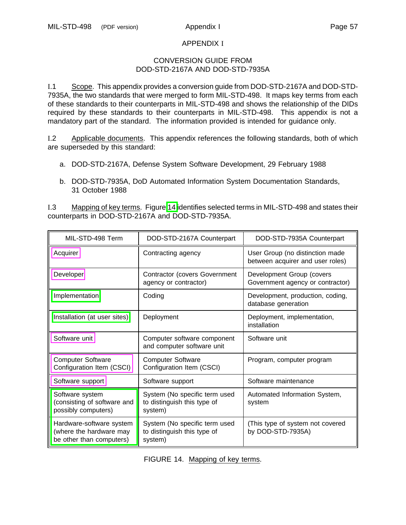#### APPENDIX I

#### CONVERSION GUIDE FROM DOD-STD-2167A AND DOD-STD-7935A

I.1 Scope. This appendix provides a conversion guide from DOD-STD-2167A and DOD-STD-7935A, the two standards that were merged to form MIL-STD-498. It maps key terms from each of these standards to their counterparts in MIL-STD-498 and shows the relationship of the DIDs required by these standards to their counterparts in MIL-STD-498. This appendix is not a mandatory part of the standard. The information provided is intended for guidance only.

I.2 Applicable documents. This appendix references the following standards, both of which are superseded by this standard:

- a. DOD-STD-2167A, Defense System Software Development, 29 February 1988
- b. DOD-STD-7935A, DoD Automated Information System Documentation Standards, 31 October 1988

I.3 Mapping of key terms. Figure [14](#page-64-0) identifies selected terms in MIL-STD-498 and states their counterparts in DOD-STD-2167A and DOD-STD-7935A.

<span id="page-64-0"></span>

| MIL-STD-498 Term                                                                | DOD-STD-2167A Counterpart                                               | DOD-STD-7935A Counterpart                                           |
|---------------------------------------------------------------------------------|-------------------------------------------------------------------------|---------------------------------------------------------------------|
| Acquirer                                                                        | Contracting agency                                                      | User Group (no distinction made<br>between acquirer and user roles) |
| Developer                                                                       | <b>Contractor (covers Government</b><br>agency or contractor)           | Development Group (covers<br>Government agency or contractor)       |
| Implementation                                                                  | Coding                                                                  | Development, production, coding,<br>database generation             |
| Installation (at user sites)                                                    | Deployment                                                              | Deployment, implementation,<br>installation                         |
| Software unit                                                                   | Computer software component<br>and computer software unit               | Software unit                                                       |
| <b>Computer Software</b><br>Configuration Item (CSCI)                           | <b>Computer Software</b><br>Configuration Item (CSCI)                   | Program, computer program                                           |
| Software support                                                                | Software support                                                        | Software maintenance                                                |
| Software system<br>(consisting of software and<br>possibly computers)           | System (No specific term used<br>to distinguish this type of<br>system) | Automated Information System,<br>system                             |
| Hardware-software system<br>(where the hardware may<br>be other than computers) | System (No specific term used<br>to distinguish this type of<br>system) | (This type of system not covered<br>by DOD-STD-7935A)               |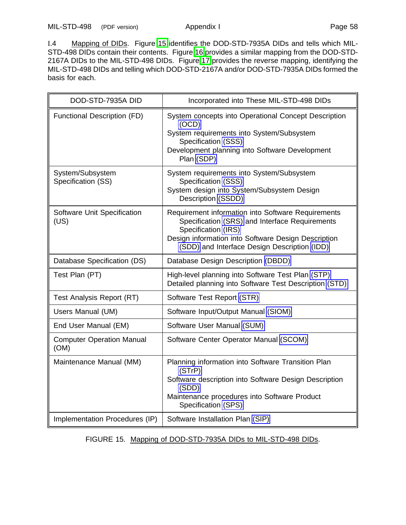MIL-STD-498 (PDF version) Appendix I Page 58

I.4 Mapping of DIDs. Figure [15](#page-65-0) identifies the DOD-STD-7935A DIDs and tells which MIL-STD-498 DIDs contain their contents. Figure [16](#page-66-0) provides a similar mapping from the DOD-STD-2167A DIDs to the MIL-STD-498 DIDs. Figure [17](#page-67-0) provides the reverse mapping, identifying the MIL-STD-498 DIDs and telling which DOD-STD-2167A and/or DOD-STD-7935A DIDs formed the basis for each.

<span id="page-65-0"></span>

| DOD-STD-7935A DID                        | Incorporated into These MIL-STD-498 DIDs                                                                                                                                                                                           |  |  |
|------------------------------------------|------------------------------------------------------------------------------------------------------------------------------------------------------------------------------------------------------------------------------------|--|--|
| Functional Description (FD)              | System concepts into Operational Concept Description<br>(OCD)<br>System requirements into System/Subsystem<br>Specification (SSS)<br>Development planning into Software Development<br>Plan (SDP)                                  |  |  |
| System/Subsystem<br>Specification (SS)   | System requirements into System/Subsystem<br>Specification (SSS)<br>System design into System/Subsystem Design<br>Description (SSDD)                                                                                               |  |  |
| Software Unit Specification<br>(US)      | Requirement information into Software Requirements<br>Specification (SRS) and Interface Requirements<br>Specification (IRS)<br>Design information into Software Design Description<br>(SDD) and Interface Design Description (IDD) |  |  |
| Database Specification (DS)              | Database Design Description (DBDD)                                                                                                                                                                                                 |  |  |
| Test Plan (PT)                           | High-level planning into Software Test Plan (STP)<br>Detailed planning into Software Test Description (STD)                                                                                                                        |  |  |
| Test Analysis Report (RT)                | Software Test Report (STR)                                                                                                                                                                                                         |  |  |
| Users Manual (UM)                        | Software Input/Output Manual (SIOM)                                                                                                                                                                                                |  |  |
| End User Manual (EM)                     | Software User Manual (SUM)                                                                                                                                                                                                         |  |  |
| <b>Computer Operation Manual</b><br>(OM) | Software Center Operator Manual (SCOM)                                                                                                                                                                                             |  |  |
| Maintenance Manual (MM)                  | Planning information into Software Transition Plan<br>(STrP)<br>Software description into Software Design Description<br>(SDD)<br>Maintenance procedures into Software Product<br>Specification (SPS)                              |  |  |
| Implementation Procedures (IP)           | Software Installation Plan (SIP)                                                                                                                                                                                                   |  |  |

FIGURE 15. Mapping of DOD-STD-7935A DIDs to MIL-STD-498 DIDs.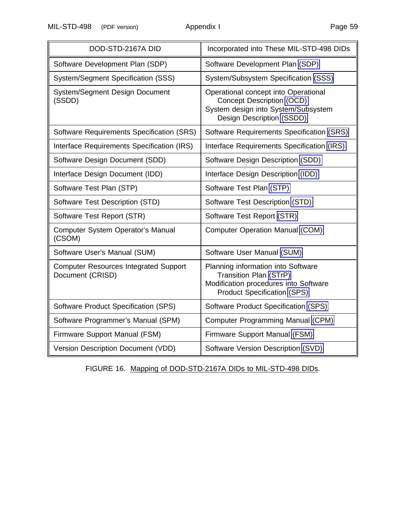MIL-STD-498 (PDF version) Appendix I Page 59

<span id="page-66-0"></span>

| DOD-STD-2167A DID                                                | Incorporated into These MIL-STD-498 DIDs                                                                                                     |  |  |
|------------------------------------------------------------------|----------------------------------------------------------------------------------------------------------------------------------------------|--|--|
| Software Development Plan (SDP)                                  | Software Development Plan (SDP)                                                                                                              |  |  |
| System/Segment Specification (SSS)                               | System/Subsystem Specification (SSS)                                                                                                         |  |  |
| System/Segment Design Document<br>(SSDD)                         | Operational concept into Operational<br>Concept Description (OCD)<br>System design into System/Subsystem<br><b>Design Description (SSDD)</b> |  |  |
| Software Requirements Specification (SRS)                        | Software Requirements Specification (SRS)                                                                                                    |  |  |
| Interface Requirements Specification (IRS)                       | Interface Requirements Specification (IRS)                                                                                                   |  |  |
| Software Design Document (SDD)                                   | Software Design Description (SDD)                                                                                                            |  |  |
| Interface Design Document (IDD)                                  | Interface Design Description (IDD)                                                                                                           |  |  |
| Software Test Plan (STP)                                         | Software Test Plan (STP)                                                                                                                     |  |  |
| Software Test Description (STD)                                  | Software Test Description (STD)                                                                                                              |  |  |
| Software Test Report (STR)                                       | Software Test Report (STR)                                                                                                                   |  |  |
| <b>Computer System Operator's Manual</b><br>(CSOM)               | <b>Computer Operation Manual (COM)</b>                                                                                                       |  |  |
| Software User's Manual (SUM)                                     | Software User Manual (SUM)                                                                                                                   |  |  |
| <b>Computer Resources Integrated Support</b><br>Document (CRISD) | Planning information into Software<br>Transition Plan (STrP)<br>Modification procedures into Software<br><b>Product Specification (SPS)</b>  |  |  |
| Software Product Specification (SPS)                             | Software Product Specification (SPS)                                                                                                         |  |  |
| Software Programmer's Manual (SPM)                               | Computer Programming Manual (CPM)                                                                                                            |  |  |
| Firmware Support Manual (FSM)                                    | Firmware Support Manual (FSM)                                                                                                                |  |  |
| Version Description Document (VDD)                               | Software Version Description (SVD)                                                                                                           |  |  |

FIGURE 16. Mapping of DOD-STD-2167A DIDs to MIL-STD-498 DIDs.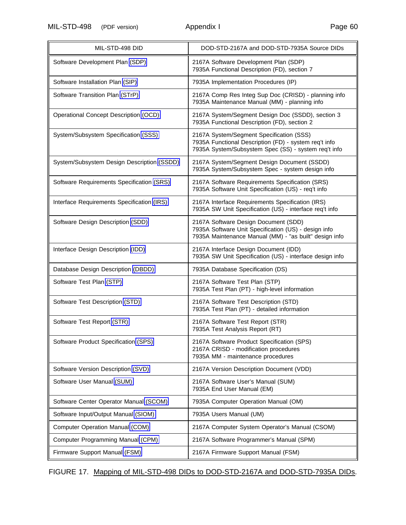MIL-STD-498 (PDF version) Appendix I

| Page 60 |  |
|---------|--|
|         |  |

<span id="page-67-0"></span>

| MIL-STD-498 DID                            | DOD-STD-2167A and DOD-STD-7935A Source DIDs                                                                                                               |  |  |
|--------------------------------------------|-----------------------------------------------------------------------------------------------------------------------------------------------------------|--|--|
| Software Development Plan (SDP)            | 2167A Software Development Plan (SDP)<br>7935A Functional Description (FD), section 7                                                                     |  |  |
| Software Installation Plan (SIP)           | 7935A Implementation Procedures (IP)                                                                                                                      |  |  |
| Software Transition Plan (STrP)            | 2167A Comp Res Integ Sup Doc (CRISD) - planning info<br>7935A Maintenance Manual (MM) - planning info                                                     |  |  |
| Operational Concept Description (OCD)      | 2167A System/Segment Design Doc (SSDD), section 3<br>7935A Functional Description (FD), section 2                                                         |  |  |
| System/Subsystem Specification (SSS)       | 2167A System/Segment Specification (SSS)<br>7935A Functional Description (FD) - system req't info<br>7935A System/Subsystem Spec (SS) - system req't info |  |  |
| System/Subsystem Design Description (SSDD) | 2167A System/Segment Design Document (SSDD)<br>7935A System/Subsystem Spec - system design info                                                           |  |  |
| Software Requirements Specification (SRS)  | 2167A Software Requirements Specification (SRS)<br>7935A Software Unit Specification (US) - req't info                                                    |  |  |
| Interface Requirements Specification (IRS) | 2167A Interface Requirements Specification (IRS)<br>7935A SW Unit Specification (US) - interface req't info                                               |  |  |
| Software Design Description (SDD)          | 2167A Software Design Document (SDD)<br>7935A Software Unit Specification (US) - design info<br>7935A Maintenance Manual (MM) - "as built" design info    |  |  |
| Interface Design Description (IDD)         | 2167A Interface Design Document (IDD)<br>7935A SW Unit Specification (US) - interface design info                                                         |  |  |
| Database Design Description (DBDD)         | 7935A Database Specification (DS)                                                                                                                         |  |  |
| Software Test Plan (STP)                   | 2167A Software Test Plan (STP)<br>7935A Test Plan (PT) - high-level information                                                                           |  |  |
| Software Test Description (STD)            | 2167A Software Test Description (STD)<br>7935A Test Plan (PT) - detailed information                                                                      |  |  |
| Software Test Report (STR)                 | 2167A Software Test Report (STR)<br>7935A Test Analysis Report (RT)                                                                                       |  |  |
| Software Product Specification (SPS)       | 2167A Software Product Specification (SPS)<br>2167A CRISD - modification procedures<br>7935A MM - maintenance procedures                                  |  |  |
| Software Version Description (SVD)         | 2167A Version Description Document (VDD)                                                                                                                  |  |  |
| Software User Manual (SUM)                 | 2167A Software User's Manual (SUM)<br>7935A End User Manual (EM)                                                                                          |  |  |
| Software Center Operator Manual (SCOM)     | 7935A Computer Operation Manual (OM)                                                                                                                      |  |  |
| Software Input/Output Manual (SIOM)        | 7935A Users Manual (UM)                                                                                                                                   |  |  |
| Computer Operation Manual (COM)            | 2167A Computer System Operator's Manual (CSOM)                                                                                                            |  |  |
| Computer Programming Manual (CPM)          | 2167A Software Programmer's Manual (SPM)                                                                                                                  |  |  |
| Firmware Support Manual (FSM)              | 2167A Firmware Support Manual (FSM)                                                                                                                       |  |  |

# FIGURE 17. Mapping of MIL-STD-498 DIDs to DOD-STD-2167A and DOD-STD-7935A DIDs.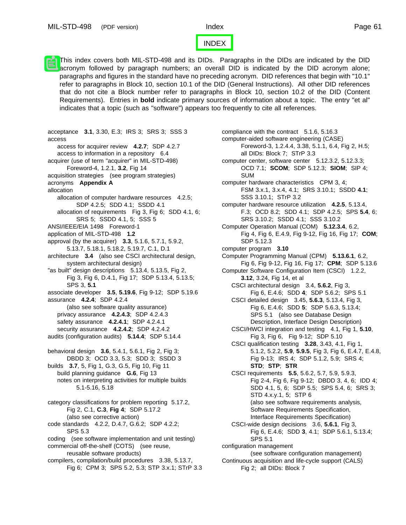#### [INDEX](#page-0-4)

This index covers both MIL-STD-498 and its DIDs. Paragraphs in the DIDs are indicated by the DID acronym followed by paragraph numbers; an overall DID is indicated by the DID acronym alone; paragraphs and figures in the standard have no preceding acronym. DID references that begin with "10.1" refer to paragraphs in Block 10, section 10.1 of the DID (General Instructions). All other DID references that do not cite a Block number refer to paragraphs in Block 10, section 10.2 of the DID (Content Requirements). Entries in **bold** indicate primary sources of information about a topic. The entry "et al" indicates that a topic (such as "software") appears too frequently to cite all references.

acceptance **3.1**, 3.30, E.3; IRS 3; SRS 3; SSS 3 access access for acquirer review **4.2.7**; SDP 4.2.7 access to information in a repository 6.4 acquirer (use of term "acquirer" in MIL-STD-498) Foreword-4, 1.2.1, **3.2**, Fig 14 acquisition strategies (see program strategies) acronyms **Appendix A** allocation allocation of computer hardware resources 4.2.5; SDP 4.2.5; SDD 4.1; SSDD 4.1 allocation of requirements Fig 3, Fig 6; SDD 4.1, 6; SRS 5; SSDD 4.1, 5; SSS 5 ANSI/IEEE/EIA 1498 Foreword-1 application of MIL-STD-498 **1.2** approval (by the acquirer) **3.3**, 5.1.6, 5.7.1, 5.9.2, 5.13.7, 5.18.1, 5.18.2, 5.19.7, C.1, D.1 architecture **3.4** (also see CSCI architectural design, system architectural design) "as built" design descriptions 5.13.4, 5.13.5, Fig 2, Fig 3, Fig 6, D.4.1, Fig 17; SDP 5.13.4, 5.13.5; SPS 3, **5.1** associate developer **3.5**, **5.19.6**, Fig 9-12; SDP 5.19.6 assurance **4.2.4**; SDP 4.2.4 (also see software quality assurance) privacy assurance **4.2.4.3**; SDP 4.2.4.3 safety assurance **4.2.4.1**; SDP 4.2.4.1 security assurance **4.2.4.2**; SDP 4.2.4.2 audits (configuration audits) **5.14.4**; SDP 5.14.4 behavioral design **3.6**, 5.4.1, 5.6.1, Fig 2, Fig 3; DBDD 3; OCD 3.3, 5.3; SDD 3; SSDD 3 builds **3.7**, 5, Fig 1, G.3, G.5, Fig 10, Fig 11 build planning guidance **G.6**, Fig 13 notes on interpreting activities for multiple builds 5.1-5.16, 5.18 category classifications for problem reporting 5.17.2, Fig 2, C.1, **C.3**, **Fig 4**; SDP 5.17.2 (also see corrective action) code standards 4.2.2, D.4.7, G.6.2; SDP 4.2.2; SPS 5.3 coding (see software implementation and unit testing) commercial off-the-shelf (COTS) (see reuse, reusable software products) compilers, compilation/build procedures 3.38, 5.13.7, Fig 6; CPM 3; SPS 5.2, 5.3; STP 3.x.1; STrP 3.3 compliance with the contract 5.1.6, 5.16.3 computer-aided software engineering (CASE) Foreword-3, 1.2.4.4, 3.38, 5.1.1, 6.4, Fig 2, H.5; all DIDs: Block 7; STrP 3.3 computer center, software center 5.12.3.2, 5.12.3.3; OCD 7.1; **SCOM**; SDP 5.12.3; **SIOM**; SIP 4; SUM computer hardware characteristics CPM 3, 4; FSM 3.x.1, 3.x.4, 4.1; SRS 3.10.1; SSDD **4.1**; SSS 3.10.1; STrP 3.2 computer hardware resource utilization **4.2.5**, 5.13.4, F.3; OCD 8.2; SDD 4.1; SDP 4.2.5; SPS **5.4**, 6; SRS 3.10.2; SSDD 4.1; SSS 3.10.2 Computer Operation Manual (COM) **5.12.3.4**, 6.2, Fig 4, Fig 6, E.4.9, Fig 9-12, Fig 16, Fig 17; **COM**; SDP 5.12.3 computer program **3.10** Computer Programming Manual (CPM) **5.13.6.1**, 6.2, Fig 6, Fig 9-12, Fig 16, Fig 17; **CPM**; SDP 5.13.6 Computer Software Configuration Item (CSCI) 1.2.2, **3.12**, 3.24, Fig 14, et al CSCI architectural design 3.4, **5.6.2**, Fig 3, Fig 6, E.4.6; SDD **4**; SDP 5.6.2; SPS 5.1 CSCI detailed design 3.45, **5.6.3**, 5.13.4, Fig 3, Fig 6, E.4.6; SDD **5**; SDP 5.6.3, 5.13.4; SPS 5.1 (also see Database Design Description, Interface Design Description) CSCI/HWCI integration and testing 4.1, Fig 1, **5.10**, Fig 3, Fig 6, Fig 9-12; SDP 5.10 CSCI qualification testing **3.28**, 3.43, 4.1, Fig 1, 5.1.2, 5.2.2, **5.9**, **5.9.5**, Fig 3, Fig 6, E.4.7, E.4.8, Fig 9-13; IRS 4; SDP 5.1.2, 5.9; SRS 4; **STD**; **STP**; **STR** CSCI requirements **5.5**, 5.6.2, 5.7, 5.9, 5.9.3, Fig 2-4, Fig 6, Fig 9-12; DBDD 3, 4, 6; IDD 4; SDD 4.1, 5, 6; SDP 5.5; SPS 5.4, 6; SRS 3; STD 4.x.y.1, 5; STP 6 (also see software requirements analysis, Software Requirements Specification, Interface Requirements Specification) CSCI-wide design decisions 3.6, **5.6.1**, Fig 3, Fig 6, E.4.6; SDD **3**, 4.1; SDP 5.6.1, 5.13.4; SPS 5.1 configuration management (see software configuration management) Continuous acquisition and life-cycle support (CALS) Fig 2; all DIDs: Block 7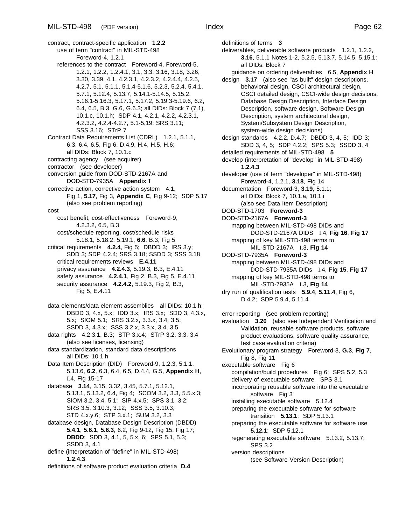contract, contract-specific application **1.2.2** use of term "contract" in MIL-STD-498 Foreword-4, 1.2.1 references to the contract Foreword-4, Foreword-5, 1.2.1, 1.2.2, 1.2.4.1, 3.1, 3.3, 3.16, 3.18, 3.26, 3.30, 3.39, 4.1, 4.2.3.1, 4.2.3.2, 4.2.4.4, 4.2.5, 4.2.7, 5.1, 5.1.1, 5.1.4-5.1.6, 5.2.3, 5.2.4, 5.4.1, 5.7.1, 5.12.4, 5.13.7, 5.14.1-5.14.5, 5.15.2, 5.16.1-5.16.3, 5.17.1, 5.17.2, 5.19.3-5.19.6, 6.2, 6.4, 6.5, B.3, G.6, G.6.3; all DIDs: Block 7 (7.1), 10.1.c, 10.1.h; SDP 4.1, 4.2.1, 4.2.2, 4.2.3.1, 4.2.3.2, 4.2.4-4.2.7, 5.1-5.19; SRS 3.11; SSS 3.16; STrP 7 Contract Data Requirements List (CDRL) 1.2.1, 5.1.1, 6.3, 6.4, 6.5, Fig 6, D.4.9, H.4, H.5, H.6; all DIDs: Block 7, 10.1.c contracting agency (see acquirer) contractor (see developer) conversion guide from DOD-STD-2167A and DOD-STD-7935A **Appendix I** corrective action, corrective action system 4.1, Fig 1, **5.17**, Fig 3, **Appendix C**, Fig 9-12; SDP 5.17 (also see problem reporting) cost cost benefit, cost-effectiveness Foreword-9, 4.2.3.2, 6.5, B.3 cost/schedule reporting, cost/schedule risks 5.18.1, 5.18.2, 5.19.1, **6.6**, B.3, Fig 5 critical requirements **4.2.4**, Fig 5; DBDD 3; IRS 3.y; SDD 3; SDP 4.2.4; SRS 3.18; SSDD 3; SSS 3.18 critical requirements reviews **E.4.11** privacy assurance **4.2.4.3**, 5.19.3, B.3, E.4.11 safety assurance **4.2.4.1**, Fig 2, B.3, Fig 5, E.4.11 security assurance **4.2.4.2**, 5.19.3, Fig 2, B.3, Fig 5, E.4.11 data elements/data element assemblies all DIDs: 10.1.h; DBDD 3, 4.x, 5.x; IDD 3.x; IRS 3.x; SDD 3, 4.3.x, 5.x; SIOM 5.1; SRS 3.2.x, 3.3.x, 3.4, 3.5; SSDD 3, 4.3.x; SSS 3.2.x, 3.3.x, 3.4, 3.5 data rights 4.2.3.1, B.3; STP 3.x.4; STrP 3.2, 3.3, 3.4 (also see licenses, licensing) data standardization, standard data descriptions all DIDs: 10.1.h Data Item Description (DID) Foreword-9, 1.2.3, 5.1.1, 5.13.6, **6.2**, 6.3, 6.4, 6.5, D.4.4, G.5, **Appendix H**, I.4, Fig 15-17 database **3.14**, 3.15, 3.32, 3.45, 5.7.1, 5.12.1, 5.13.1, 5.13.2, 6.4, Fig 4; SCOM 3.2, 3.3, 5.5.x.3; SIOM 3.2, 3.4, 5.1; SIP 4.x.5; SPS 3.1, 3.2; SRS 3.5, 3.10.3, 3.12; SSS 3.5, 3.10.3; STD 4.x.y.6; STP 3.x.1; SUM 3.2, 3.3 database design, Database Design Description (DBDD) **5.4.1**, **5.6.1**, **5.6.3**, 6.2, Fig 9-12, Fig 15, Fig 17; **DBDD**; SDD 3, 4.1, 5, 5.x, 6; SPS 5.1, 5.3; SSDD 3, 4.1 define (interpretation of "define" in MIL-STD-498) **1.2.4.3** definitions of software product evaluation criteria **D.4**

definitions of terms **3** deliverables, deliverable software products 1.2.1, 1.2.2, **3.16**, 5.1.1 Notes 1-2, 5.2.5, 5.13.7, 5.14.5, 5.15.1; all DIDs: Block 7 guidance on ordering deliverables 6.5, **Appendix H** design **3.17** (also see "as built" design descriptions, behavioral design, CSCI architectural design, CSCI detailed design, CSCI-wide design decisions, Database Design Description, Interface Design Description, software design, Software Design Description, system architectural design, System/Subsystem Design Description, system-wide design decisions) design standards 4.2.2, D.4.7; DBDD 3, 4, 5; IDD 3; SDD 3, 4, 5; SDP 4.2.2; SPS 5.3; SSDD 3, 4 detailed requirements of MIL-STD-498 **5** develop (interpretation of "develop" in MIL-STD-498) **1.2.4.3** developer (use of term "developer" in MIL-STD-498) Foreword-4, 1.2.1, **3.18**, Fig 14 documentation Foreword-3, **3.19**, 5.1.1; all DIDs: Block 7, 10.1.a, 10.1.i (also see Data Item Description) DOD-STD-1703 **Foreword-3** DOD-STD-2167A **Foreword-3** mapping between MIL-STD-498 DIDs and DOD-STD-2167A DIDS I.4, **Fig 16**, **Fig 17** mapping of key MIL-STD-498 terms to MIL-STD-2167A I.3, **Fig 14** DOD-STD-7935A **Foreword-3** mapping between MIL-STD-498 DIDs and DOD-STD-7935A DIDs I.4, **Fig 15**, **Fig 17** mapping of key MIL-STD-498 terms to MIL-STD-7935A I.3, **Fig 14** dry run of qualification tests **5.9.4**, **5.11.4**, Fig 6, D.4.2; SDP 5.9.4, 5.11.4 error reporting (see problem reporting) evaluation **3.20** (also see Independent Verification and Validation, reusable software products, software product evaluations, software quality assurance, test case evaluation criteria) Evolutionary program strategy Foreword-3, **G.3**, **Fig 7**, Fig 8, Fig 11 executable software Fig 6 compilation/build procedures Fig 6; SPS 5.2, 5.3 delivery of executable software SPS 3.1 incorporating reusable software into the executable software Fig 3 installing executable software 5.12.4 preparing the executable software for software transition **5.13.1**; SDP 5.13.1 preparing the executable software for software use **5.12.1**; SDP 5.12.1 regenerating executable software 5.13.2, 5.13.7; SPS 3.2 version descriptions (see Software Version Description)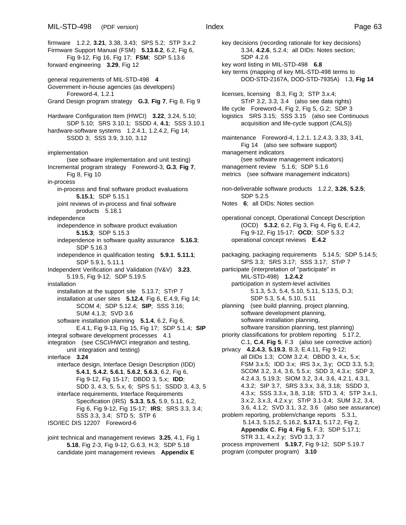firmware 1.2.2, **3.21**, 3.38, 3.43; SPS 5.2; STP 3.x.2 Firmware Support Manual (FSM) **5.13.6.2**, 6.2, Fig 6, Fig 9-12, Fig 16, Fig 17; **FSM**; SDP 5.13.6 forward engineering **3.29**, Fig 12 general requirements of MIL-STD-498 **4** Government in-house agencies (as developers) Foreword-4, 1.2.1 Grand Design program strategy **G.3**, **Fig 7**, Fig 8, Fig 9 Hardware Configuration Item (HWCI) **3.22**, 3.24, 5.10; SDP 5.10; SRS 3.10.1; SSDD 4, **4.1**; SSS 3.10.1 hardware-software systems 1.2.4.1, 1.2.4.2, Fig 14; SSDD 3; SSS 3.9, 3.10, 3.12 implementation (see software implementation and unit testing) Incremental program strategy Foreword-3, **G.3**, **Fig 7**, Fig 8, Fig 10 in-process in-process and final software product evaluations **5.15.1**; SDP 5.15.1

joint reviews of in-process and final software products 5.18.1

independence

independence in software product evaluation **5.15.3**; SDP 5.15.3

independence in software quality assurance **5.16.3**; SDP 5.16.3

independence in qualification testing **5.9.1**, **5.11.1**; SDP 5.9.1, 5.11.1

Independent Verification and Validation (IV&V) **3.23**, 5.19.5, Fig 9-12; SDP 5.19.5

installation

- installation at the support site 5.13.7; STrP 7 installation at user sites **5.12.4**, Fig 6, E.4.9, Fig 14; SCOM 4; SDP 5.12.4; **SIP**; SSS 3.16; SUM 4.1.3; SVD 3.6
- software installation planning **5.1.4**, 6.2, Fig 6, E.4.1, Fig 9-13, Fig 15, Fig 17; SDP 5.1.4; **SIP** integral software development processes 4.1

integration (see CSCI/HWCI integration and testing, unit integration and testing)

interface **3.24**

interface design, Interface Design Description (IDD) **5.4.1**, **5.4.2**, **5.6.1**, **5.6.2**, **5.6.3**, 6.2, Fig 6, Fig 9-12, Fig 15-17; DBDD 3, 5.x; **IDD**; SDD 3, 4.3, 5, 5.x, 6; SPS 5.1; SSDD 3, 4.3, 5 interface requirements, Interface Requirements

Specification (IRS) **5.3.3**, **5.5**, 5.9, 5.11, 6.2, Fig 6, Fig 9-12, Fig 15-17; **IRS**; SRS 3.3, 3.4; SSS 3.3, 3.4; STD 5; STP 6

ISO/IEC DIS 12207 Foreword-6

joint technical and management reviews **3.25**, 4.1, Fig 1 **5.18**, Fig 2-3, Fig 9-12, G.6.3, H.3; SDP 5.18 candidate joint management reviews **Appendix E**

key decisions (recording rationale for key decisions) 3.34, **4.2.6**, 5.2.4; all DIDs: Notes section; SDP 4.2.6 key word listing in MIL-STD-498 **6.8** key terms (mapping of key MIL-STD-498 terms to DOD-STD-2167A, DOD-STD-7935A) I.3, **Fig 14** licenses, licensing B.3, Fig 3; STP 3.x.4; STrP 3.2, 3.3, 3.4 (also see data rights) life cycle Foreword-4, Fig 2, Fig 5, G.2; SDP 3 logistics SRS 3.15; SSS 3.15 (also see Continuous acquisition and life-cycle support (CALS)) maintenance Foreword-4, 1.2.1, 1.2.4.3, 3.33, 3.41, Fig 14 (also see software support) management indicators (see software management indicators) management review 5.1.6; SDP 5.1.6 metrics (see software management indicators) non-deliverable software products 1.2.2, **3.26**, **5.2.5**; SDP 5.2.5 Notes **6**; all DIDs: Notes section operational concept, Operational Concept Description (OCD) **5.3.2**, 6.2, Fig 3, Fig 4, Fig 6, E.4.2, Fig 9-12, Fig 15-17; **OCD**; SDP 5.3.2 operational concept reviews **E.4.2** packaging, packaging requirements 5.14.5; SDP 5.14.5; SPS 3.3; SRS 3.17; SSS 3.17; STrP 7 participate (interpretation of "participate" in MIL-STD-498) **1.2.4.2** participation in system-level activities 5.1.3, 5.3, 5.4, 5.10, 5.11, 5.13.5, D.3; SDP 5.3, 5.4, 5.10, 5.11 planning (see build planning, project planning, software development planning, software installation planning, software transition planning, test planning) priority classifications for problem reporting 5.17.2, C.1, **C.4**, **Fig 5**, F.3 (also see corrective action) privacy **4.2.4.3**, **5.19.3**, B.3, E.4.11, Fig 9-12; all DIDs 1.3; COM 3.2.4; DBDD 3, 4.x, 5.x; FSM 3.x.5; IDD 3.x; IRS 3.x, 3.y; OCD 3.3, 5.3; SCOM 3.2, 3.4, 3.6, 5.5.x; SDD 3, 4.3.x; SDP 3, 4.2.4.3, 5.19.3; SIOM 3.2, 3.4, 3.6, 4.2.1, 4.3.1, 4.3.2; SIP 3.7, SRS 3.3.x, 3.8, 3.18; SSDD 3, 4.3.x; SSS 3.3.x, 3.8, 3.18; STD 3, 4; STP 3.x.1, 3.x.2, 3.x.3, 4.2.x.y; STrP 3.1-3.4; SUM 3.2, 3.4, 3.6, 4.1.2; SVD 3.1, 3.2, 3.6 (also see assurance) problem reporting, problem/change reports 5.3.1, 5.14.3, 5.15.2, 5.16.2, **5.17.1**, 5.17.2, Fig 2, **Appendix C**, **Fig 4**, **Fig 5**, F.3; SDP 5.17.1; STR 3.1, 4.x.2.y; SVD 3.3, 3.7 process improvement **5.19.7**, Fig 9-12; SDP 5.19.7 program (computer program) **3.10**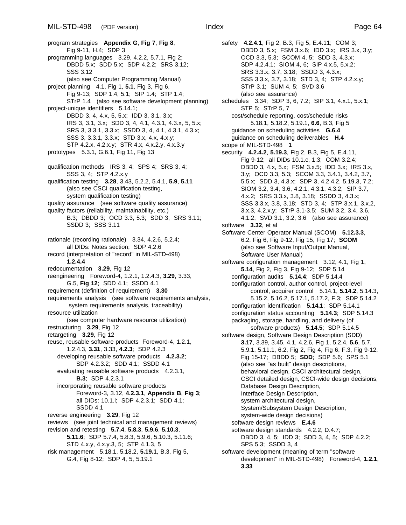program strategies **Appendix G**, **Fig 7**, **Fig 8**, Fig 9-11, H.4; SDP 3 programming languages 3.29, 4.2.2, 5.7.1, Fig 2; DBDD 5.x; SDD 5.x; SDP 4.2.2; SRS 3.12; SSS 3.12 (also see Computer Programming Manual) project planning 4.1, Fig 1, **5.1**, Fig 3, Fig 6, Fig 9-13; SDP 1.4, 5.1; SIP 1.4; STP 1.4; STrP 1.4 (also see software development planning) project-unique identifiers 5.14.1; DBDD 3, 4, 4.x, 5, 5.x; IDD 3, 3.1, 3.x; IRS 3, 3.1, 3.x; SDD 3, 4, 4.1, 4.3.1, 4.3.x, 5, 5.x; SRS 3, 3.3.1, 3.3.x; SSDD 3, 4, 4.1, 4.3.1, 4.3.x; SSS 3, 3.3.1, 3.3.x; STD 3.x, 4.x, 4.x.y; STP 4.2.x, 4.2.x.y; STR 4.x, 4.x.2.y, 4.x.3.y prototypes 5.3.1, G.6.1, Fig 11, Fig 13 qualification methods IRS 3, 4; SPS 4; SRS 3, 4; SSS 3, 4; STP 4.2.x.y qualification testing **3.28**, 3.43, 5.2.2, 5.4.1, **5.9**, **5.11** (also see CSCI qualification testing, system qualification testing) quality assurance (see software quality assurance) quality factors (reliability, maintainability, etc.) B.3; DBDD 3; OCD 3.3, 5.3; SDD 3; SRS 3.11; SSDD 3; SSS 3.11 rationale (recording rationale) 3.34, 4.2.6, 5.2.4; all DIDs: Notes section; SDP 4.2.6 record (interpretation of "record" in MIL-STD-498) **1.2.4.4** redocumentation **3.29**, Fig 12 reengineering Foreword-4, 1.2.1, 1.2.4.3, **3.29**, 3.33, G.5, **Fig 12**; SDD 4.1; SSDD 4.1 requirement (definition of requirement) **3.30** requirements analysis (see software requirements analysis, system requirements analysis, traceability) resource utilization (see computer hardware resource utilization) restructuring **3.29**, Fig 12 retargeting **3.29**, Fig 12 reuse, reusable software products Foreword-4, 1.2.1, 1.2.4.3, **3.31**, 3.33, **4.2.3**; SDP 4.2.3 developing reusable software products **4.2.3.2**; SDP 4.2.3.2; SDD 4.1; SSDD 4.1 evaluating reusable software products 4.2.3.1, **B.3**; SDP 4.2.3.1 incorporating reusable software products Foreword-3, 3.12, **4.2.3.1**, **Appendix B**, **Fig 3**; all DIDs: 10.1.i; SDP 4.2.3.1; SDD 4.1; SSDD 4.1 reverse engineering **3.29**, Fig 12 reviews (see joint technical and management reviews) revision and retesting **5.7.4**, **5.8.3**, **5.9.6**, **5.10.3**, **5.11.6**; SDP 5.7.4, 5.8.3, 5.9.6, 5.10.3, 5.11.6; STD 4.x.y, 4.x.y.3, 5; STP 4.1.3, 5 risk management 5.18.1, 5.18.2, **5.19.1**, B.3, Fig 5, G.4, Fig 8-12; SDP 4, 5, 5.19.1

safety **4.2.4.1**, Fig 2, B.3, Fig 5, E.4.11; COM 3; DBDD 3, 5.x; FSM 3.x.6; IDD 3.x; IRS 3.x, 3.y; OCD 3.3, 5.3; SCOM 4, 5; SDD 3, 4.3.x; SDP 4.2.4.1; SIOM 4, 6; SIP 4.x.5, 5.x.2; SRS 3.3.x, 3.7, 3.18; SSDD 3, 4.3.x; SSS 3.3.x, 3.7, 3.18; STD 3, 4; STP 4.2.x.y; STrP 3.1; SUM 4, 5; SVD 3.6 (also see assurance) schedules 3.34; SDP 3, 6, 7.2; SIP 3.1, 4.x.1, 5.x.1; STP 5; STrP 5, 7 cost/schedule reporting, cost/schedule risks 5.18.1, 5.18.2, 5.19.1, **6.6**, B.3, Fig 5 guidance on scheduling activities **G.6.4** guidance on scheduling deliverables **H.4** scope of MIL-STD-498 **1** security **4.2.4.2**, **5.19.3**, Fig 2, B.3, Fig 5, E.4.11, Fig 9-12; all DIDs 10.1.c, 1.3; COM 3.2.4; DBDD 3, 4.x, 5.x; FSM 3.x.5; IDD 3.x; IRS 3.x, 3.y; OCD 3.3, 5.3; SCOM 3.3, 3.4.1, 3.4.2, 3.7, 5.5.x; SDD 3, 4.3.x; SDP 3, 4.2.4.2, 5.19.3, 7.2; SIOM 3.2, 3.4, 3.6, 4.2.1, 4.3.1, 4.3.2; SIP 3.7, 4.x.2; SRS 3.3.x, 3.8, 3.18; SSDD 3, 4.3.x; SSS 3.3.x, 3.8, 3.18; STD 3, 4; STP 3.x.1, 3.x.2, 3.x.3, 4.2.x.y; STrP 3.1-3.5; SUM 3.2, 3.4, 3.6, 4.1.2; SVD 3.1, 3.2, 3.6 (also see assurance) software **3.32**, et al Software Center Operator Manual (SCOM) **5.12.3.3**, 6.2, Fig 6, Fig 9-12, Fig 15, Fig 17; **SCOM** (also see Software Input/Output Manual, Software User Manual) software configuration management 3.12, 4.1, Fig 1, **5.14**, Fig 2, Fig 3, Fig 9-12; SDP 5.14 configuration audits **5.14.4**; SDP 5.14.4 configuration control, author control, project-level control, acquirer control 5.14.1, **5.14.2**, 5.14.3, 5.15.2, 5.16.2, 5.17.1, 5.17.2, F.3; SDP 5.14.2 configuration identification **5.14.1**; SDP 5.14.1 configuration status accounting **5.14.3**; SDP 5.14.3 packaging, storage, handling, and delivery (of software products) **5.14.5**; SDP 5.14.5 software design, Software Design Description (SDD) **3.17**, 3.39, 3.45, 4.1, 4.2.6, Fig 1, 5.2.4, **5.6**, 5.7, 5.9.1, 5.11.1, 6.2, Fig 2, Fig 4, Fig 6, F.3, Fig 9-12, Fig 15-17; DBDD 5; **SDD**; SDP 5.6; SPS 5.1 (also see "as built" design descriptions, behavioral design, CSCI architectural design, CSCI detailed design, CSCI-wide design decisions, Database Design Description, Interface Design Description, system architectural design, System/Subsystem Design Description, system-wide design decisions) software design reviews **E.4.6** software design standards 4.2.2, D.4.7; DBDD 3, 4, 5; IDD 3; SDD 3, 4, 5; SDP 4.2.2; SPS 5.3; SSDD 3, 4 software development (meaning of term "software development" in MIL-STD-498) Foreword-4, **1.2.1**, **3.33**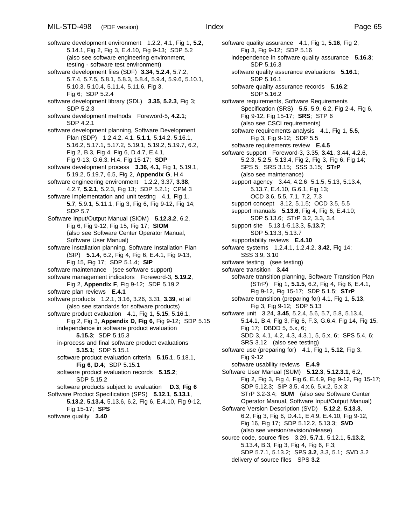software development environment 1.2.2, 4.1, Fig 1, **5.2**, 5.14.1, Fig 2, Fig 3, E.4.10, Fig 9-13; SDP 5.2 (also see software engineering environment, testing - software test environment) software development files (SDF) **3.34**, **5.2.4**, 5.7.2, 5.7.4, 5.7.5, 5.8.1, 5.8.3, 5.8.4, 5.9.4, 5.9.6, 5.10.1, 5.10.3, 5.10.4, 5.11.4, 5.11.6, Fig 3, Fig 6; SDP 5.2.4 software development library (SDL) **3.35**, **5.2.3**, Fig 3; SDP 5.2.3 software development methods Foreword-5, **4.2.1**; SDP 4.2.1 software development planning, Software Development Plan (SDP) 1.2.4.2, 4.1, **5.1.1**, 5.14.2, 5.16.1, 5.16.2, 5.17.1, 5.17.2, 5.19.1, 5.19.2, 5.19.7, 6.2, Fig 2, B.3, Fig 4, Fig 6, D.4.7, E.4.1, Fig 9-13, G.6.3, H.4, Fig 15-17; **SDP** software development process **3.36**, **4.1**, Fig 1, 5.19.1, 5.19.2, 5.19.7, 6.5, Fig 2, **Appendix G**, H.4 software engineering environment 1.2.2, 3.37, **3.38**, 4.2.7, **5.2.1**, 5.2.3, Fig 13; SDP 5.2.1; CPM 3 software implementation and unit testing 4.1, Fig 1, **5.7**, 5.9.1, 5.11.1, Fig 3, Fig 6, Fig 9-12, Fig 14; SDP 5.7 Software Input/Output Manual (SIOM) **5.12.3.2**, 6.2, Fig 6, Fig 9-12, Fig 15, Fig 17; **SIOM** (also see Software Center Operator Manual, Software User Manual) software installation planning, Software Installation Plan (SIP) **5.1.4**, 6.2, Fig 4, Fig 6, E.4.1, Fig 9-13, Fig 15, Fig 17; SDP 5.1.4; **SIP** software maintenance (see software support) software management indicators Foreword-3, **5.19.2**, Fig 2, **Appendix F**, Fig 9-12; SDP 5.19.2 software plan reviews **E.4.1** software products 1.2.1, 3.16, 3.26, 3.31, **3.39**, et al (also see standards for software products) software product evaluation 4.1, Fig 1, **5.15**, 5.16.1, Fig 2, Fig 3, **Appendix D**, **Fig 6**, Fig 9-12; SDP 5.15 independence in software product evaluation **5.15.3**; SDP 5.15.3 in-process and final software product evaluations **5.15.1**; SDP 5.15.1 software product evaluation criteria **5.15.1**, 5.18.1, **Fig 6**, **D.4**; SDP 5.15.1 software product evaluation records **5.15.2**; SDP 5.15.2 software products subject to evaluation **D.3**, **Fig 6** Software Product Specification (SPS) **5.12.1**, **5.13.1**, **5.13.2**, **5.13.4**, 5.13.6, 6.2, Fig 6, E.4.10, Fig 9-12, Fig 15-17; **SPS** software quality **3.40**

software quality assurance 4.1, Fig 1, **5.16**, Fig 2, Fig 3, Fig 9-12; SDP 5.16 independence in software quality assurance **5.16.3**; SDP 5.16.3 software quality assurance evaluations **5.16.1**; SDP 5.16.1 software quality assurance records **5.16.2**; SDP 5.16.2 software requirements, Software Requirements Specification (SRS) **5.5**, 5.9, 6.2, Fig 2-4, Fig 6, Fig 9-12, Fig 15-17; **SRS**; STP 6 (also see CSCI requirements) software requirements analysis 4.1, Fig 1, **5.5**, Fig 3, Fig 9-12; SDP 5.5 software requirements review **E.4.5** software support Foreword-3, 3.35, **3.41**, 3.44, 4.2.6, 5.2.3, 5.2.5, 5.13.4, Fig 2, Fig 3, Fig 6, Fig 14; SPS 5; SRS 3.15; SSS 3.15; **STrP** (also see maintenance) support agency 3.44, 4.2.6 5.1.5, 5.13, 5.13.4, 5.13.7, E.4.10, G.6.1, Fig 13; OCD 3.6, 5.5, 7.1, 7.2, 7.3 support concept 3.12, 5.1.5; OCD 3.5, 5.5 support manuals **5.13.6**, Fig 4, Fig 6, E.4.10; SDP 5.13.6; STrP 3.2, 3.3, 3.4 support site 5.13.1-5.13.3, **5.13.7**; SDP 5.13.3, 5.13.7 supportability reviews **E.4.10** software systems 1.2.4.1, 1.2.4.2, **3.42**, Fig 14; SSS 3.9, 3.10 software testing (see testing) software transition **3.44** software transition planning, Software Transition Plan (STrP) Fig 1, **5.1.5**, 6.2, Fig 4, Fig 6, E.4.1, Fig 9-12, Fig 15-17; SDP 5.1.5; **STrP** software transition (preparing for) 4.1, Fig 1, **5.13**, Fig 3, Fig 9-12; SDP 5.13 software unit 3.24, **3.45**, 5.2.4, 5.6, 5.7, 5.8, 5.13.4, 5.14.1, B.4, Fig 3, Fig 6, F.3, G.6.4, Fig 14, Fig 15, Fig 17; DBDD 5, 5.x, 6; SDD 3, 4.1, 4.2, 4.3, 4.3.1, 5, 5.x, 6; SPS 5.4, 6; SRS 3.12 (also see testing) software use (preparing for) 4.1, Fig 1, **5.12**, Fig 3, Fig 9-12 software usability reviews **E.4.9** Software User Manual (SUM) **5.12.3**, **5.12.3.1**, 6.2, Fig 2, Fig 3, Fig 4, Fig 6, E.4.9, Fig 9-12, Fig 15-17; SDP 5.12.3; SIP 3.5, 4.x.6, 5.x.2, 5.x.3; STrP 3.2-3.4; **SUM** (also see Software Center Operator Manual, Software Input/Output Manual) Software Version Description (SVD) **5.12.2**, **5.13.3**, 6.2, Fig 3, Fig 6, D.4.1, E.4.9, E.4.10, Fig 9-12, Fig 16, Fig 17; SDP 5.12.2, 5.13.3; **SVD** (also see version/revision/release) source code, source files 3.29, **5.7.1**, 5.12.1, **5.13.2**, 5.13.4, B.3, Fig 3, Fig 4, Fig 6, F.3; SDP 5.7.1, 5.13.2; SPS **3.2**, 3.3, 5.1; SVD 3.2 delivery of source files SPS **3.2**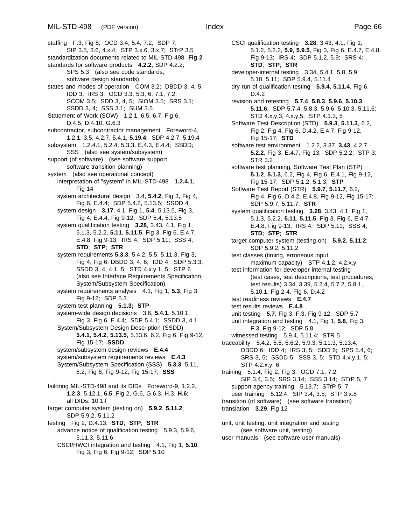staffing F.3, Fig 8; OCD 3.4, 5.4, 7.2; SDP 7; SIP 3.5, 3.6, 4.x.4; STP 3.x.6, 3.x.7; STrP 3.5 standardization documents related to MIL-STD-498 **Fig 2** standards for software products **4.2.2**, SDP 4.2.2; SPS 5.3 (also see code standards, software design standards) states and modes of operation COM 3.2; DBDD 3, 4, 5; IDD 3; IRS 3; OCD 3.3, 5.3, 6, 7.1, 7.2; SCOM 3.5; SDD 3, 4, 5; SIOM 3.5; SRS 3.1; SSDD 3, 4; SSS 3.1; SUM 3.5 Statement of Work (SOW) 1.2.1, 6.5, 6.7, Fig 6, D.4.5, D.4.10, G.6.3 subcontractor, subcontractor management Foreword-4, 1.2.1, 3.5, 4.2.7, 5.4.1, **5.19.4**; SDP 4.2.7, 5.19.4 subsystem 1.2.4.1, 5.2.4, 5.3.3, E.4.3, E.4.4; SSDD; SSS (also see system/subsystem) support (of software) (see software support, software transition planning) system (also see operational concept) interpretation of "system" in MIL-STD-498 **1.2.4.1**, Fig 14 system architectural design 3.4, **5.4.2**, Fig 3, Fig 4, Fig 6, E.4.4; SDP 5.4.2, 5.13.5; SSDD 4 system design **3.17**, 4.1, Fig 1, **5.4**, 5.13.5, Fig 3, Fig 4, E.4.4, Fig 9-12; SDP 5.4, 5.13.5 system qualification testing **3.28**, 3.43, 4.1, Fig 1, 5.1.3, 5.2.2, **5.11**, **5.11.5**, Fig 3, Fig 6, E.4.7, E.4.8, Fig 9-13; IRS 4; SDP 5.11; SSS 4; **STD**; **STP**; **STR** system requirements **5.3.3**, 5.4.2, 5.5, 5.11.3, Fig 3, Fig 4, Fig 6; DBDD 3, 4, 6; IDD 4; SDP 5.3.3; SSDD 3, 4, 4.1, 5; STD 4.x.y.1, 5; STP 6 (also see Interface Requirements Specification, System/Subsystem Specification) system requirements analysis 4.1, Fig 1, **5.3**, Fig 3, Fig 9-12; SDP 5.3 system test planning **5.1.3; STP** system-wide design decisions 3.6, **5.4.1**, 5.10.1, Fig 3, Fig 6, E.4.4; SDP 5.4.1; SSDD 3, 4.1 System/Subsystem Design Description (SSDD) **5.4.1**, **5.4.2**, **5.13.5**, 5.13.6, 6.2, Fig 6, Fig 9-12, Fig 15-17; **SSDD** system/subsystem design reviews **E.4.4** system/subsystem requirements reviews **E.4.3** System/Subsystem Specification (SSS) **5.3.3**, 5.11, 6.2, Fig 6, Fig 9-12, Fig 15-17; **SSS** tailoring MIL-STD-498 and its DIDs Foreword-9, 1.2.2, **1.2.3**, 5.12.1, **6.5**, Fig 2, G.6, G.6.3, H.3, **H.6**; all DIDs: 10.1.f target computer system (testing on) **5.9.2**, **5.11.2**; SDP 5.9.2, 5.11.2 testing Fig 2, D.4.13; **STD**; **STP**; **STR** advance notice of qualification testing 5.9.3, 5.9.6, 5.11.3, 5.11.6 CSCI/HWCI integration and testing 4.1, Fig 1, **5.10**, Fig 3, Fig 6, Fig 9-12; SDP 5.10

CSCI qualification testing **3.28**, 3.43, 4.1, Fig 1, 5.1.2, 5.2.2, **5.9**, **5.9.5**, Fig 3, Fig 6, E.4.7, E.4.8, Fig 9-13; IRS 4; SDP 5.1.2, 5.9; SRS 4; **STD**; **STP**; **STR** developer-internal testing 3.34, 5.4.1, 5.8, 5.9, 5.10, 5.11; SDP 5.9.4, 5.11.4 dry run of qualification testing **5.9.4**, **5.11.4**, Fig 6, D.4.2 revision and retesting **5.7.4**, **5.8.3**, **5.9.6**, **5.10.3**, **5.11.6**; SDP 5.7.4, 5.8.3, 5.9.6, 5.10.3, 5.11.6; STD 4.x.y.3, 4.x.y.5; STP 4.1.3, 5 Software Test Description (STD) **5.9.3**, **5.11.3**, 6.2, Fig 2, Fig 4, Fig 6, D.4.2, E.4.7, Fig 9-12, Fig 15-17; **STD** software test environment 1.2.2, 3.37, **3.43**, 4.2.7, **5.2.2**, Fig 3, E.4.7, Fig 13; SDP 5.2.2; STP 3; STR 3.2 software test planning, Software Test Plan (STP) **5.1.2**, **5.1.3**, 6.2, Fig 4, Fig 6, E.4.1, Fig 9-12, Fig 15-17; SDP 5.1.2, 5.1.3; **STP** Software Test Report (STR) **5.9.7**, **5.11.7**, 6.2, Fig 4, Fig 6, D.4.2, E.4.8, Fig 9-12, Fig 15-17; SDP 5.9.7, 5.11.7; **STR** system qualification testing **3.28**, 3.43, 4.1, Fig 1, 5.1.3, 5.2.2, **5.11**, **5.11.5**, Fig 3, Fig 6, E.4.7, E.4.8, Fig 9-13; IRS 4; SDP 5.11; SSS 4; **STD**; **STP**; **STR** target computer system (testing on) **5.9.2**, **5.11.2**; SDP 5.9.2, 5.11.2 test classes (timing, erroneous input, maximum capacity) STP 4.1.2, 4.2.x.y test information for developer-internal testing (test cases, test descriptions, test procedures, test results) 3.34, 3.39, 5.2.4, 5.7.2, 5.8.1, 5.10.1, Fig 2-4, Fig 6, D.4.2 test readiness reviews **E.4.7** test results reviews **E.4.8** unit testing **5.7**, Fig 3, F.3, Fig 9-12; SDP 5.7 unit integration and testing 4.1, Fig 1, **5.8**, Fig 3, F.3, Fig 9-12; SDP 5.8 witnessed testing 5.9.4, 5.11.4; STR 5 traceability 5.4.2, 5.5, 5.6.2, 5.9.3, 5.11.3, 5.13.4; DBDD 6; IDD 4; IRS 3, 5; SDD 6; SPS 5.4, 6; SRS 3, 5; SSDD 5; SSS 3, 5; STD 4.x.y.1, 5; STP 4.2.x.y, 6 training 5.1.4, Fig 2, Fig 3; OCD 7.1, 7.2; SIP 3.4, 3.5; SRS 3.14; SSS 3.14; STrP 5, 7 support agency training 5.13.7; STrP 5, 7 user training 5.12.4; SIP 3.4, 3.5; STP 3.x.8 transition (of software) (see software transition) translation **3.29**, Fig 12

unit, unit testing, unit integration and testing (see software unit, testing) user manuals (see software user manuals)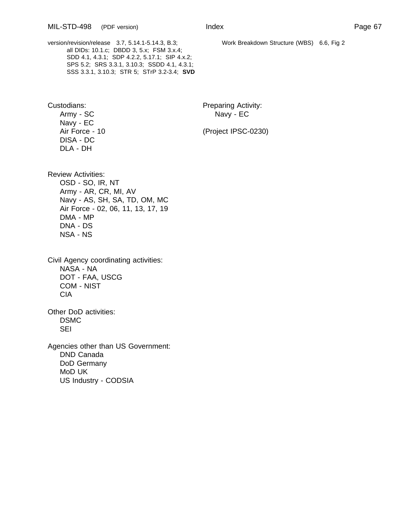version/revision/release 3.7, 5.14.1-5.14.3, B.3; all DIDs: 10.1.c; DBDD 3, 5.x; FSM 3.x.4; SDD 4.1, 4.3.1; SDP 4.2.2, 5.17.1; SIP 4.x.2; SPS 5.2; SRS 3.3.1, 3.10.3; SSDD 4.1, 4.3.1; SSS 3.3.1, 3.10.3; STR 5; STrP 3.2-3.4; **SVD**

Navy - EC DISA - DC DLA - DH

Custodians: Custodians: Preparing Activity: Army - SC Navy - EC

Air Force - 10 (Project IPSC-0230)

Review Activities: OSD - SO, IR, NT Army - AR, CR, MI, AV Navy - AS, SH, SA, TD, OM, MC Air Force - 02, 06, 11, 13, 17, 19 DMA - MP DNA - DS NSA - NS

Civil Agency coordinating activities: NASA - NA DOT - FAA, USCG COM - NIST CIA

Other DoD activities: DSMC **SEI** 

Agencies other than US Government: DND Canada DoD Germany MoD UK US Industry - CODSIA

Work Breakdown Structure (WBS) 6.6, Fig 2